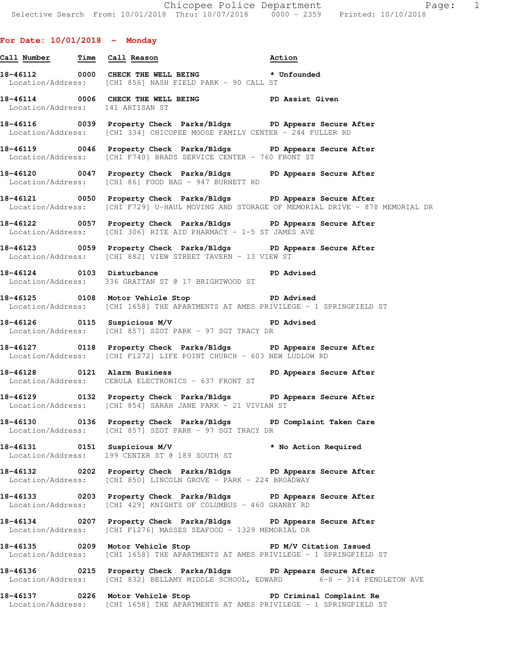## **For Date: 10/01/2018 - Monday**

- **Call Number Time Call Reason Action 18-46112 0000 CHECK THE WELL BEING \* Unfounded**  Location/Address: [CHI 856] NASH FIELD PARK - 90 CALL ST **18-46114 0006 CHECK THE WELL BEING PD Assist Given**  Location/Address: 141 ARTISAN ST **18-46116 0039 Property Check Parks/Bldgs PD Appears Secure After**  Location/Address: [CHI 334] CHICOPEE MOOSE FAMILY CENTER - 244 FULLER RD
- **18-46119 0046 Property Check Parks/Bldgs PD Appears Secure After**  Location/Address: [CHI F740] BRADS SERVICE CENTER - 760 FRONT ST
- **18-46120 0047 Property Check Parks/Bldgs PD Appears Secure After**  Location/Address: [CHI 86] FOOD BAG - 947 BURNETT RD
- **18-46121 0050 Property Check Parks/Bldgs PD Appears Secure After**  Location/Address: [CHI F729] U-HAUL MOVING AND STORAGE OF MEMORIAL DRIVE - 878 MEMORIAL DR
- **18-46122 0057 Property Check Parks/Bldgs PD Appears Secure After**  Location/Address: [CHI 306] RITE AID PHARMACY - 1-5 ST JAMES AVE
- **18-46123 0059 Property Check Parks/Bldgs PD Appears Secure After**  Location/Address: [CHI 882] VIEW STREET TAVERN - 13 VIEW ST
- 18-46124 0103 Disturbance **PD** Advised Location/Address: 336 GRATTAN ST @ 17 BRIGHTWOOD ST
- **18-46125 0108 Motor Vehicle Stop PD Advised**  Location/Address: [CHI 1658] THE APARTMENTS AT AMES PRIVILEGE - 1 SPRINGFIELD ST
- **18-46126 0115 Suspicious M/V PD Advised**  Location/Address: [CHI 857] SZOT PARK - 97 SGT TRACY DR
- **18-46127 0118 Property Check Parks/Bldgs PD Appears Secure After**  Location/Address: [CHI F1272] LIFE POINT CHURCH - 603 NEW LUDLOW RD
- **18-46128 0121 Alarm Business PD Appears Secure After**  Location/Address: CEBULA ELECTRONICS - 637 FRONT ST
- **18-46129 0132 Property Check Parks/Bldgs PD Appears Secure After**  Location/Address: [CHI 854] SARAH JANE PARK - 21 VIVIAN ST
- **18-46130 0136 Property Check Parks/Bldgs PD Complaint Taken Care**  Location/Address: [CHI 857] SZOT PARK - 97 SGT TRACY DR
- **18-46131 0151 Suspicious M/V \* No Action Required**  Location/Address: 199 CENTER ST @ 189 SOUTH ST
- **18-46132 0202 Property Check Parks/Bldgs PD Appears Secure After**  Location/Address: [CHI 850] LINCOLN GROVE - PARK - 224 BROADWAY
- **18-46133 0203 Property Check Parks/Bldgs PD Appears Secure After**  Location/Address: [CHI 429] KNIGHTS OF COLUMBUS - 460 GRANBY RD
- **18-46134 0207 Property Check Parks/Bldgs PD Appears Secure After**  Location/Address: [CHI F1276] MASSES SEAFOOD - 1329 MEMORIAL DR
- **18-46135 0209 Motor Vehicle Stop PD M/V Citation Issued**  Location/Address: [CHI 1658] THE APARTMENTS AT AMES PRIVILEGE - 1 SPRINGFIELD ST
- **18-46136 0215 Property Check Parks/Bldgs PD Appears Secure After**  Location/Address: [CHI 832] BELLAMY MIDDLE SCHOOL, EDWARD 6-8 - 314 PENDLETON AVE
- **18-46137 0226 Motor Vehicle Stop PD Criminal Complaint Re**  Location/Address: [CHI 1658] THE APARTMENTS AT AMES PRIVILEGE - 1 SPRINGFIELD ST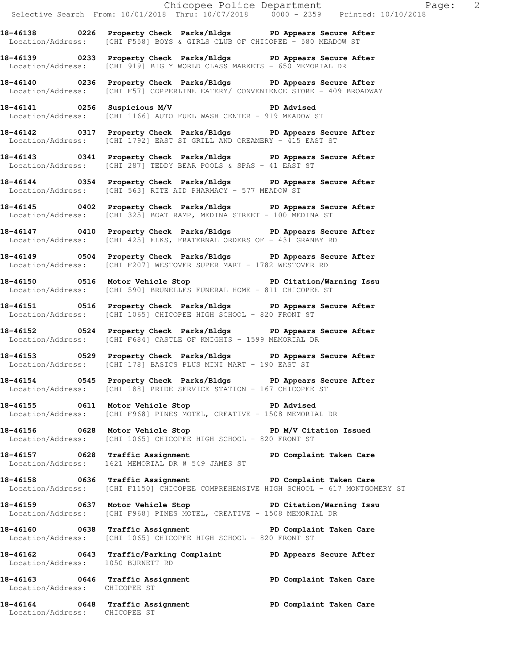**18-46140 0236 Property Check Parks/Bldgs PD Appears Secure After**  Location/Address: [CHI F57] COPPERLINE EATERY/ CONVENIENCE STORE - 409 BROADWAY

**18-46141 0256 Suspicious M/V PD Advised**  Location/Address: [CHI 1166] AUTO FUEL WASH CENTER - 919 MEADOW ST

**18-46142 0317 Property Check Parks/Bldgs PD Appears Secure After**  Location/Address: [CHI 1792] EAST ST GRILL AND CREAMERY - 415 EAST ST

**18-46143 0341 Property Check Parks/Bldgs PD Appears Secure After**  Location/Address: [CHI 287] TEDDY BEAR POOLS & SPAS - 41 EAST ST

**18-46144 0354 Property Check Parks/Bldgs PD Appears Secure After**  Location/Address: [CHI 563] RITE AID PHARMACY - 577 MEADOW ST

**18-46145 0402 Property Check Parks/Bldgs PD Appears Secure After**  Location/Address: [CHI 325] BOAT RAMP, MEDINA STREET - 100 MEDINA ST

**18-46147 0410 Property Check Parks/Bldgs PD Appears Secure After**  Location/Address: [CHI 425] ELKS, FRATERNAL ORDERS OF - 431 GRANBY RD

**18-46149 0504 Property Check Parks/Bldgs PD Appears Secure After**  Location/Address: [CHI F207] WESTOVER SUPER MART - 1782 WESTOVER RD

**18-46150 0516 Motor Vehicle Stop PD Citation/Warning Issu**  Location/Address: [CHI 590] BRUNELLES FUNERAL HOME - 811 CHICOPEE ST

**18-46151 0516 Property Check Parks/Bldgs PD Appears Secure After**  Location/Address: [CHI 1065] CHICOPEE HIGH SCHOOL - 820 FRONT ST

**18-46152 0524 Property Check Parks/Bldgs PD Appears Secure After**  Location/Address: [CHI F684] CASTLE OF KNIGHTS - 1599 MEMORIAL DR

**18-46153 0529 Property Check Parks/Bldgs PD Appears Secure After**  Location/Address: [CHI 178] BASICS PLUS MINI MART - 190 EAST ST

**18-46154 0545 Property Check Parks/Bldgs PD Appears Secure After**  Location/Address: [CHI 188] PRIDE SERVICE STATION - 167 CHICOPEE ST

**18-46155 0611 Motor Vehicle Stop PD Advised**  Location/Address: [CHI F968] PINES MOTEL, CREATIVE - 1508 MEMORIAL DR

**18-46156 0628 Motor Vehicle Stop PD M/V Citation Issued**  Location/Address: [CHI 1065] CHICOPEE HIGH SCHOOL - 820 FRONT ST

18-46157 **0628** Traffic Assignment **PD Complaint Taken Care** Location/Address: 1621 MEMORIAL DR @ 549 JAMES ST

Location/Address: CHICOPEE ST

**18-46158 0636 Traffic Assignment PD Complaint Taken Care**  Location/Address: [CHI F1150] CHICOPEE COMPREHENSIVE HIGH SCHOOL - 617 MONTGOMERY ST

**18-46159 0637 Motor Vehicle Stop PD Citation/Warning Issu**  Location/Address: [CHI F968] PINES MOTEL, CREATIVE - 1508 MEMORIAL DR

**18-46160 0638 Traffic Assignment PD Complaint Taken Care**  Location/Address: [CHI 1065] CHICOPEE HIGH SCHOOL - 820 FRONT ST

**18-46162 0643 Traffic/Parking Complaint PD Appears Secure After**  Location/Address: 1050 BURNETT RD **18-46163 0646 Traffic Assignment PD Complaint Taken Care** 

**18-46164 0648 Traffic Assignment PD Complaint Taken Care**  Location/Address: CHICOPEE ST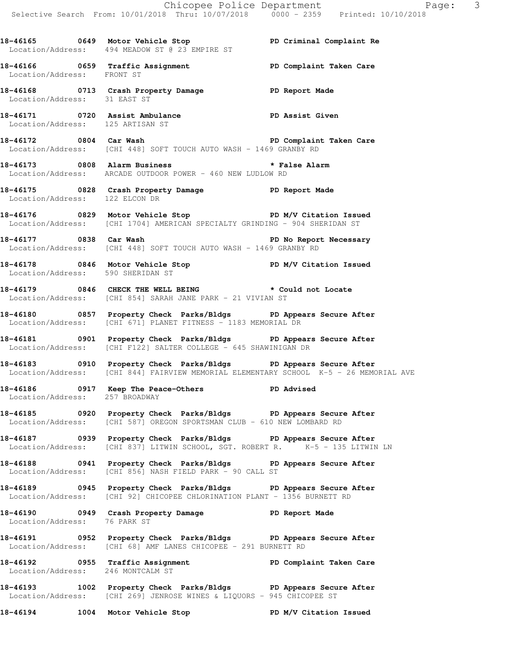Chicopee Police Department Page: 3 Selective Search From: 10/01/2018 Thru: 10/07/2018 0000 - 2359 Printed: 10/10/2018 **18-46165 0649 Motor Vehicle Stop PD Criminal Complaint Re**  Location/Address: 494 MEADOW ST @ 23 EMPIRE ST **18-46166 0659 Traffic Assignment PD Complaint Taken Care**  Location/Address: FRONT ST **18-46168 0713 Crash Property Damage PD Report Made**  Location/Address: 31 EAST ST **18-46171 0720 Assist Ambulance PD Assist Given**  Location/Address: 125 ARTISAN ST **18-46172 0804 Car Wash PD Complaint Taken Care**  Location/Address: [CHI 448] SOFT TOUCH AUTO WASH - 1469 GRANBY RD **18-46173 0808 Alarm Business \* False Alarm**  Location/Address: ARCADE OUTDOOR POWER - 460 NEW LUDLOW RD **18-46175 0828 Crash Property Damage PD Report Made**  Location/Address: 122 ELCON DR **18-46176 0829 Motor Vehicle Stop PD M/V Citation Issued**  Location/Address: [CHI 1704] AMERICAN SPECIALTY GRINDING - 904 SHERIDAN ST **18-46177 0838 Car Wash PD No Report Necessary**  Location/Address: [CHI 448] SOFT TOUCH AUTO WASH - 1469 GRANBY RD 18-46178 **0846** Motor Vehicle Stop **PD M/V Citation Issued**  Location/Address: 590 SHERIDAN ST **18-46179 0846 CHECK THE WELL BEING \* Could not Locate**  Location/Address: [CHI 854] SARAH JANE PARK - 21 VIVIAN ST **18-46180 0857 Property Check Parks/Bldgs PD Appears Secure After**  Location/Address: [CHI 671] PLANET FITNESS - 1183 MEMORIAL DR **18-46181 0901 Property Check Parks/Bldgs PD Appears Secure After**  Location/Address: [CHI F122] SALTER COLLEGE - 645 SHAWINIGAN DR **18-46183 0910 Property Check Parks/Bldgs PD Appears Secure After**  Location/Address: [CHI 844] FAIRVIEW MEMORIAL ELEMENTARY SCHOOL K-5 - 26 MEMORIAL AVE **18-46186 0917 Keep The Peace-Others PD Advised**  Location/Address: 257 BROADWAY **18-46185 0920 Property Check Parks/Bldgs PD Appears Secure After**  Location/Address: [CHI 587] OREGON SPORTSMAN CLUB - 610 NEW LOMBARD RD **18-46187 0939 Property Check Parks/Bldgs PD Appears Secure After**  Location/Address: [CHI 837] LITWIN SCHOOL, SGT. ROBERT R.  $\overline{K}-5 - 135$  LITWIN LN **18-46188 0941 Property Check Parks/Bldgs PD Appears Secure After**  Location/Address: [CHI 856] NASH FIELD PARK - 90 CALL ST **18-46189 0945 Property Check Parks/Bldgs PD Appears Secure After**  Location/Address: [CHI 92] CHICOPEE CHLORINATION PLANT - 1356 BURNETT RD **18-46190 0949 Crash Property Damage PD Report Made**  Location/Address: 76 PARK ST **18-46191 0952 Property Check Parks/Bldgs PD Appears Secure After**  Location/Address: [CHI 68] AMF LANES CHICOPEE - 291 BURNETT RD 18-46192 **18-46192** 0955 Traffic Assignment **PD Complaint Taken Care** Location/Address: 246 MONTCALM ST

**18-46193 1002 Property Check Parks/Bldgs PD Appears Secure After**  Location/Address: [CHI 269] JENROSE WINES & LIQUORS - 945 CHICOPEE ST

**18-46194 1004 Motor Vehicle Stop PD M/V Citation Issued**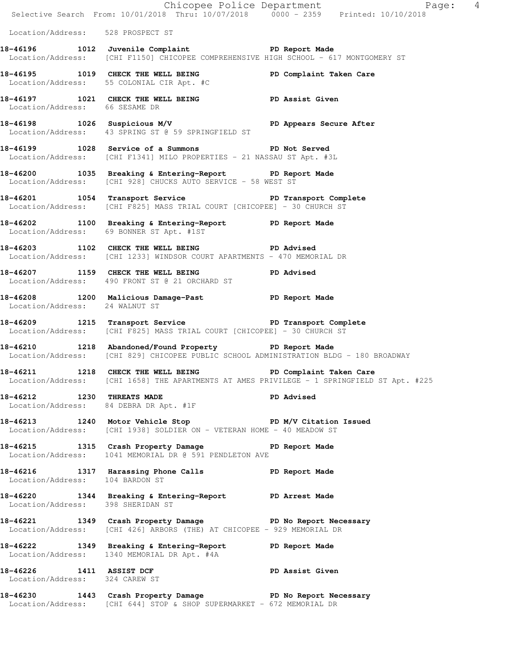|                                   | Selective Search From: 10/01/2018 Thru: 10/07/2018 0000 - 2359 Printed: 10/10/2018                                                             | Chicopee Police Department<br>Page: 4                                                      |
|-----------------------------------|------------------------------------------------------------------------------------------------------------------------------------------------|--------------------------------------------------------------------------------------------|
| Location/Address: 528 PROSPECT ST |                                                                                                                                                |                                                                                            |
|                                   | 18-46196 1012 Juvenile Complaint PD Report Made<br>Location/Address: [CHI F1150] CHICOPEE COMPREHENSIVE HIGH SCHOOL - 617 MONTGOMERY ST        |                                                                                            |
|                                   | 18-46195 1019 CHECK THE WELL BEING PD Complaint Taken Care<br>Location/Address: 55 COLONIAL CIR Apt. #C                                        |                                                                                            |
| Location/Address: 66 SESAME DR    | 18-46197 1021 CHECK THE WELL BEING PD Assist Given                                                                                             |                                                                                            |
|                                   | 18-46198 1026 Suspicious M/V PD Appears Secure After<br>Location/Address: 43 SPRING ST @ 59 SPRINGFIELD ST                                     |                                                                                            |
|                                   | 18-46199 1028 Service of a Summons PD Not Served<br>Location/Address: [CHI F1341] MILO PROPERTIES - 21 NASSAU ST Apt. #3L                      |                                                                                            |
|                                   | 18-46200 1035 Breaking & Entering-Report PD Report Made<br>Location/Address: [CHI 928] CHUCKS AUTO SERVICE - 58 WEST ST                        |                                                                                            |
|                                   | 18-46201 1054 Transport Service The PD Transport Complete<br>Location/Address: [CHI F825] MASS TRIAL COURT [CHICOPEE] - 30 CHURCH ST           |                                                                                            |
|                                   | 18-46202 1100 Breaking & Entering-Report PD Report Made<br>Location/Address: 69 BONNER ST Apt. #1ST                                            |                                                                                            |
|                                   | 18-46203 1102 CHECK THE WELL BEING PD Advised<br>Location/Address: [CHI 1233] WINDSOR COURT APARTMENTS - 470 MEMORIAL DR                       |                                                                                            |
|                                   | 18-46207 1159 CHECK THE WELL BEING PD Advised<br>Location/Address: 490 FRONT ST @ 21 ORCHARD ST                                                |                                                                                            |
| Location/Address: 24 WALNUT ST    | 18-46208 1200 Malicious Damage-Past 18-46208 PD Report Made                                                                                    |                                                                                            |
|                                   | 18-46209 1215 Transport Service New PD Transport Complete<br>Location/Address: [CHI F825] MASS TRIAL COURT [CHICOPEE] - 30 CHURCH ST           |                                                                                            |
|                                   | 18-46210 1218 Abandoned/Found Property PD Report Made<br>Location/Address: [CHI 829] CHICOPEE PUBLIC SCHOOL ADMINISTRATION BLDG - 180 BROADWAY |                                                                                            |
|                                   | 18-46211 1218 CHECK THE WELL BEING PD Complaint Taken Care                                                                                     | Location/Address: [CHI 1658] THE APARTMENTS AT AMES PRIVILEGE - 1 SPRINGFIELD ST Apt. #225 |
| 18-46212 1230 THREATS MADE        | Location/Address: 84 DEBRA DR Apt. #1F                                                                                                         | PD Advised                                                                                 |
|                                   | 18-46213 1240 Motor Vehicle Stop PD M/V Citation Issued<br>Location/Address: [CHI 1938] SOLDIER ON - VETERAN HOME - 40 MEADOW ST               |                                                                                            |
|                                   | 18-46215 1315 Crash Property Damage 18-46215<br>Location/Address: 1041 MEMORIAL DR @ 591 PENDLETON AVE                                         |                                                                                            |
|                                   | 18-46216 1317 Harassing Phone Calls 5 PD Report Made Location/Address: 104 BARDON ST                                                           |                                                                                            |
| Location/Address: 398 SHERIDAN ST | 18-46220 1344 Breaking & Entering-Report PD Arrest Made                                                                                        |                                                                                            |
|                                   | 18-46221 1349 Crash Property Damage PD No Report Necessary<br>Location/Address: [CHI 426] ARBORS (THE) AT CHICOPEE - 929 MEMORIAL DR           |                                                                                            |
|                                   | 18-46222 1349 Breaking & Entering-Report PD Report Made<br>Location/Address: 1340 MEMORIAL DR Apt. #4A                                         |                                                                                            |
| Location/Address: 324 CAREW ST    | 18-46226 1411 ASSIST DCF PD Assist Given<br>Location (Address: 224 CAREM ST                                                                    |                                                                                            |
|                                   | 18-46230 1443 Crash Property Damage PD No Report Necessary<br>Location/Address: [CHI 644] STOP & SHOP SUPERMARKET - 672 MEMORIAL DR            |                                                                                            |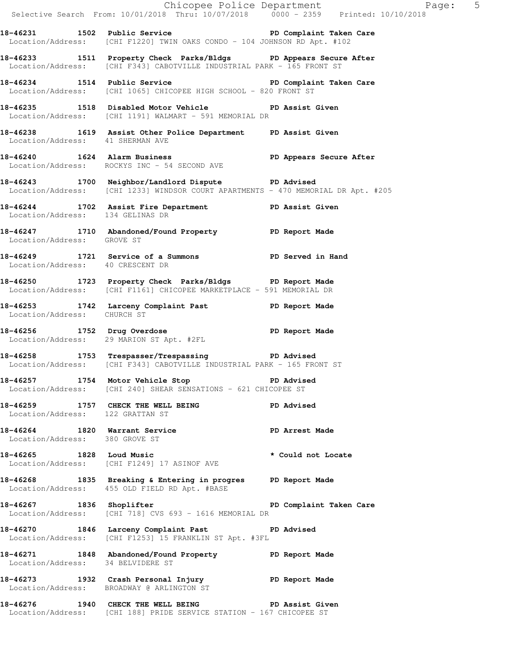|                                   | Selective Search From: $10/01/2018$ Thru: $10/07/2018$ 0000 - 2359 Printed: $10/10/2018$                                                   | Chicopee Police Department<br>Page: 5 |
|-----------------------------------|--------------------------------------------------------------------------------------------------------------------------------------------|---------------------------------------|
|                                   | 18-46231 1502 Public Service 20 PD Complaint Taken Care<br>Location/Address: [CHI F1220] TWIN OAKS CONDO - 104 JOHNSON RD Apt. #102        |                                       |
|                                   | 18-46233 1511 Property Check Parks/Bldgs PD Appears Secure After<br>Location/Address: [CHI F343] CABOTVILLE INDUSTRIAL PARK - 165 FRONT ST |                                       |
|                                   | 18-46234 1514 Public Service New PD Complaint Taken Care<br>Location/Address: [CHI 1065] CHICOPEE HIGH SCHOOL - 820 FRONT ST               |                                       |
|                                   | 18-46235 1518 Disabled Motor Vehicle PD Assist Given<br>Location/Address: [CHI 1191] WALMART - 591 MEMORIAL DR                             |                                       |
| Location/Address: 41 SHERMAN AVE  | 18-46238 1619 Assist Other Police Department PD Assist Given                                                                               |                                       |
|                                   | 18-46240 1624 Alarm Business 18-46240 PD Appears Secure After<br>Location/Address: ROCKYS INC - 54 SECOND AVE                              |                                       |
|                                   | 18-46243 1700 Neighbor/Landlord Dispute PD Advised<br>Location/Address: [CHI 1233] WINDSOR COURT APARTMENTS - 470 MEMORIAL DR Apt. #205    |                                       |
| Location/Address: 134 GELINAS DR  | 18-46244 1702 Assist Fire Department PD Assist Given                                                                                       |                                       |
| Location/Address: GROVE ST        | 18-46247 1710 Abandoned/Found Property PD Report Made                                                                                      |                                       |
| Location/Address: 40 CRESCENT DR  | 18-46249 1721 Service of a Summons PD Served in Hand                                                                                       |                                       |
|                                   | 18-46250 1723 Property Check Parks/Bldgs PD Report Made<br>Location/Address: [CHI F1161] CHICOPEE MARKETPLACE - 591 MEMORIAL DR            |                                       |
| Location/Address: CHURCH ST       | 18-46253 1742 Larceny Complaint Past PD Report Made                                                                                        |                                       |
|                                   | 18-46256 1752 Drug Overdose 18-46256 PD Report Made<br>Location/Address: 29 MARION ST Apt. #2FL                                            |                                       |
|                                   | 18-46258 1753 Trespasser/Trespassing PD Advised<br>Location/Address: [CHI F343] CABOTVILLE INDUSTRIAL PARK - 165 FRONT ST                  |                                       |
|                                   | 18-46257 1754 Motor Vehicle Stop November 20 PD Advised<br>Location/Address: [CHI 240] SHEAR SENSATIONS - 621 CHICOPEE ST                  |                                       |
| Location/Address: 122 GRATTAN ST  | 18-46259 1757 CHECK THE WELL BEING PD Advised                                                                                              |                                       |
|                                   | 18-46264 1820 Warrant Service<br>Location/Address: 380 GROVE ST                                                                            | PD Arrest Made                        |
|                                   | 18-46265 1828 Loud Music<br>Location/Address: [CHI F1249] 17 ASINOF AVE                                                                    | * Could not Locate                    |
|                                   | 18-46268 1835 Breaking & Entering in progres PD Report Made<br>Location/Address: 455 OLD FIELD RD Apt. #BASE                               |                                       |
|                                   | 18-46267 1836 Shoplifter 2008 PD Complaint Taken Care<br>Location/Address: [CHI 718] CVS 693 - 1616 MEMORIAL DR                            |                                       |
|                                   | 18-46270 1846 Larceny Complaint Past PD Advised<br>Location/Address: [CHI F1253] 15 FRANKLIN ST Apt. #3FL                                  |                                       |
| Location/Address: 34 BELVIDERE ST | 18-46271 1848 Abandoned/Found Property PD Report Made                                                                                      |                                       |
|                                   | 18-46273 1932 Crash Personal Injury 19D Report Made<br>Location/Address: BROADWAY @ ARLINGTON ST                                           |                                       |
|                                   | 18-46276 1940 CHECK THE WELL BEING PD Assist Given                                                                                         |                                       |

Location/Address: [CHI 188] PRIDE SERVICE STATION - 167 CHICOPEE ST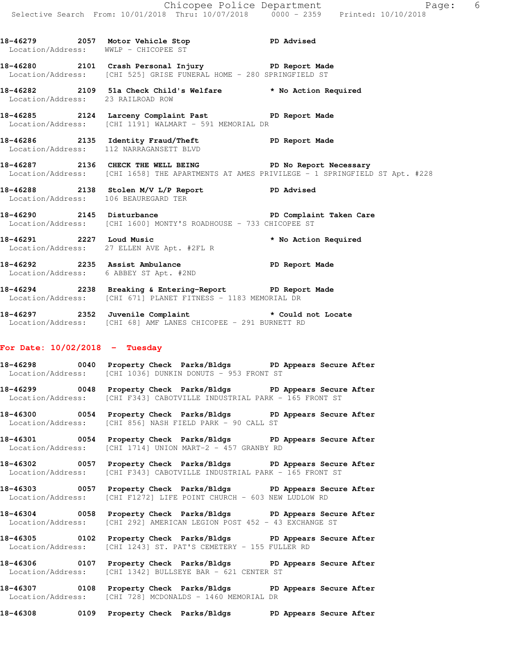**18-46279 2057 Motor Vehicle Stop PD Advised**  Location/Address: WWLP - CHICOPEE ST **18-46280 2101 Crash Personal Injury PD Report Made**  Location/Address: [CHI 525] GRISE FUNERAL HOME - 280 SPRINGFIELD ST **18-46282 2109 51a Check Child's Welfare \* No Action Required**  Location/Address: 23 RAILROAD ROW **18-46285 2124 Larceny Complaint Past PD Report Made**  Location/Address: [CHI 1191] WALMART - 591 MEMORIAL DR **18-46286 2135 Identity Fraud/Theft PD Report Made**  Location/Address: 112 NARRAGANSETT BLVD 18-46287 2136 CHECK THE WELL BEING **PD** No Report Necessary Location/Address: [CHI 1658] THE APARTMENTS AT AMES PRIVILEGE - 1 SPRINGFIELD ST Apt. #228 **18-46288 2138 Stolen M/V L/P Report PD Advised**  Location/Address: 106 BEAUREGARD TER **18-46290 2145 Disturbance PD Complaint Taken Care**  Location/Address: [CHI 1600] MONTY'S ROADHOUSE - 733 CHICOPEE ST **18-46291 2227 Loud Music \* No Action Required**  Location/Address: 27 ELLEN AVE Apt. #2FL R **18-46292 2235 Assist Ambulance PD Report Made**  Location/Address: 6 ABBEY ST Apt. #2ND **18-46294 2238 Breaking & Entering-Report PD Report Made**  Location/Address: [CHI 671] PLANET FITNESS - 1183 MEMORIAL DR

**18-46297 2352 Juvenile Complaint \* Could not Locate**  Location/Address: [CHI 68] AMF LANES CHICOPEE - 291 BURNETT RD

### **For Date: 10/02/2018 - Tuesday**

**18-46298 0040 Property Check Parks/Bldgs PD Appears Secure After**  Location/Address: [CHI 1036] DUNKIN DONUTS - 953 FRONT ST

**18-46299 0048 Property Check Parks/Bldgs PD Appears Secure After**  Location/Address: [CHI F343] CABOTVILLE INDUSTRIAL PARK - 165 FRONT ST

**18-46300 0054 Property Check Parks/Bldgs PD Appears Secure After**  Location/Address: [CHI 856] NASH FIELD PARK - 90 CALL ST

**18-46301 0054 Property Check Parks/Bldgs PD Appears Secure After**  Location/Address: [CHI 1714] UNION MART-2 - 457 GRANBY RD

**18-46302 0057 Property Check Parks/Bldgs PD Appears Secure After**  Location/Address: [CHI F343] CABOTVILLE INDUSTRIAL PARK - 165 FRONT ST

**18-46303 0057 Property Check Parks/Bldgs PD Appears Secure After**  Location/Address: [CHI F1272] LIFE POINT CHURCH - 603 NEW LUDLOW RD

**18-46304 0058 Property Check Parks/Bldgs PD Appears Secure After**  Location/Address: [CHI 292] AMERICAN LEGION POST 452 - 43 EXCHANGE ST

**18-46305 0102 Property Check Parks/Bldgs PD Appears Secure After**  Location/Address: [CHI 1243] ST. PAT'S CEMETERY - 155 FULLER RD

**18-46306 0107 Property Check Parks/Bldgs PD Appears Secure After**  Location/Address: [CHI 1342] BULLSEYE BAR - 621 CENTER ST

**18-46307 0108 Property Check Parks/Bldgs PD Appears Secure After**  Location/Address: [CHI 728] MCDONALDS - 1460 MEMORIAL DR

**18-46308 0109 Property Check Parks/Bldgs PD Appears Secure After**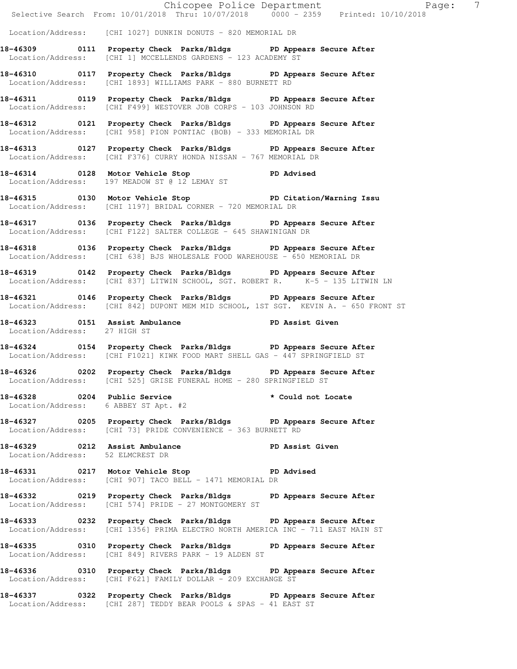Chicopee Police Department Fage: 7 Selective Search From: 10/01/2018 Thru: 10/07/2018 0000 - 2359 Printed: 10/10/2018 Location/Address: [CHI 1027] DUNKIN DONUTS - 820 MEMORIAL DR **18-46309 0111 Property Check Parks/Bldgs PD Appears Secure After**  Location/Address: [CHI 1] MCCELLENDS GARDENS - 123 ACADEMY ST **18-46310 0117 Property Check Parks/Bldgs PD Appears Secure After**  Location/Address: [CHI 1893] WILLIAMS PARK - 880 BURNETT RD **18-46311 0119 Property Check Parks/Bldgs PD Appears Secure After**  Location/Address: [CHI F499] WESTOVER JOB CORPS - 103 JOHNSON RD **18-46312 0121 Property Check Parks/Bldgs PD Appears Secure After**  Location/Address: [CHI 958] PION PONTIAC (BOB) - 333 MEMORIAL DR **18-46313 0127 Property Check Parks/Bldgs PD Appears Secure After**  Location/Address: [CHI F376] CURRY HONDA NISSAN - 767 MEMORIAL DR **18-46314 0128 Motor Vehicle Stop PD Advised**  Location/Address: 197 MEADOW ST @ 12 LEMAY ST **18-46315 0130 Motor Vehicle Stop PD Citation/Warning Issu**  Location/Address: [CHI 1197] BRIDAL CORNER - 720 MEMORIAL DR **18-46317 0136 Property Check Parks/Bldgs PD Appears Secure After**  Location/Address: [CHI F122] SALTER COLLEGE - 645 SHAWINIGAN DR **18-46318 0136 Property Check Parks/Bldgs PD Appears Secure After**  Location/Address: [CHI 638] BJS WHOLESALE FOOD WAREHOUSE - 650 MEMORIAL DR **18-46319 0142 Property Check Parks/Bldgs PD Appears Secure After**  Location/Address: [CHI 837] LITWIN SCHOOL, SGT. ROBERT R. K-5 - 135 LITWIN LN **18-46321 0146 Property Check Parks/Bldgs PD Appears Secure After**  Location/Address: [CHI 842] DUPONT MEM MID SCHOOL, 1ST SGT. KEVIN A. - 650 FRONT ST **18-46323 0151 Assist Ambulance PD Assist Given**  Location/Address: 27 HIGH ST **18-46324 0154 Property Check Parks/Bldgs PD Appears Secure After**  Location/Address: [CHI F1021] KIWK FOOD MART SHELL GAS - 447 SPRINGFIELD ST **18-46326 0202 Property Check Parks/Bldgs PD Appears Secure After**  Location/Address: [CHI 525] GRISE FUNERAL HOME - 280 SPRINGFIELD ST **18-46328 0204 Public Service \* Could not Locate**  Location/Address: 6 ABBEY ST Apt. #2 **18-46327 0205 Property Check Parks/Bldgs PD Appears Secure After**  Location/Address: [CHI 73] PRIDE CONVENIENCE - 363 BURNETT RD **18-46329 0212 Assist Ambulance PD Assist Given**  Location/Address: 52 ELMCREST DR **18-46331 0217 Motor Vehicle Stop PD Advised**  Location/Address: [CHI 907] TACO BELL - 1471 MEMORIAL DR **18-46332 0219 Property Check Parks/Bldgs PD Appears Secure After**  Location/Address: [CHI 574] PRIDE - 27 MONTGOMERY ST **18-46333 0232 Property Check Parks/Bldgs PD Appears Secure After**  Location/Address: [CHI 1356] PRIMA ELECTRO NORTH AMERICA INC - 711 EAST MAIN ST **18-46335 0310 Property Check Parks/Bldgs PD Appears Secure After**  Location/Address: [CHI 849] RIVERS PARK - 19 ALDEN ST **18-46336 0310 Property Check Parks/Bldgs PD Appears Secure After**  Location/Address: [CHI F621] FAMILY DOLLAR - 209 EXCHANGE ST **18-46337 0322 Property Check Parks/Bldgs PD Appears Secure After** 

Location/Address: [CHI 287] TEDDY BEAR POOLS & SPAS - 41 EAST ST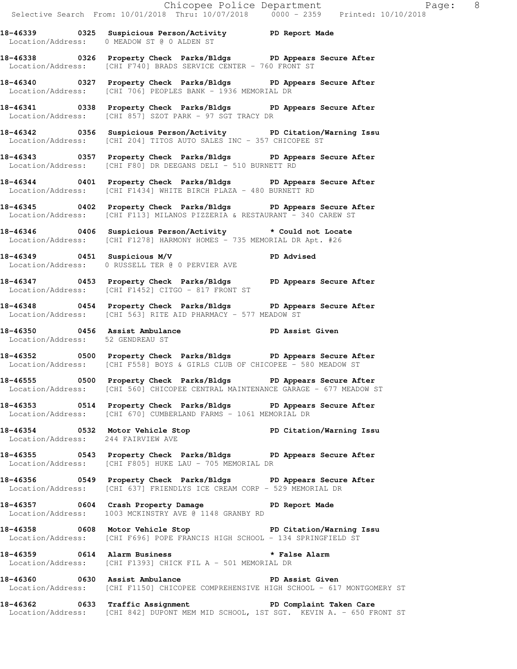Chicopee Police Department The Page: 8 Selective Search From: 10/01/2018 Thru: 10/07/2018 0000 - 2359 Printed: 10/10/2018 **18-46339 0325 Suspicious Person/Activity PD Report Made**  Location/Address: 0 MEADOW ST @ 0 ALDEN ST **18-46338 0326 Property Check Parks/Bldgs PD Appears Secure After**  Location/Address: [CHI F740] BRADS SERVICE CENTER - 760 FRONT ST **18-46340 0327 Property Check Parks/Bldgs PD Appears Secure After**  Location/Address: [CHI 706] PEOPLES BANK - 1936 MEMORIAL DR **18-46341 0338 Property Check Parks/Bldgs PD Appears Secure After**  Location/Address: [CHI 857] SZOT PARK - 97 SGT TRACY DR **18-46342 0356 Suspicious Person/Activity PD Citation/Warning Issu**  Location/Address: [CHI 204] TITOS AUTO SALES INC - 357 CHICOPEE ST **18-46343 0357 Property Check Parks/Bldgs PD Appears Secure After**  Location/Address: [CHI F80] DR DEEGANS DELI - 510 BURNETT RD **18-46344 0401 Property Check Parks/Bldgs PD Appears Secure After**  Location/Address: [CHI F1434] WHITE BIRCH PLAZA - 480 BURNETT RD **18-46345 0402 Property Check Parks/Bldgs PD Appears Secure After**  Location/Address: [CHI F113] MILANOS PIZZERIA & RESTAURANT - 340 CAREW ST **18-46346 0406 Suspicious Person/Activity \* Could not Locate**  Location/Address: [CHI F1278] HARMONY HOMES - 735 MEMORIAL DR Apt. #26 **18-46349 0451 Suspicious M/V PD Advised**  Location/Address: 0 RUSSELL TER @ 0 PERVIER AVE **18-46347 0453 Property Check Parks/Bldgs PD Appears Secure After**  Location/Address: [CHI F1452] CITGO - 817 FRONT ST **18-46348 0454 Property Check Parks/Bldgs PD Appears Secure After**  Location/Address: [CHI 563] RITE AID PHARMACY - 577 MEADOW ST 18-46350 **0456** Assist Ambulance **PD Assist Given**  Location/Address: 52 GENDREAU ST **18-46352 0500 Property Check Parks/Bldgs PD Appears Secure After**  Location/Address: [CHI F558] BOYS & GIRLS CLUB OF CHICOPEE - 580 MEADOW ST **18-46555 0500 Property Check Parks/Bldgs PD Appears Secure After**  Location/Address: [CHI 560] CHICOPEE CENTRAL MAINTENANCE GARAGE - 677 MEADOW ST **18-46353 0514 Property Check Parks/Bldgs PD Appears Secure After**  Location/Address: [CHI 670] CUMBERLAND FARMS - 1061 MEMORIAL DR **18-46354 0532 Motor Vehicle Stop PD Citation/Warning Issu**  Location/Address: 244 FAIRVIEW AVE **18-46355 0543 Property Check Parks/Bldgs PD Appears Secure After**  Location/Address: [CHI F805] HUKE LAU - 705 MEMORIAL DR **18-46356 0549 Property Check Parks/Bldgs PD Appears Secure After**  Location/Address: [CHI 637] FRIENDLYS ICE CREAM CORP - 529 MEMORIAL DR **18-46357 0604 Crash Property Damage PD Report Made**  Location/Address: 1003 MCKINSTRY AVE @ 1148 GRANBY RD **18-46358 0608 Motor Vehicle Stop PD Citation/Warning Issu**  Location/Address: [CHI F696] POPE FRANCIS HIGH SCHOOL - 134 SPRINGFIELD ST **18-46359 0614 Alarm Business \* False Alarm**  Location/Address: [CHI F1393] CHICK FIL A - 501 MEMORIAL DR **18-46360 0630 Assist Ambulance PD Assist Given**  Location/Address: [CHI F1150] CHICOPEE COMPREHENSIVE HIGH SCHOOL - 617 MONTGOMERY ST **18-46362 0633 Traffic Assignment PD Complaint Taken Care** 

Location/Address: [CHI 842] DUPONT MEM MID SCHOOL, 1ST SGT. KEVIN A. - 650 FRONT ST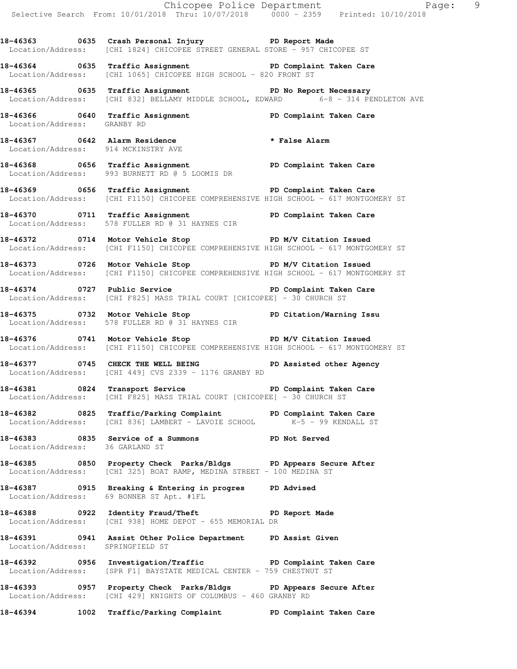Chicopee Police Department Fage: 9 Selective Search From: 10/01/2018 Thru: 10/07/2018 0000 - 2359 Printed: 10/10/2018 **18-46363 0635 Crash Personal Injury PD Report Made**  Location/Address: [CHI 1824] CHICOPEE STREET GENERAL STORE - 957 CHICOPEE ST **18-46364 0635 Traffic Assignment PD Complaint Taken Care**  Location/Address: [CHI 1065] CHICOPEE HIGH SCHOOL - 820 FRONT ST **18-46365 0635 Traffic Assignment PD No Report Necessary**  Location/Address: [CHI 832] BELLAMY MIDDLE SCHOOL, EDWARD 6-8 - 314 PENDLETON AVE 18-46366 **18-8 0640** Traffic Assignment **PD Complaint Taken Care**  Location/Address: GRANBY RD **18-46367 0642 Alarm Residence \* False Alarm**  Location/Address: 914 MCKINSTRY AVE **18-46368 0656 Traffic Assignment PD Complaint Taken Care**  Location/Address: 993 BURNETT RD @ 5 LOOMIS DR 18-46369 **18-8 0656** Traffic Assignment **PD Complaint Taken Care**  Location/Address: [CHI F1150] CHICOPEE COMPREHENSIVE HIGH SCHOOL - 617 MONTGOMERY ST **18-46370 0711 Traffic Assignment PD Complaint Taken Care**  Location/Address: 578 FULLER RD @ 31 HAYNES CIR **18-46372 0714 Motor Vehicle Stop PD M/V Citation Issued**  Location/Address: [CHI F1150] CHICOPEE COMPREHENSIVE HIGH SCHOOL - 617 MONTGOMERY ST 18-46373 **0726** Motor Vehicle Stop **PD M/V Citation Issued**  Location/Address: [CHI F1150] CHICOPEE COMPREHENSIVE HIGH SCHOOL - 617 MONTGOMERY ST **18-46374 0727 Public Service PD Complaint Taken Care**  Location/Address: [CHI F825] MASS TRIAL COURT [CHICOPEE] - 30 CHURCH ST **18-46375 0732 Motor Vehicle Stop PD Citation/Warning Issu**  Location/Address: 578 FULLER RD @ 31 HAYNES CIR 18-46376 **0741** Motor Vehicle Stop **PD M/V Citation Issued**  Location/Address: [CHI F1150] CHICOPEE COMPREHENSIVE HIGH SCHOOL - 617 MONTGOMERY ST **18-46377 0745 CHECK THE WELL BEING PD Assisted other Agency**  Location/Address: [CHI 449] CVS 2339 - 1176 GRANBY RD 18-46381 **18-46381** 0824 Transport Service **PD** Complaint Taken Care Location/Address: [CHI F825] MASS TRIAL COURT [CHICOPEE] - 30 CHURCH ST **18-46382 0825 Traffic/Parking Complaint PD Complaint Taken Care Location/Address:** [CHI 836] LAMBERT - LAVOIE SCHOOL **K-5 - 99 KENDALL ST** Location/Address: [CHI 836] LAMBERT - LAVOIE SCHOOL **18-46383 0835 Service of a Summons PD Not Served**  Location/Address: 36 GARLAND ST **18-46385 0850 Property Check Parks/Bldgs PD Appears Secure After**  Location/Address: [CHI 325] BOAT RAMP, MEDINA STREET - 100 MEDINA ST **18-46387 0915 Breaking & Entering in progres PD Advised**  Location/Address: 69 BONNER ST Apt. #1FL **18-46388 0922 Identity Fraud/Theft PD Report Made**  Location/Address: [CHI 938] HOME DEPOT - 655 MEMORIAL DR **18-46391 0941 Assist Other Police Department PD Assist Given**  Location/Address: SPRINGFIELD ST **18-46392 0956 Investigation/Traffic PD Complaint Taken Care**  Location/Address: [SPR F1] BAYSTATE MEDICAL CENTER - 759 CHESTNUT ST **18-46393 0957 Property Check Parks/Bldgs PD Appears Secure After**  Location/Address: [CHI 429] KNIGHTS OF COLUMBUS - 460 GRANBY RD **18-46394 1002 Traffic/Parking Complaint PD Complaint Taken Care**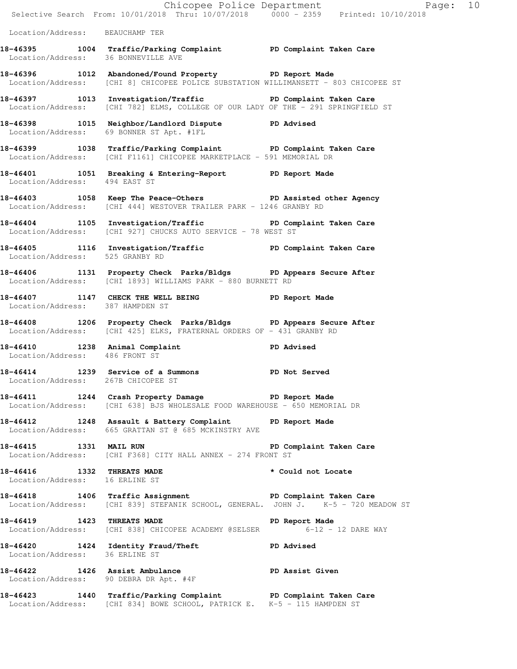|                                     | Chicopee Police Department<br>Selective Search From: 10/01/2018 Thru: 10/07/2018 0000 - 2359 Printed: 10/10/2018                                    | Page: 10                |
|-------------------------------------|-----------------------------------------------------------------------------------------------------------------------------------------------------|-------------------------|
| Location/Address: BEAUCHAMP TER     |                                                                                                                                                     |                         |
| Location/Address: 36 BONNEVILLE AVE | 18-46395 1004 Traffic/Parking Complaint PD Complaint Taken Care                                                                                     |                         |
|                                     | 18-46396 1012 Abandoned/Found Property PD Report Made<br>Location/Address: [CHI 8] CHICOPEE POLICE SUBSTATION WILLIMANSETT - 803 CHICOPEE ST        |                         |
|                                     | 18-46397 1013 Investigation/Traffic TD PD Complaint Taken Care<br>Location/Address: [CHI 782] ELMS, COLLEGE OF OUR LADY OF THE - 291 SPRINGFIELD ST |                         |
|                                     | 18-46398 1015 Neighbor/Landlord Dispute PD Advised<br>Location/Address: 69 BONNER ST Apt. #1FL                                                      |                         |
|                                     | 18-46399 1038 Traffic/Parking Complaint PD Complaint Taken Care<br>Location/Address: [CHI F1161] CHICOPEE MARKETPLACE - 591 MEMORIAL DR             |                         |
|                                     | 18-46401 1051 Breaking & Entering-Report PD Report Made<br>Location/Address: 494 EAST ST                                                            |                         |
|                                     | 18-46403 1058 Keep The Peace-Others PD Assisted other Agency<br>Location/Address: [CHI 444] WESTOVER TRAILER PARK - 1246 GRANBY RD                  |                         |
|                                     | 18-46404 1105 Investigation/Traffic PD Complaint Taken Care<br>Location/Address: [CHI 927] CHUCKS AUTO SERVICE - 78 WEST ST                         |                         |
| Location/Address: 525 GRANBY RD     | 18-46405 1116 Investigation/Traffic New PD Complaint Taken Care                                                                                     |                         |
|                                     | 18-46406 1131 Property Check Parks/Bldgs PD Appears Secure After<br>Location/Address: [CHI 1893] WILLIAMS PARK - 880 BURNETT RD                     |                         |
| Location/Address: 387 HAMPDEN ST    | 18-46407 1147 CHECK THE WELL BEING PD Report Made                                                                                                   |                         |
|                                     | 18-46408 1206 Property Check Parks/Bldgs PD Appears Secure After<br>Location/Address: [CHI 425] ELKS, FRATERNAL ORDERS OF - 431 GRANBY RD           |                         |
| Location/Address: 486 FRONT ST      | 18-46410 1238 Animal Complaint PD Advised                                                                                                           |                         |
| Location/Address: 267B CHICOPEE ST  | 18-46414 1239 Service of a Summons PD Not Served                                                                                                    |                         |
|                                     | 18-46411 1244 Crash Property Damage PD Report Made<br>Location/Address: [CHI 638] BJS WHOLESALE FOOD WAREHOUSE - 650 MEMORIAL DR                    |                         |
|                                     | 18-46412 1248 Assault & Battery Complaint PD Report Made Location/Address: 665 GRATTAN ST @ 685 MCKINSTRY AVE                                       |                         |
| 18-46415 1331 MAIL RUN              | Location/Address: [CHI F368] CITY HALL ANNEX - 274 FRONT ST                                                                                         | PD Complaint Taken Care |
|                                     | 18-46416 1332 THREATS MADE<br>Location/Address: 16 ERLINE ST                                                                                        | * Could not Locate      |
|                                     | 18-46418 1406 Traffic Assignment New PD Complaint Taken Care<br>Location/Address: [CHI 839] STEFANIK SCHOOL, GENERAL. JOHN J. K-5 - 720 MEADOW ST   |                         |
|                                     | 18-46419 1423 THREATS MADE <b>PD</b> Report Made<br>Location/Address: [CHI 838] CHICOPEE ACADEMY @SELSER 6-12 - 12 DARE WAY                         |                         |
| Location/Address: 36 ERLINE ST      | 18-46420 1424 Identity Fraud/Theft The PD Advised                                                                                                   |                         |
|                                     | 18-46422 1426 Assist Ambulance New PD Assist Given<br>Location/Address: 90 DEBRA DR Apt. #4F                                                        |                         |
|                                     | 18-46423 1440 Traffic/Parking Complaint PD Complaint Taken Care<br>Location/Address: [CHI 834] BOWE SCHOOL, PATRICK E. K-5 - 115 HAMPDEN ST         |                         |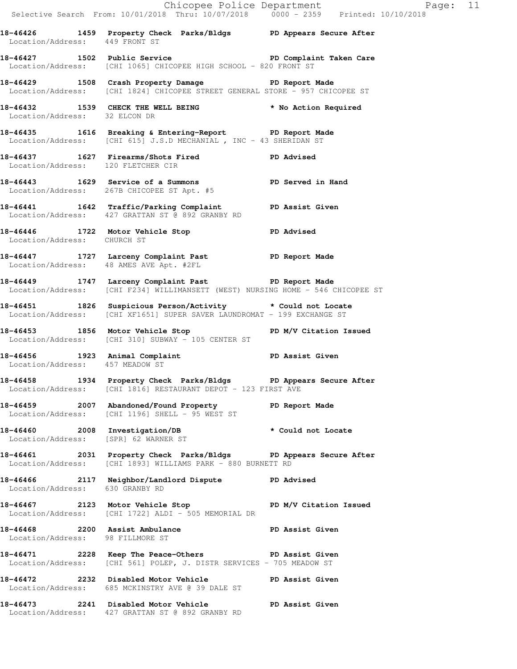Chicopee Police Department Fage: 11 Selective Search From: 10/01/2018 Thru: 10/07/2018 0000 - 2359 Printed: 10/10/2018 **18-46426 1459 Property Check Parks/Bldgs PD Appears Secure After**  Location/Address: 449 FRONT ST 18-46427 1502 Public Service **PD Complaint Taken Care** Location/Address: [CHI 1065] CHICOPEE HIGH SCHOOL - 820 FRONT ST **18-46429 1508 Crash Property Damage PD Report Made**  Location/Address: [CHI 1824] CHICOPEE STREET GENERAL STORE - 957 CHICOPEE ST **18-46432 1539 CHECK THE WELL BEING \* No Action Required**  Location/Address: 32 ELCON DR **18-46435 1616 Breaking & Entering-Report PD Report Made**  Location/Address: [CHI 615] J.S.D MECHANIAL , INC - 43 SHERIDAN ST **18-46437 1627 Firearms/Shots Fired PD Advised**  Location/Address: 120 FLETCHER CIR **18-46443 1629 Service of a Summons PD Served in Hand**  Location/Address: 267B CHICOPEE ST Apt. #5 **18-46441 1642 Traffic/Parking Complaint PD Assist Given**  Location/Address: 427 GRATTAN ST @ 892 GRANBY RD **18-46446 1722 Motor Vehicle Stop PD Advised**  Location/Address: CHURCH ST **18-46447 1727 Larceny Complaint Past PD Report Made**  Location/Address: 48 AMES AVE Apt. #2FL **18-46449 1747 Larceny Complaint Past PD Report Made**  Location/Address: [CHI F234] WILLIMANSETT (WEST) NURSING HOME - 546 CHICOPEE ST **18-46451 1826 Suspicious Person/Activity \* Could not Locate**  Location/Address: [CHI XF1651] SUPER SAVER LAUNDROMAT - 199 EXCHANGE ST 18-46453 1856 Motor Vehicle Stop **PD M/V Citation Issued**  Location/Address: [CHI 310] SUBWAY - 105 CENTER ST **18-46456 1923 Animal Complaint PD Assist Given**  Location/Address: 457 MEADOW ST **18-46458 1934 Property Check Parks/Bldgs PD Appears Secure After**  Location/Address: [CHI 1816] RESTAURANT DEPOT - 123 FIRST AVE **18-46459 2007 Abandoned/Found Property PD Report Made**  Location/Address: [CHI 1196] SHELL - 95 WEST ST **18-46460 2008 Investigation/DB \* Could not Locate**  Location/Address: [SPR] 62 WARNER ST **18-46461 2031 Property Check Parks/Bldgs PD Appears Secure After**  Location/Address: [CHI 1893] WILLIAMS PARK - 880 BURNETT RD **18-46466 2117 Neighbor/Landlord Dispute PD Advised**  Location/Address: 630 GRANBY RD 18-46467 **2123** Motor Vehicle Stop **PD M/V Citation Issued**  Location/Address: [CHI 1722] ALDI - 505 MEMORIAL DR **18-46468 2200 Assist Ambulance PD Assist Given**  Location/Address: 98 FILLMORE ST **18-46471 2228 Keep The Peace-Others PD Assist Given**  Location/Address: [CHI 561] POLEP, J. DISTR SERVICES - 705 MEADOW ST **18-46472 2232 Disabled Motor Vehicle PD Assist Given**  Location/Address: 685 MCKINSTRY AVE @ 39 DALE ST **18-46473 2241 Disabled Motor Vehicle PD Assist Given**  Location/Address: 427 GRATTAN ST @ 892 GRANBY RD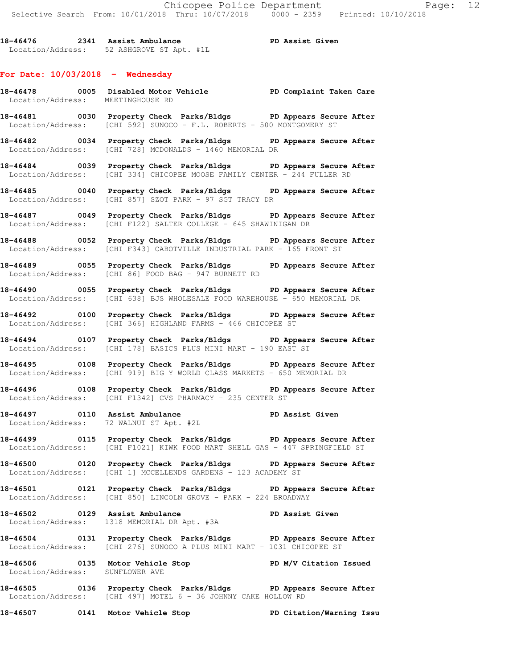**18-46476 2341 Assist Ambulance PD Assist Given**  Location/Address: 52 ASHGROVE ST Apt. #1L

## **For Date: 10/03/2018 - Wednesday**

- **18-46478 0005 Disabled Motor Vehicle PD Complaint Taken Care**  Location/Address: MEETINGHOUSE RD
- **18-46481 0030 Property Check Parks/Bldgs PD Appears Secure After**  Location/Address: [CHI 592] SUNOCO - F.L. ROBERTS - 500 MONTGOMERY ST
- **18-46482 0034 Property Check Parks/Bldgs PD Appears Secure After**  Location/Address: [CHI 728] MCDONALDS - 1460 MEMORIAL DR
- **18-46484 0039 Property Check Parks/Bldgs PD Appears Secure After**  Location/Address: [CHI 334] CHICOPEE MOOSE FAMILY CENTER - 244 FULLER RD
- **18-46485 0040 Property Check Parks/Bldgs PD Appears Secure After**  Location/Address: [CHI 857] SZOT PARK - 97 SGT TRACY DR
- **18-46487 0049 Property Check Parks/Bldgs PD Appears Secure After**  Location/Address: [CHI F122] SALTER COLLEGE - 645 SHAWINIGAN DR
- **18-46488 0052 Property Check Parks/Bldgs PD Appears Secure After**  Location/Address: [CHI F343] CABOTVILLE INDUSTRIAL PARK - 165 FRONT ST
- **18-46489 0055 Property Check Parks/Bldgs PD Appears Secure After**  Location/Address: [CHI 86] FOOD BAG - 947 BURNETT RD
- **18-46490 0055 Property Check Parks/Bldgs PD Appears Secure After**  Location/Address: [CHI 638] BJS WHOLESALE FOOD WAREHOUSE - 650 MEMORIAL DR
- **18-46492 0100 Property Check Parks/Bldgs PD Appears Secure After**  Location/Address: [CHI 366] HIGHLAND FARMS - 466 CHICOPEE ST
- **18-46494 0107 Property Check Parks/Bldgs PD Appears Secure After**  Location/Address: [CHI 178] BASICS PLUS MINI MART - 190 EAST ST
- **18-46495 0108 Property Check Parks/Bldgs PD Appears Secure After**  Location/Address: [CHI 919] BIG Y WORLD CLASS MARKETS - 650 MEMORIAL DR
- **18-46496 0108 Property Check Parks/Bldgs PD Appears Secure After**  Location/Address: [CHI F1342] CVS PHARMACY - 235 CENTER ST
- **18-46497 0110 Assist Ambulance PD Assist Given**  Location/Address: 72 WALNUT ST Apt. #2L
- **18-46499 0115 Property Check Parks/Bldgs PD Appears Secure After**  Location/Address: [CHI F1021] KIWK FOOD MART SHELL GAS - 447 SPRINGFIELD ST
- **18-46500 0120 Property Check Parks/Bldgs PD Appears Secure After**  Location/Address: [CHI 1] MCCELLENDS GARDENS - 123 ACADEMY ST
- **18-46501 0121 Property Check Parks/Bldgs PD Appears Secure After**  Location/Address: [CHI 850] LINCOLN GROVE - PARK - 224 BROADWAY
- 18-46502 **0129** Assist Ambulance **PD Assist Given** Location/Address: 1318 MEMORIAL DR Apt. #3A
- **18-46504 0131 Property Check Parks/Bldgs PD Appears Secure After**  Location/Address: [CHI 276] SUNOCO A PLUS MINI MART - 1031 CHICOPEE ST
- **18-46506 0135 Motor Vehicle Stop PD M/V Citation Issued**  Location/Address: SUNFLOWER AVE
- **18-46505 0136 Property Check Parks/Bldgs PD Appears Secure After**  Location/Address: [CHI 497] MOTEL 6 - 36 JOHNNY CAKE HOLLOW RD
- **18-46507 0141 Motor Vehicle Stop PD Citation/Warning Issu**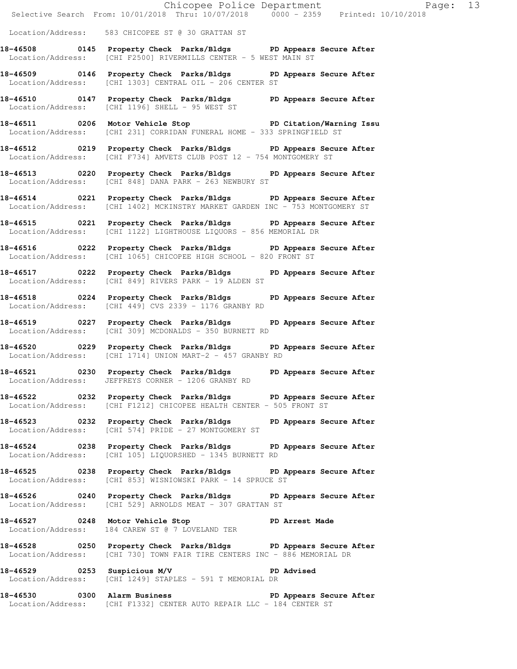|                              |                                                                                                                                                  | Chicopee Police Department<br>Selective Search From: 10/01/2018 Thru: 10/07/2018 0000 - 2359 Printed: 10/10/2018 |  |
|------------------------------|--------------------------------------------------------------------------------------------------------------------------------------------------|------------------------------------------------------------------------------------------------------------------|--|
|                              |                                                                                                                                                  |                                                                                                                  |  |
|                              | Location/Address: 583 CHICOPEE ST @ 30 GRATTAN ST                                                                                                |                                                                                                                  |  |
|                              | 18-46508 0145 Property Check Parks/Bldgs PD Appears Secure After<br>Location/Address: [CHI F2500] RIVERMILLS CENTER - 5 WEST MAIN ST             |                                                                                                                  |  |
|                              | 18-46509 0146 Property Check Parks/Bldgs PD Appears Secure After<br>Location/Address: [CHI 1303] CENTRAL OIL - 206 CENTER ST                     |                                                                                                                  |  |
|                              | 18-46510 0147 Property Check Parks/Bldgs PD Appears Secure After<br>Location/Address: [CHI 1196] SHELL - 95 WEST ST                              |                                                                                                                  |  |
|                              | 18-46511 0206 Motor Vehicle Stop North PD Citation/Warning Issu<br>Location/Address: [CHI 231] CORRIDAN FUNERAL HOME - 333 SPRINGFIELD ST        |                                                                                                                  |  |
|                              | 18-46512 0219 Property Check Parks/Bldgs PD Appears Secure After<br>Location/Address: [CHI F734] AMVETS CLUB POST 12 - 754 MONTGOMERY ST         |                                                                                                                  |  |
|                              | 18-46513 0220 Property Check Parks/Bldgs PD Appears Secure After<br>Location/Address: [CHI 848] DANA PARK - 263 NEWBURY ST                       |                                                                                                                  |  |
|                              | 18-46514 0221 Property Check Parks/Bldgs PD Appears Secure After<br>Location/Address: [CHI 1402] MCKINSTRY MARKET GARDEN INC - 753 MONTGOMERY ST |                                                                                                                  |  |
|                              | 18-46515 0221 Property Check Parks/Bldgs PD Appears Secure After<br>Location/Address: [CHI 1122] LIGHTHOUSE LIQUORS - 856 MEMORIAL DR            |                                                                                                                  |  |
|                              | 18-46516 0222 Property Check Parks/Bldgs PD Appears Secure After<br>Location/Address: [CHI 1065] CHICOPEE HIGH SCHOOL - 820 FRONT ST             |                                                                                                                  |  |
|                              | 18-46517 0222 Property Check Parks/Bldgs PD Appears Secure After<br>Location/Address: [CHI 849] RIVERS PARK - 19 ALDEN ST                        |                                                                                                                  |  |
|                              | 18-46518 0224 Property Check Parks/Bldgs PD Appears Secure After<br>Location/Address: [CHI 449] CVS 2339 - 1176 GRANBY RD                        |                                                                                                                  |  |
|                              | 18-46519 		 0227 Property Check Parks/Bldgs 		 PD Appears Secure After<br>Location/Address: [CHI 309] MCDONALDS - 350 BURNETT RD                 |                                                                                                                  |  |
|                              | 18-46520 0229 Property Check Parks/Bldgs PD Appears Secure After<br>Location/Address: [CHI 1714] UNION MART-2 - 457 GRANBY RD                    |                                                                                                                  |  |
|                              | 18-46521 0230 Property Check Parks/Bldgs PD Appears Secure After<br>Location/Address: JEFFREYS CORNER - 1206 GRANBY RD                           |                                                                                                                  |  |
|                              | 18-46522 		 0232 Property Check Parks/Bldgs 		 PD Appears Secure After<br>Location/Address: [CHI F1212] CHICOPEE HEALTH CENTER - 505 FRONT ST    |                                                                                                                  |  |
|                              | 18-46523 0232 Property Check Parks/Bldgs PD Appears Secure After<br>Location/Address: [CHI 574] PRIDE - 27 MONTGOMERY ST                         |                                                                                                                  |  |
|                              | 18-46524 0238 Property Check Parks/Bldgs PD Appears Secure After<br>Location/Address: [CHI 105] LIQUORSHED - 1345 BURNETT RD                     |                                                                                                                  |  |
|                              | 18-46525 0238 Property Check Parks/Bldgs PD Appears Secure After<br>Location/Address: [CHI 853] WISNIOWSKI PARK - 14 SPRUCE ST                   |                                                                                                                  |  |
|                              | 18-46526 0240 Property Check Parks/Bldgs PD Appears Secure After<br>Location/Address: [CHI 529] ARNOLDS MEAT - 307 GRATTAN ST                    |                                                                                                                  |  |
|                              | 18-46527 0248 Motor Vehicle Stop Communication PD Arrest Made<br>Location/Address: 184 CAREW ST @ 7 LOVELAND TER                                 |                                                                                                                  |  |
|                              | 18-46528 0250 Property Check Parks/Bldgs PD Appears Secure After<br>Location/Address: [CHI 730] TOWN FAIR TIRE CENTERS INC - 886 MEMORIAL DR     |                                                                                                                  |  |
| 18-46529 0253 Suspicious M/V | Location/Address: [CHI 1249] STAPLES - 591 T MEMORIAL DR                                                                                         | PD Advised                                                                                                       |  |
|                              | 18-46530 0300 Alarm Business 20 PD Appears Secure After<br>Location/Address: [CHI F1332] CENTER AUTO REPAIR LLC - 184 CENTER ST                  |                                                                                                                  |  |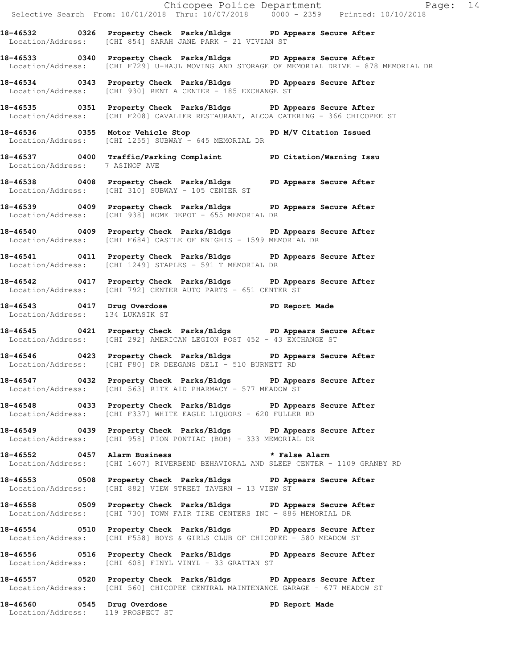|                                   | Chicopee Police Department<br>Selective Search From: 10/01/2018 Thru: 10/07/2018 0000 - 2359 Printed: 10/10/2018                                               |
|-----------------------------------|----------------------------------------------------------------------------------------------------------------------------------------------------------------|
|                                   | 18-46532 0326 Property Check Parks/Bldgs PD Appears Secure After<br>Location/Address: [CHI 854] SARAH JANE PARK - 21 VIVIAN ST                                 |
|                                   | 18-46533 0340 Property Check Parks/Bldgs PD Appears Secure After<br>Location/Address: [CHI F729] U-HAUL MOVING AND STORAGE OF MEMORIAL DRIVE - 878 MEMORIAL DR |
|                                   | 18-46534 0343 Property Check Parks/Bldgs PD Appears Secure After<br>Location/Address: [CHI 930] RENT A CENTER - 185 EXCHANGE ST                                |
|                                   | 18-46535 0351 Property Check Parks/Bldgs PD Appears Secure After<br>Location/Address: [CHI F208] CAVALIER RESTAURANT, ALCOA CATERING - 366 CHICOPEE ST         |
|                                   | 18-46536 		 0355 Motor Vehicle Stop 		 PD M/V Citation Issued<br>Location/Address: [CHI 1255] SUBWAY - 645 MEMORIAL DR                                         |
| Location/Address: 7 ASINOF AVE    | 18-46537 0400 Traffic/Parking Complaint PD Citation/Warning Issu                                                                                               |
|                                   | 18-46538 0408 Property Check Parks/Bldgs PD Appears Secure After<br>Location/Address: [CHI 310] SUBWAY - 105 CENTER ST                                         |
|                                   | 18-46539 0409 Property Check Parks/Bldgs PD Appears Secure After<br>Location/Address: [CHI 938] HOME DEPOT - 655 MEMORIAL DR                                   |
|                                   | 18-46540 0409 Property Check Parks/Bldgs PD Appears Secure After<br>Location/Address: [CHI F684] CASTLE OF KNIGHTS - 1599 MEMORIAL DR                          |
|                                   | 18-46541 0411 Property Check Parks/Bldgs PD Appears Secure After<br>Location/Address: [CHI 1249] STAPLES - 591 T MEMORIAL DR                                   |
|                                   | 18-46542 0417 Property Check Parks/Bldgs PD Appears Secure After<br>Location/Address: [CHI 792] CENTER AUTO PARTS - 651 CENTER ST                              |
| Location/Address: 134 LUKASIK ST  | 18-46543 0417 Drug Overdose 2011 PD Report Made                                                                                                                |
|                                   | 18-46545 0421 Property Check Parks/Bldgs PD Appears Secure After<br>Location/Address: [CHI 292] AMERICAN LEGION POST 452 - 43 EXCHANGE ST                      |
|                                   | 18-46546 		 0423 Property Check Parks/Bldgs 		 PD Appears Secure After<br>Location/Address: [CHI F80] DR DEEGANS DELI - 510 BURNETT RD                         |
|                                   | 18-46547 0432 Property Check Parks/Bldgs PD Appears Secure After<br>Location/Address: [CHI 563] RITE AID PHARMACY - 577 MEADOW ST                              |
|                                   | 18-46548 0433 Property Check Parks/Bldgs PD Appears Secure After<br>Location/Address: [CHI F337] WHITE EAGLE LIQUORS - 620 FULLER RD                           |
|                                   | 18-46549 0439 Property Check Parks/Bldgs PD Appears Secure After<br>Location/Address: [CHI 958] PION PONTIAC (BOB) - 333 MEMORIAL DR                           |
|                                   | 18-46552 5 0457 Alarm Business 2 3 and the False Alarm<br>Location/Address: [CHI 1607] RIVERBEND BEHAVIORAL AND SLEEP CENTER - 1109 GRANBY RD                  |
|                                   | 18-46553 0508 Property Check Parks/Bldgs PD Appears Secure After<br>Location/Address: [CHI 882] VIEW STREET TAVERN - 13 VIEW ST                                |
|                                   | 18-46558 0509 Property Check Parks/Bldgs PD Appears Secure After<br>Location/Address: [CHI 730] TOWN FAIR TIRE CENTERS INC - 886 MEMORIAL DR                   |
|                                   | 18-46554 0510 Property Check Parks/Bldgs PD Appears Secure After<br>Location/Address: [CHI F558] BOYS & GIRLS CLUB OF CHICOPEE - 580 MEADOW ST                 |
|                                   | 18-46556 0516 Property Check Parks/Bldgs PD Appears Secure After<br>Location/Address: [CHI 608] FINYL VINYL - 33 GRATTAN ST                                    |
|                                   | 18-46557 0520 Property Check Parks/Bldgs PD Appears Secure After<br>Location/Address: [CHI 560] CHICOPEE CENTRAL MAINTENANCE GARAGE - 677 MEADOW ST            |
| Location/Address: 119 PROSPECT ST | 18-46560 0545 Drug Overdose<br>PD Report Made                                                                                                                  |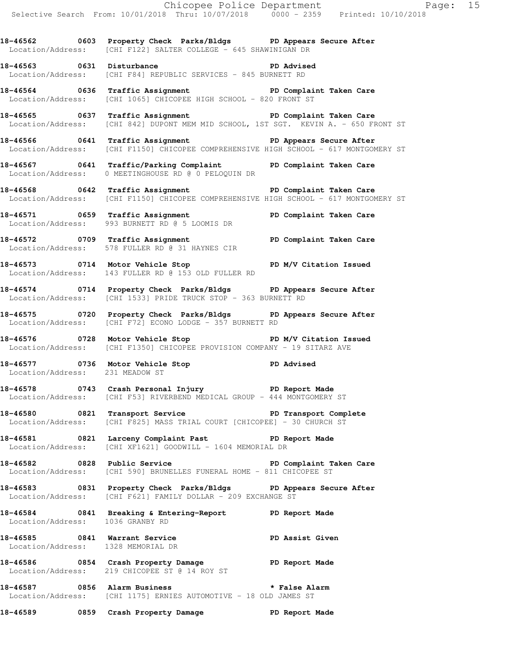|                                                                     |                                                                                                                                                              | Chicopee Police Department<br>Selective Search From: 10/01/2018 Thru: 10/07/2018 0000 - 2359 Printed: 10/10/2018 |  |
|---------------------------------------------------------------------|--------------------------------------------------------------------------------------------------------------------------------------------------------------|------------------------------------------------------------------------------------------------------------------|--|
|                                                                     | 18-46562 0603 Property Check Parks/Bldgs PD Appears Secure After<br>Location/Address: [CHI F122] SALTER COLLEGE - 645 SHAWINIGAN DR                          |                                                                                                                  |  |
|                                                                     | 18-46563 0631 Disturbance <b>18-46563</b> PD Advised<br>Location/Address: [CHI F84] REPUBLIC SERVICES - 845 BURNETT RD                                       |                                                                                                                  |  |
|                                                                     | 18-46564 0636 Traffic Assignment New PD Complaint Taken Care<br>Location/Address: [CHI 1065] CHICOPEE HIGH SCHOOL - 820 FRONT ST                             |                                                                                                                  |  |
|                                                                     | 18-46565 0637 Traffic Assignment New PD Complaint Taken Care<br>Location/Address: [CHI 842] DUPONT MEM MID SCHOOL, 1ST SGT. KEVIN A. - 650 FRONT ST          |                                                                                                                  |  |
|                                                                     | 18-46566 0641 Traffic Assignment 18-46566 PD Appears Secure After<br>Location/Address: [CHI F1150] CHICOPEE COMPREHENSIVE HIGH SCHOOL - 617 MONTGOMERY ST    |                                                                                                                  |  |
|                                                                     | 18-46567 0641 Traffic/Parking Complaint PD Complaint Taken Care<br>Location/Address: 0 MEETINGHOUSE RD @ 0 PELOQUIN DR                                       |                                                                                                                  |  |
|                                                                     | 18-46568 0642 Traffic Assignment Number 2001 PD Complaint Taken Care<br>Location/Address: [CHI F1150] CHICOPEE COMPREHENSIVE HIGH SCHOOL - 617 MONTGOMERY ST |                                                                                                                  |  |
|                                                                     | 18-46571 0659 Traffic Assignment Number 2014 PD Complaint Taken Care<br>Location/Address: 993 BURNETT RD @ 5 LOOMIS DR                                       |                                                                                                                  |  |
|                                                                     | 18-46572 0709 Traffic Assignment <b>18-46572</b> PD Complaint Taken Care<br>Location/Address: 578 FULLER RD @ 31 HAYNES CIR                                  |                                                                                                                  |  |
|                                                                     | 18-46573 0714 Motor Vehicle Stop PD M/V Citation Issued<br>Location/Address: 143 FULLER RD @ 153 OLD FULLER RD                                               |                                                                                                                  |  |
|                                                                     | 18-46574 0714 Property Check Parks/Bldgs PD Appears Secure After<br>Location/Address: [CHI 1533] PRIDE TRUCK STOP - 363 BURNETT RD                           |                                                                                                                  |  |
|                                                                     | 18-46575 0720 Property Check Parks/Bldgs PD Appears Secure After<br>$Location/Address:$ $[CHI F72] ECONO LODGE - 357 BURNETT RD$                             |                                                                                                                  |  |
|                                                                     | 18-46576 0728 Motor Vehicle Stop N/V Citation Issued<br>Location/Address: [CHI F1350] CHICOPEE PROVISION COMPANY - 19 SITARZ AVE                             |                                                                                                                  |  |
| Location/Address: 231 MEADOW ST                                     | 18-46577 0736 Motor Vehicle Stop North PD Advised                                                                                                            |                                                                                                                  |  |
|                                                                     | 18-46578 0743 Crash Personal Injury Neport Made<br>Location/Address: [CHI F53] RIVERBEND MEDICAL GROUP - 444 MONTGOMERY ST                                   |                                                                                                                  |  |
|                                                                     | 18-46580 0821 Transport Service <b>1898 PD</b> Transport Complete<br>Location/Address: [CHI F825] MASS TRIAL COURT [CHICOPEE] - 30 CHURCH ST                 |                                                                                                                  |  |
|                                                                     | 18-46581 0821 Larceny Complaint Past PD Report Made<br>Location/Address: [CHI XF1621] GOODWILL - 1604 MEMORIAL DR                                            |                                                                                                                  |  |
|                                                                     | 18-46582 18-46582 0828 Public Service 19 PD Complaint Taken Care<br>Location/Address: [CHI 590] BRUNELLES FUNERAL HOME - 811 CHICOPEE ST                     |                                                                                                                  |  |
|                                                                     | 18-46583 0831 Property Check Parks/Bldgs PD Appears Secure After<br>Location/Address: [CHI F621] FAMILY DOLLAR - 209 EXCHANGE ST                             |                                                                                                                  |  |
|                                                                     | 18-46584 0841 Breaking & Entering-Report PD Report Made<br>Location/Address: 1036 GRANBY RD                                                                  |                                                                                                                  |  |
| 18-46585 0841 Warrant Service<br>Location/Address: 1328 MEMORIAL DR |                                                                                                                                                              | PD Assist Given                                                                                                  |  |
|                                                                     | 18-46586 1854 Crash Property Damage 18-46586 PD Report Made<br>Location/Address: 219 CHICOPEE ST @ 14 ROY ST                                                 |                                                                                                                  |  |
|                                                                     | 18-46587 1856 Alarm Business 18-46587 18-46587<br>Location/Address: [CHI 1175] ERNIES AUTOMOTIVE - 18 OLD JAMES ST                                           |                                                                                                                  |  |
|                                                                     | 18-46589 0859 Crash Property Damage Name PD Report Made                                                                                                      |                                                                                                                  |  |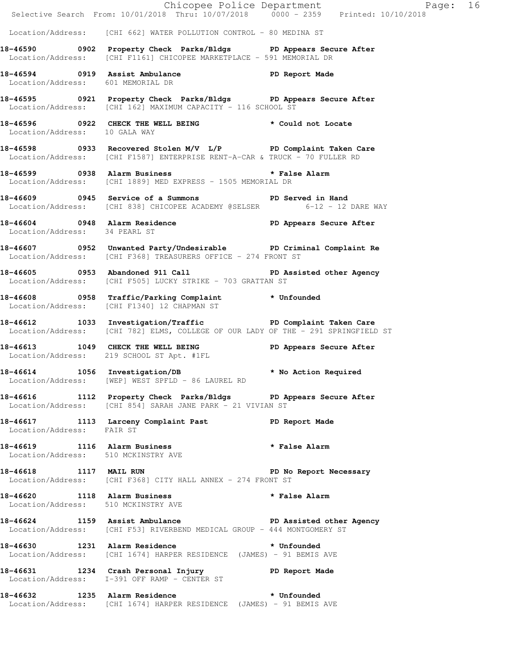|                                     | E Chicopee Police Department<br>Selective Search From: 10/01/2018 Thru: 10/07/2018 0000 - 2359 Printed: 10/10/2018                               | Page: 16                |
|-------------------------------------|--------------------------------------------------------------------------------------------------------------------------------------------------|-------------------------|
|                                     | Location/Address: [CHI 662] WATER POLLUTION CONTROL - 80 MEDINA ST                                                                               |                         |
|                                     | 18-46590 0902 Property Check Parks/Bldgs PD Appears Secure After<br>Location/Address: [CHI F1161] CHICOPEE MARKETPLACE - 591 MEMORIAL DR         |                         |
| Location/Address: 601 MEMORIAL DR   | 18-46594 0919 Assist Ambulance New PD Report Made                                                                                                |                         |
|                                     | 18-46595 0921 Property Check Parks/Bldgs PD Appears Secure After<br>Location/Address: [CHI 162] MAXIMUM CAPACITY - 116 SCHOOL ST                 |                         |
| Location/Address: 10 GALA WAY       | 18-46596 0922 CHECK THE WELL BEING * Could not Locate                                                                                            |                         |
|                                     | 18-46598 0933 Recovered Stolen M/V L/P PD Complaint Taken Care<br>Location/Address: [CHI F1587] ENTERPRISE RENT-A-CAR & TRUCK - 70 FULLER RD     |                         |
|                                     | 18-46599 		 0938 Alarm Business 		 * False Alarm<br>Location/Address: [CHI 1889] MED EXPRESS - 1505 MEMORIAL DR                                  |                         |
|                                     | 18-46609 0945 Service of a Summons TPD Served in Hand<br>Location/Address: [CHI 838] CHICOPEE ACADEMY @SELSER 6-12 - 12 DARE WAY                 |                         |
| Location/Address: 34 PEARL ST       | 18-46604 0948 Alarm Residence PD Appears Secure After                                                                                            |                         |
|                                     | 18-46607 0952 Unwanted Party/Undesirable PD Criminal Complaint Re<br>Location/Address: [CHI F368] TREASURERS OFFICE - 274 FRONT ST               |                         |
|                                     | 18-46605 0953 Abandoned 911 Call PD Assisted other Agency<br>Location/Address: [CHI F505] LUCKY STRIKE - 703 GRATTAN ST                          |                         |
|                                     | 18-46608 0958 Traffic/Parking Complaint * Unfounded<br>Location/Address: [CHI F1340] 12 CHAPMAN ST                                               |                         |
|                                     | 18-46612 1033 Investigation/Traffic PD Complaint Taken Care<br>Location/Address: [CHI 782] ELMS, COLLEGE OF OUR LADY OF THE - 291 SPRINGFIELD ST |                         |
|                                     | 18-46613 1049 CHECK THE WELL BEING<br>Location/Address: 219 SCHOOL ST Apt. #1FL                                                                  | PD Appears Secure After |
| 18-46614 1056 Investigation/DB      | Location/Address: [WEP] WEST SPFLD - 86 LAUREL RD                                                                                                | * No Action Required    |
|                                     | 18-46616 1112 Property Check Parks/Bldgs PD Appears Secure After<br>Location/Address: [CHI 854] SARAH JANE PARK - 21 VIVIAN ST                   |                         |
| Location/Address: FAIR ST           | 18-46617 1113 Larceny Complaint Past PD Report Made                                                                                              |                         |
| Location/Address: 510 MCKINSTRY AVE | 18-46619 1116 Alarm Business                                                                                                                     | * False Alarm           |
| 18-46618 1117 MAIL RUN              | Location/Address: [CHI F368] CITY HALL ANNEX - 274 FRONT ST                                                                                      | PD No Report Necessary  |
| Location/Address: 510 MCKINSTRY AVE | 18-46620 1118 Alarm Business                                                                                                                     | * False Alarm           |
|                                     | 18-46624 1159 Assist Ambulance New PD Assisted other Agency<br>Location/Address: [CHI F53] RIVERBEND MEDICAL GROUP - 444 MONTGOMERY ST           |                         |
|                                     | 18-46630 1231 Alarm Residence<br>Location/Address: [CHI 1674] HARPER RESIDENCE (JAMES) - 91 BEMIS AVE                                            | * Unfounded             |
|                                     | 18-46631 1234 Crash Personal Injury<br>Location/Address: I-391 OFF RAMP - CENTER ST                                                              | PD Report Made          |
|                                     | 18-46632 1235 Alarm Residence * * Unfounded<br>Location/Address: [CHI 1674] HARPER RESIDENCE (JAMES) - 91 BEMIS AVE                              |                         |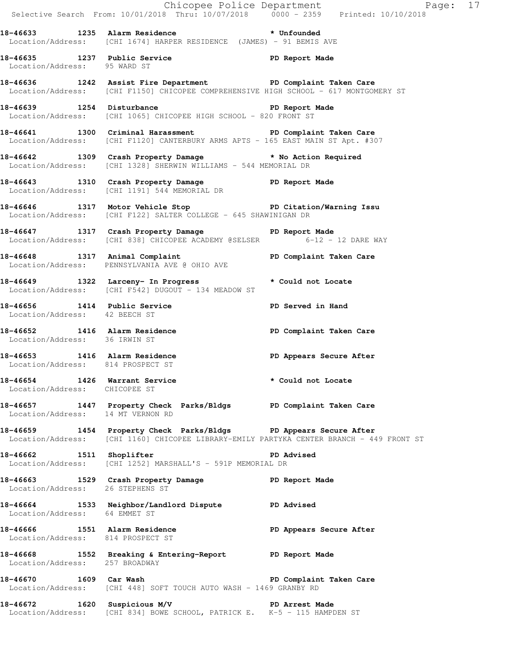|                                                                |                                                                                                                                                      | Chicopee Police Department<br>Selective Search From: 10/01/2018 Thru: 10/07/2018 0000 - 2359 Printed: 10/10/2018 |  |
|----------------------------------------------------------------|------------------------------------------------------------------------------------------------------------------------------------------------------|------------------------------------------------------------------------------------------------------------------|--|
|                                                                |                                                                                                                                                      |                                                                                                                  |  |
|                                                                | 18-46633 1235 Alarm Residence * * Unfounded<br>Location/Address: [CHI 1674] HARPER RESIDENCE (JAMES) - 91 BEMIS AVE                                  |                                                                                                                  |  |
| Location/Address: 95 WARD ST                                   | 18-46635 1237 Public Service 20 PD Report Made                                                                                                       |                                                                                                                  |  |
|                                                                | 18-46636 1242 Assist Fire Department PD Complaint Taken Care<br>Location/Address: [CHI F1150] CHICOPEE COMPREHENSIVE HIGH SCHOOL - 617 MONTGOMERY ST |                                                                                                                  |  |
|                                                                | 18-46639 1254 Disturbance<br>Location/Address: [CHI 1065] CHICOPEE HIGH SCHOOL - 820 FRONT ST                                                        |                                                                                                                  |  |
|                                                                | 18-46641 1300 Criminal Harassment 1900 PD Complaint Taken Care<br>Location/Address: [CHI F1120] CANTERBURY ARMS APTS - 165 EAST MAIN ST Apt. #307    |                                                                                                                  |  |
|                                                                | 18-46642 1309 Crash Property Damage * No Action Required<br>Location/Address: [CHI 1328] SHERWIN WILLIAMS - 544 MEMORIAL DR                          |                                                                                                                  |  |
|                                                                | 18-46643 1310 Crash Property Damage PD Report Made<br>Location/Address: [CHI 1191] 544 MEMORIAL DR                                                   |                                                                                                                  |  |
|                                                                | 18-46646 1317 Motor Vehicle Stop PD Citation/Warning Issu<br>Location/Address: [CHI F122] SALTER COLLEGE - 645 SHAWINIGAN DR                         |                                                                                                                  |  |
|                                                                | 18-46647 1317 Crash Property Damage Name PD Report Made<br>Location/Address: [CHI 838] CHICOPEE ACADEMY @SELSER 6-12 - 12 DARE WAY                   |                                                                                                                  |  |
|                                                                | 18-46648 1317 Animal Complaint 18-46648 PD Complaint Taken Care<br>Location/Address: PENNSYLVANIA AVE @ OHIO AVE                                     |                                                                                                                  |  |
|                                                                | 18-46649 1322 Larceny- In Progress * Could not Locate<br>Location/Address: [CHI F542] DUGOUT - 134 MEADOW ST                                         |                                                                                                                  |  |
| Location/Address: 42 BEECH ST                                  | 18-46656 1414 Public Service New PD Served in Hand                                                                                                   |                                                                                                                  |  |
| Location/Address: 36 IRWIN ST                                  | 18-46652 1416 Alarm Residence New PD Complaint Taken Care                                                                                            |                                                                                                                  |  |
| Location/Address: 814 PROSPECT ST                              | 18-46653 1416 Alarm Residence New PD Appears Secure After                                                                                            |                                                                                                                  |  |
| 18-46654 1426 Warrant Service<br>Location/Address: CHICOPEE ST |                                                                                                                                                      | * Could not Locate                                                                                               |  |
|                                                                | 18-46657 1447 Property Check Parks/Bldgs PD Complaint Taken Care<br>Location/Address: 14 MT VERNON RD                                                |                                                                                                                  |  |
|                                                                | 18-46659 1454 Property Check Parks/Bldgs PD Appears Secure After                                                                                     | Location/Address: [CHI 1160] CHICOPEE LIBRARY-EMILY PARTYKA CENTER BRANCH - 449 FRONT ST                         |  |
|                                                                | 18-46662 1511 Shoplifter 2001 PD Advised<br>Location/Address: [CHI 1252] MARSHALL'S - 591P MEMORIAL DR                                               |                                                                                                                  |  |
| Location/Address: 26 STEPHENS ST                               | 18-46663 1529 Crash Property Damage PD Report Made                                                                                                   |                                                                                                                  |  |
| Location/Address: 64 EMMET ST                                  | 18-46664 1533 Neighbor/Landlord Dispute PD Advised                                                                                                   |                                                                                                                  |  |
| Location/Address: 814 PROSPECT ST                              | 18-46666 1551 Alarm Residence 1997 PD Appears Secure After                                                                                           |                                                                                                                  |  |
| Location/Address: 257 BROADWAY                                 | 18-46668 1552 Breaking & Entering-Report PD Report Made                                                                                              |                                                                                                                  |  |
| 18-46670 1609 Car Wash                                         | Location/Address: [CHI 448] SOFT TOUCH AUTO WASH - 1469 GRANBY RD                                                                                    | PD Complaint Taken Care                                                                                          |  |
|                                                                | 18-46672 1620 Suspicious M/V PD Arrest Made<br>Location/Address: [CHI 834] BOWE SCHOOL, PATRICK E. K-5 - 115 HAMPDEN ST                              |                                                                                                                  |  |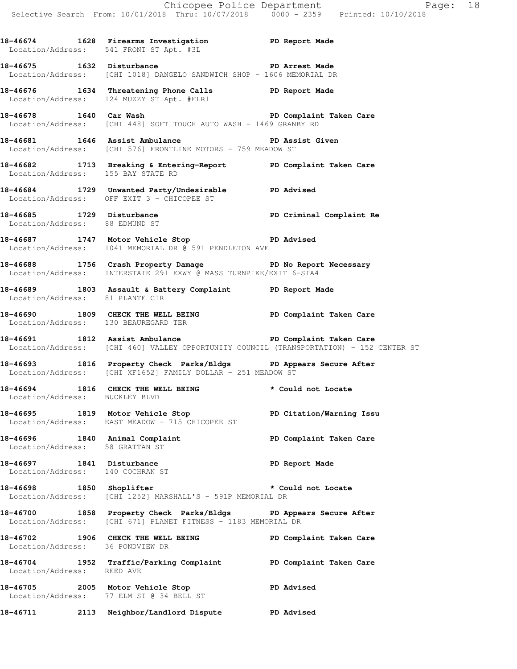**18-46674 1628 Firearms Investigation PD Report Made** 

Location/Address: 541 FRONT ST Apt. #3L

**18-46675 1632 Disturbance PD Arrest Made**  Location/Address: [CHI 1018] DANGELO SANDWICH SHOP - 1606 MEMORIAL DR **18-46676 1634 Threatening Phone Calls PD Report Made**  Location/Address: 124 MUZZY ST Apt. #FLR1 **18-46678 1640 Car Wash PD Complaint Taken Care**  Location/Address: [CHI 448] SOFT TOUCH AUTO WASH - 1469 GRANBY RD **18-46681 1646 Assist Ambulance PD Assist Given**  Location/Address: [CHI 576] FRONTLINE MOTORS - 759 MEADOW ST **18-46682 1713 Breaking & Entering-Report PD Complaint Taken Care**  Location/Address: 155 BAY STATE RD **18-46684 1729 Unwanted Party/Undesirable PD Advised**  Location/Address: OFF EXIT 3 - CHICOPEE ST **18-46685 1729 Disturbance PD Criminal Complaint Re**  Location/Address: 88 EDMUND ST **18-46687 1747 Motor Vehicle Stop PD Advised**  Location/Address: 1041 MEMORIAL DR @ 591 PENDLETON AVE **18-46688 1756 Crash Property Damage PD No Report Necessary**  Location/Address: INTERSTATE 291 EXWY @ MASS TURNPIKE/EXIT 6-STA4 **18-46689 1803 Assault & Battery Complaint PD Report Made**  Location/Address: 81 PLANTE CIR **18-46690 1809 CHECK THE WELL BEING PD Complaint Taken Care**  Location/Address: 130 BEAUREGARD TER 18-46691 1812 Assist Ambulance **PD Complaint Taken Care**  Location/Address: [CHI 460] VALLEY OPPORTUNITY COUNCIL (TRANSPORTATION) - 152 CENTER ST **18-46693 1816 Property Check Parks/Bldgs PD Appears Secure After**  Location/Address: [CHI XF1652] FAMILY DOLLAR - 251 MEADOW ST **18-46694 1816 CHECK THE WELL BEING \* Could not Locate**  Location/Address: BUCKLEY BLVD **18-46695 1819 Motor Vehicle Stop PD Citation/Warning Issu**  Location/Address: EAST MEADOW - 715 CHICOPEE ST **18-46696 1840 Animal Complaint PD Complaint Taken Care**  Location/Address: 58 GRATTAN ST **18-46697 1841 Disturbance PD Report Made**  Location/Address: 140 COCHRAN ST **18-46698 1850 Shoplifter \* Could not Locate**  Location/Address: [CHI 1252] MARSHALL'S - 591P MEMORIAL DR **18-46700 1858 Property Check Parks/Bldgs PD Appears Secure After**  Location/Address: [CHI 671] PLANET FITNESS - 1183 MEMORIAL DR **18-46702 1906 CHECK THE WELL BEING PD Complaint Taken Care**  Location/Address: 36 PONDVIEW DR **18-46704 1952 Traffic/Parking Complaint PD Complaint Taken Care**  Location/Address: REED AVE **18-46705 2005 Motor Vehicle Stop PD Advised**  Location/Address: 77 ELM ST @ 34 BELL ST **18-46711 2113 Neighbor/Landlord Dispute PD Advised**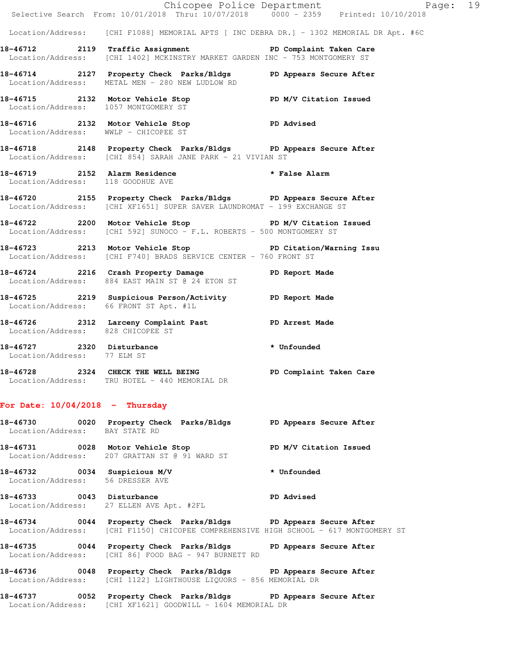|                                   | E Chicopee Police Department<br>Selective Search From: 10/01/2018 Thru: 10/07/2018 0000 - 2359 Printed: 10/10/2018                               | Page: 19 |
|-----------------------------------|--------------------------------------------------------------------------------------------------------------------------------------------------|----------|
|                                   | Location/Address: [CHI F1088] MEMORIAL APTS [ INC DEBRA DR.] - 1302 MEMORIAL DR Apt. #6C                                                         |          |
|                                   |                                                                                                                                                  |          |
|                                   | 18-46712 119 Traffic Assignment 18-46712 PD Complaint Taken Care<br>Location/Address: [CHI 1402] MCKINSTRY MARKET GARDEN INC - 753 MONTGOMERY ST |          |
|                                   | 18-46714 2127 Property Check Parks/Bldgs PD Appears Secure After<br>Location/Address: METAL MEN - 280 NEW LUDLOW RD                              |          |
|                                   | 18-46715 2132 Motor Vehicle Stop N/V Citation Issued<br>Location/Address: 1057 MONTGOMERY ST                                                     |          |
|                                   | 18-46716 2132 Motor Vehicle Stop PD Advised<br>Location/Address: WWLP - CHICOPEE ST                                                              |          |
|                                   | 18-46718 2148 Property Check Parks/Bldgs PD Appears Secure After<br>Location/Address: [CHI 854] SARAH JANE PARK - 21 VIVIAN ST                   |          |
| Location/Address: 118 GOODHUE AVE | 18-46719 2152 Alarm Residence * * False Alarm                                                                                                    |          |
|                                   | 18-46720 2155 Property Check Parks/Bldgs PD Appears Secure After<br>Location/Address: [CHI XF1651] SUPER SAVER LAUNDROMAT - 199 EXCHANGE ST      |          |
|                                   | 18-46722 2200 Motor Vehicle Stop N/V Citation Issued<br>Location/Address: [CHI 592] SUNOCO - F.L. ROBERTS - 500 MONTGOMERY ST                    |          |
|                                   | 18-46723 2213 Motor Vehicle Stop PD Citation/Warning Issu<br>Location/Address: [CHI F740] BRADS SERVICE CENTER - 760 FRONT ST                    |          |
|                                   | 18-46724 2216 Crash Property Damage PD Report Made<br>Location/Address: 884 EAST MAIN ST @ 24 ETON ST                                            |          |
|                                   | 18-46725 2219 Suspicious Person/Activity PD Report Made<br>Location/Address: 66 FRONT ST Apt. #1L                                                |          |
| Location/Address: 828 CHICOPEE ST | 18-46726 2312 Larceny Complaint Past 9D Arrest Made                                                                                              |          |
| Location/Address: 77 ELM ST       | $18-46727$ 2320 Disturbance * Unfounded                                                                                                          |          |
|                                   | 18-46728 2324 CHECK THE WELL BEING PD Complaint Taken Care<br>Location/Address: TRU HOTEL - 440 MEMORIAL DR                                      |          |
|                                   |                                                                                                                                                  |          |

# **For Date: 10/04/2018 - Thursday**

| 18-46730<br>Location/Address: BAY STATE RD | 0020 | Property Check Parks/Bldgs                                                                       | PD Appears Secure After |
|--------------------------------------------|------|--------------------------------------------------------------------------------------------------|-------------------------|
| 18-46731                                   |      | 0028 Motor Vehicle Stop<br>Location/Address: 207 GRATTAN ST @ 91 WARD ST                         | PD M/V Citation Issued  |
| 18-46732<br>Location/Address:              | 0034 | Suspicious M/V<br>56 DRESSER AVE                                                                 | * Unfounded             |
| 18-46733                                   | 0043 | Disturbance<br>Location/Address: 27 ELLEN AVE Apt. #2FL                                          | PD Advised              |
| 18-46734<br>Location/Address:              | 0044 | Property Check Parks/Bldgs<br>[CHI F1150] CHICOPEE COMPREHENSIVE HIGH SCHOOL - 617 MONTGOMERY ST | PD Appears Secure After |
| 18-46735<br>Location/Address:              | 0044 | Property Check Parks/Bldgs<br>[CHI 86] FOOD BAG - 947 BURNETT RD                                 | PD Appears Secure After |

**18-46736 0048 Property Check Parks/Bldgs PD Appears Secure After**  Location/Address: [CHI 1122] LIGHTHOUSE LIQUORS - 856 MEMORIAL DR

**18-46737 0052 Property Check Parks/Bldgs PD Appears Secure After**  Location/Address: [CHI XF1621] GOODWILL - 1604 MEMORIAL DR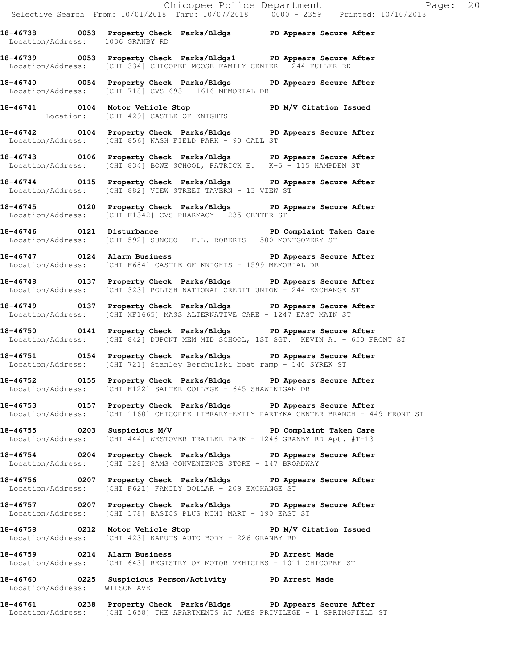Chicopee Police Department Fage: 20 Selective Search From: 10/01/2018 Thru: 10/07/2018 0000 - 2359 Printed: 10/10/2018 **18-46738 0053 Property Check Parks/Bldgs PD Appears Secure After**  Location/Address: 1036 GRANBY RD **18-46739 0053 Property Check Parks/Bldgs1 PD Appears Secure After**  Location/Address: [CHI 334] CHICOPEE MOOSE FAMILY CENTER - 244 FULLER RD **18-46740 0054 Property Check Parks/Bldgs PD Appears Secure After**  Location/Address: [CHI 718] CVS 693 - 1616 MEMORIAL DR **18-46741 0104 Motor Vehicle Stop PD M/V Citation Issued**  Location: [CHI 429] CASTLE OF KNIGHTS **18-46742 0104 Property Check Parks/Bldgs PD Appears Secure After**  Location/Address: [CHI 856] NASH FIELD PARK - 90 CALL ST **18-46743 0106 Property Check Parks/Bldgs PD Appears Secure After**  Location/Address: [CHI 834] BOWE SCHOOL, PATRICK E. K-5 - 115 HAMPDEN ST **18-46744 0115 Property Check Parks/Bldgs PD Appears Secure After**  Location/Address: [CHI 882] VIEW STREET TAVERN - 13 VIEW ST **18-46745 0120 Property Check Parks/Bldgs PD Appears Secure After**  Location/Address: [CHI F1342] CVS PHARMACY - 235 CENTER ST **18-46746 0121 Disturbance PD Complaint Taken Care**  Location/Address: [CHI 592] SUNOCO - F.L. ROBERTS - 500 MONTGOMERY ST **18-46747 0124 Alarm Business PD Appears Secure After**  Location/Address: [CHI F684] CASTLE OF KNIGHTS - 1599 MEMORIAL DR **18-46748 0137 Property Check Parks/Bldgs PD Appears Secure After**  Location/Address: [CHI 323] POLISH NATIONAL CREDIT UNION - 244 EXCHANGE ST **18-46749 0137 Property Check Parks/Bldgs PD Appears Secure After**  Location/Address: [CHI XF1665] MASS ALTERNATIVE CARE - 1247 EAST MAIN ST **18-46750 0141 Property Check Parks/Bldgs PD Appears Secure After**  Location/Address: [CHI 842] DUPONT MEM MID SCHOOL, 1ST SGT. KEVIN A. - 650 FRONT ST **18-46751 0154 Property Check Parks/Bldgs PD Appears Secure After**  Location/Address: [CHI 721] Stanley Berchulski boat ramp - 140 SYREK ST **18-46752 0155 Property Check Parks/Bldgs PD Appears Secure After**  Location/Address: [CHI F122] SALTER COLLEGE - 645 SHAWINIGAN DR **18-46753 0157 Property Check Parks/Bldgs PD Appears Secure After**  Location/Address: [CHI 1160] CHICOPEE LIBRARY-EMILY PARTYKA CENTER BRANCH - 449 FRONT ST **18-46755 0203 Suspicious M/V PD Complaint Taken Care**  Location/Address: [CHI 444] WESTOVER TRAILER PARK - 1246 GRANBY RD Apt. #T-13 **18-46754 0204 Property Check Parks/Bldgs PD Appears Secure After**  Location/Address: [CHI 328] SAMS CONVENIENCE STORE - 147 BROADWAY **18-46756 0207 Property Check Parks/Bldgs PD Appears Secure After**  Location/Address: [CHI F621] FAMILY DOLLAR - 209 EXCHANGE ST **18-46757 0207 Property Check Parks/Bldgs PD Appears Secure After**  Location/Address: [CHI 178] BASICS PLUS MINI MART - 190 EAST ST **18-46758 0212 Motor Vehicle Stop PD M/V Citation Issued**  Location/Address: [CHI 423] KAPUTS AUTO BODY - 226 GRANBY RD **18-46759 0214 Alarm Business PD Arrest Made**  Location/Address: [CHI 643] REGISTRY OF MOTOR VEHICLES - 1011 CHICOPEE ST **18-46760 0225 Suspicious Person/Activity PD Arrest Made**  Location/Address: WILSON AVE **18-46761 0238 Property Check Parks/Bldgs PD Appears Secure After** 

Location/Address: [CHI 1658] THE APARTMENTS AT AMES PRIVILEGE - 1 SPRINGFIELD ST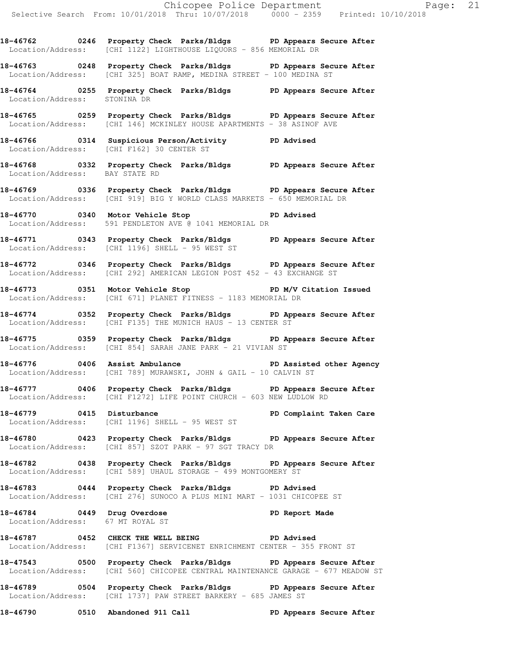**18-46762 0246 Property Check Parks/Bldgs PD Appears Secure After**  Location/Address: [CHI 1122] LIGHTHOUSE LIQUORS - 856 MEMORIAL DR

**18-46763 0248 Property Check Parks/Bldgs PD Appears Secure After**  Location/Address: [CHI 325] BOAT RAMP, MEDINA STREET - 100 MEDINA ST

**18-46764 0255 Property Check Parks/Bldgs PD Appears Secure After**  Location/Address: STONINA DR

**18-46765 0259 Property Check Parks/Bldgs PD Appears Secure After**  Location/Address: [CHI 146] MCKINLEY HOUSE APARTMENTS - 38 ASINOF AVE

**18-46766 0314 Suspicious Person/Activity PD Advised**  Location/Address: [CHI F162] 30 CENTER ST

**18-46768 0332 Property Check Parks/Bldgs PD Appears Secure After**  Location/Address: BAY STATE RD

**18-46769 0336 Property Check Parks/Bldgs PD Appears Secure After**  Location/Address: [CHI 919] BIG Y WORLD CLASS MARKETS - 650 MEMORIAL DR

**18-46770 0340 Motor Vehicle Stop PD Advised**  Location/Address: 591 PENDLETON AVE @ 1041 MEMORIAL DR

**18-46771 0343 Property Check Parks/Bldgs PD Appears Secure After**  Location/Address: [CHI 1196] SHELL - 95 WEST ST

**18-46772 0346 Property Check Parks/Bldgs PD Appears Secure After**  Location/Address: [CHI 292] AMERICAN LEGION POST 452 - 43 EXCHANGE ST

**18-46773 0351 Motor Vehicle Stop PD M/V Citation Issued**  Location/Address: [CHI 671] PLANET FITNESS - 1183 MEMORIAL DR

**18-46774 0352 Property Check Parks/Bldgs PD Appears Secure After**  Location/Address: [CHI F135] THE MUNICH HAUS - 13 CENTER ST

**18-46775 0359 Property Check Parks/Bldgs PD Appears Secure After**  Location/Address: [CHI 854] SARAH JANE PARK - 21 VIVIAN ST

**18-46776 0406 Assist Ambulance PD Assisted other Agency**  Location/Address: [CHI 789] MURAWSKI, JOHN & GAIL - 10 CALVIN ST

**18-46777 0406 Property Check Parks/Bldgs PD Appears Secure After**  Location/Address: [CHI F1272] LIFE POINT CHURCH - 603 NEW LUDLOW RD

**18-46779 0415 Disturbance PD Complaint Taken Care**  Location/Address: [CHI 1196] SHELL - 95 WEST ST

**18-46780 0423 Property Check Parks/Bldgs PD Appears Secure After**  Location/Address: [CHI 857] SZOT PARK - 97 SGT TRACY DR

**18-46782 0438 Property Check Parks/Bldgs PD Appears Secure After**  Location/Address: [CHI 589] UHAUL STORAGE - 499 MONTGOMERY ST

**18-46783 0444 Property Check Parks/Bldgs PD Advised**  Location/Address: [CHI 276] SUNOCO A PLUS MINI MART - 1031 CHICOPEE ST

**18-46784 0449 Drug Overdose PD Report Made**  Location/Address: 67 MT ROYAL ST

**18-46787 0452 CHECK THE WELL BEING PD Advised**  Location/Address: [CHI F1367] SERVICENET ENRICHMENT CENTER - 355 FRONT ST

**18-47543 0500 Property Check Parks/Bldgs PD Appears Secure After**  Location/Address: [CHI 560] CHICOPEE CENTRAL MAINTENANCE GARAGE - 677 MEADOW ST

**18-46789 0504 Property Check Parks/Bldgs PD Appears Secure After**  Location/Address: [CHI 1737] PAW STREET BARKERY - 685 JAMES ST

**18-46790 0510 Abandoned 911 Call PD Appears Secure After**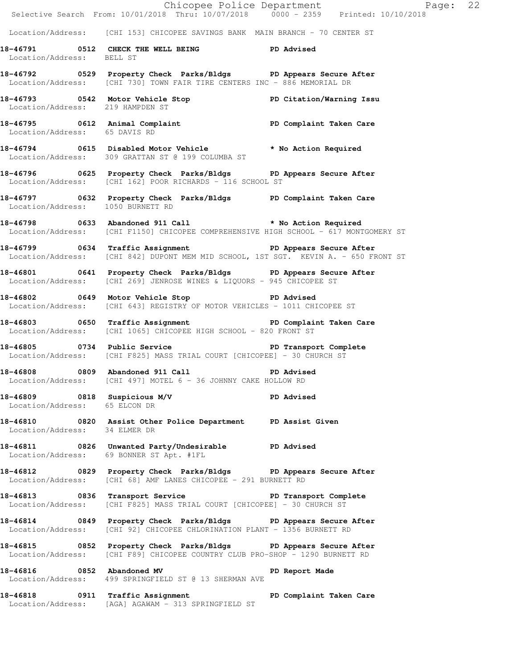|                                                               | E Chicopee Police Department<br>Selective Search From: 10/01/2018 Thru: 10/07/2018 0000 - 2359 Printed: 10/10/2018                                  | Page: 22                |  |
|---------------------------------------------------------------|-----------------------------------------------------------------------------------------------------------------------------------------------------|-------------------------|--|
|                                                               |                                                                                                                                                     |                         |  |
|                                                               | Location/Address: [CHI 153] CHICOPEE SAVINGS BANK MAIN BRANCH - 70 CENTER ST                                                                        |                         |  |
| Location/Address: BELL ST                                     | 18-46791 0512 CHECK THE WELL BEING PD Advised                                                                                                       |                         |  |
|                                                               | 18-46792 		 0529 Property Check Parks/Bldgs 		 PD Appears Secure After<br>Location/Address: [CHI 730] TOWN FAIR TIRE CENTERS INC - 886 MEMORIAL DR  |                         |  |
|                                                               | 18-46793   0542   Motor Vehicle Stop   PD Citation/Warning Issu<br>Location/Address: 219   HAMPDEN ST                                               |                         |  |
| Location/Address: 65 DAVIS RD                                 | 18-46795 0612 Animal Complaint 18-46795 PD Complaint Taken Care                                                                                     |                         |  |
|                                                               | 18-46794 0615 Disabled Motor Vehicle * No Action Required<br>Location/Address: 309 GRATTAN ST @ 199 COLUMBA ST                                      |                         |  |
|                                                               | 18-46796 0625 Property Check Parks/Bldgs PD Appears Secure After<br>Location/Address: [CHI 162] POOR RICHARDS - 116 SCHOOL ST                       |                         |  |
| Location/Address: 1050 BURNETT RD                             | 18-46797 0632 Property Check Parks/Bldgs PD Complaint Taken Care                                                                                    |                         |  |
|                                                               | 18-46798 0633 Abandoned 911 Call 30 x No Action Required<br>Location/Address: [CHI F1150] CHICOPEE COMPREHENSIVE HIGH SCHOOL - 617 MONTGOMERY ST    |                         |  |
|                                                               | 18-46799 0634 Traffic Assignment The PD Appears Secure After<br>Location/Address: [CHI 842] DUPONT MEM MID SCHOOL, 1ST SGT. KEVIN A. - 650 FRONT ST |                         |  |
|                                                               | 18-46801 0641 Property Check Parks/Bldgs PD Appears Secure After<br>Location/Address: [CHI 269] JENROSE WINES & LIQUORS - 945 CHICOPEE ST           |                         |  |
|                                                               | 18-46802 0649 Motor Vehicle Stop PD Advised<br>Location/Address: [CHI 643] REGISTRY OF MOTOR VEHICLES - 1011 CHICOPEE ST                            |                         |  |
|                                                               | 18-46803 0650 Traffic Assignment 18-46803 PD Complaint Taken Care<br>Location/Address: [CHI 1065] CHICOPEE HIGH SCHOOL - 820 FRONT ST               |                         |  |
|                                                               | 18-46805 0734 Public Service <b>18-46805</b> PD Transport Complete<br>Location/Address: [CHI F825] MASS TRIAL COURT [CHICOPEE] - 30 CHURCH ST       |                         |  |
| 18-46808 0809 Abandoned 911 Call                              | <b>PD</b> Advised<br>Location/Address: [CHI 497] MOTEL 6 - 36 JOHNNY CAKE HOLLOW RD                                                                 |                         |  |
| 18-46809 0818 Suspicious M/V<br>Location/Address: 65 ELCON DR |                                                                                                                                                     | <b>PD Advised</b>       |  |
| Location/Address: 34 ELMER DR                                 | 18-46810 0820 Assist Other Police Department PD Assist Given                                                                                        |                         |  |
|                                                               | 18-46811 0826 Unwanted Party/Undesirable PD Advised<br>Location/Address: 69 BONNER ST Apt. #1FL                                                     |                         |  |
|                                                               | 18-46812 0829 Property Check Parks/Bldgs PD Appears Secure After<br>Location/Address: [CHI 68] AMF LANES CHICOPEE - 291 BURNETT RD                  |                         |  |
| Location/Address:                                             | 18-46813 0836 Transport Service The PD Transport Complete<br>[CHI F825] MASS TRIAL COURT [CHICOPEE] - 30 CHURCH ST                                  |                         |  |
|                                                               | 18-46814 0849 Property Check Parks/Bldgs PD Appears Secure After<br>Location/Address: [CHI 92] CHICOPEE CHLORINATION PLANT - 1356 BURNETT RD        |                         |  |
|                                                               | 18-46815 0852 Property Check Parks/Bldgs PD Appears Secure After<br>Location/Address: [CHI F89] CHICOPEE COUNTRY CLUB PRO-SHOP - 1290 BURNETT RD    |                         |  |
| 18-46816 0852 Abandoned MV                                    | Location/Address: 499 SPRINGFIELD ST @ 13 SHERMAN AVE                                                                                               | PD Report Made          |  |
|                                                               | 18-46818 0911 Traffic Assignment<br>Location/Address: [AGA] AGAWAM - 313 SPRINGFIELD ST                                                             | PD Complaint Taken Care |  |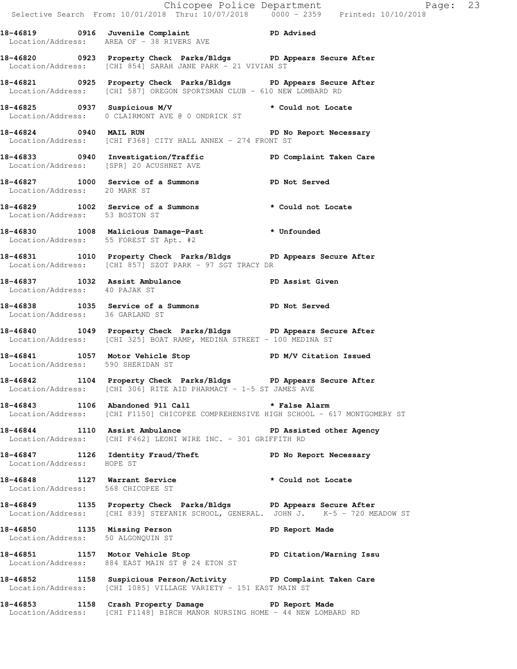Chicopee Police Department Page: 23 Selective Search From: 10/01/2018 Thru: 10/07/2018 0000 - 2359 Printed: 10/10/2018 **18-46819 0916 Juvenile Complaint PD Advised**  Location/Address: AREA OF - 38 RIVERS AVE **18-46820 0923 Property Check Parks/Bldgs PD Appears Secure After**  Location/Address: [CHI 854] SARAH JANE PARK - 21 VIVIAN ST **18-46821 0925 Property Check Parks/Bldgs PD Appears Secure After**  Location/Address: [CHI 587] OREGON SPORTSMAN CLUB - 610 NEW LOMBARD RD **18-46825 0937 Suspicious M/V \* Could not Locate**  Location/Address: 0 CLAIRMONT AVE @ 0 ONDRICK ST **18-46824 0940 MAIL RUN PD No Report Necessary**  Location/Address: [CHI F368] CITY HALL ANNEX - 274 FRONT ST **18-46833 0940 Investigation/Traffic PD Complaint Taken Care**  Location/Address: [SPR] 20 ACUSHNET AVE **18-46827 1000 Service of a Summons PD Not Served**  Location/Address: 20 MARK ST **18-46829 1002 Service of a Summons \* Could not Locate**  Location/Address: 53 BOSTON ST **18-46830 1008 Malicious Damage-Past \* Unfounded**  Location/Address: 55 FOREST ST Apt. #2 **18-46831 1010 Property Check Parks/Bldgs PD Appears Secure After**  Location/Address: [CHI 857] SZOT PARK - 97 SGT TRACY DR 18-46837 1032 Assist Ambulance **PD Assist Given**  Location/Address: 40 PAJAK ST **18-46838 1035 Service of a Summons PD Not Served**  Location/Address: 36 GARLAND ST **18-46840 1049 Property Check Parks/Bldgs PD Appears Secure After**  Location/Address: [CHI 325] BOAT RAMP, MEDINA STREET - 100 MEDINA ST 18-46841 1057 Motor Vehicle Stop **PD M/V Citation Issued**  Location/Address: 590 SHERIDAN ST **18-46842 1104 Property Check Parks/Bldgs PD Appears Secure After**  Location/Address: [CHI 306] RITE AID PHARMACY - 1-5 ST JAMES AVE **18-46843 1106 Abandoned 911 Call \* False Alarm**  Location/Address: [CHI F1150] CHICOPEE COMPREHENSIVE HIGH SCHOOL - 617 MONTGOMERY ST **18-46844 1110 Assist Ambulance PD Assisted other Agency**  Location/Address: [CHI F462] LEONI WIRE INC. - 301 GRIFFITH RD **18-46847 1126 Identity Fraud/Theft PD No Report Necessary**  Location/Address: HOPE ST **18-46848 1127 Warrant Service \* Could not Locate**  Location/Address: 568 CHICOPEE ST **18-46849 1135 Property Check Parks/Bldgs PD Appears Secure After**  Location/Address: [CHI 839] STEFANIK SCHOOL, GENERAL. JOHN J. K-5 - 720 MEADOW ST **18-46850 1135 Missing Person PD Report Made**  Location/Address: 50 ALGONQUIN ST **18-46851 1157 Motor Vehicle Stop PD Citation/Warning Issu**  Location/Address: 884 EAST MAIN ST @ 24 ETON ST **18-46852 1158 Suspicious Person/Activity PD Complaint Taken Care**  Location/Address: [CHI 1085] VILLAGE VARIETY - 151 EAST MAIN ST **18-46853 1158 Crash Property Damage PD Report Made** 

Location/Address: [CHI F1148] BIRCH MANOR NURSING HOME - 44 NEW LOMBARD RD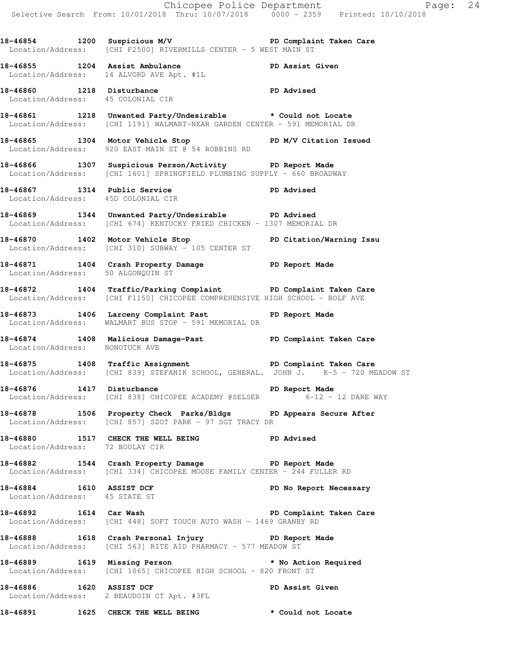|                                                           |                                                                                                                                                               | Chicopee Police Department<br>Selective Search From: 10/01/2018 Thru: 10/07/2018 0000 - 2359 Printed: 10/10/2018 |
|-----------------------------------------------------------|---------------------------------------------------------------------------------------------------------------------------------------------------------------|------------------------------------------------------------------------------------------------------------------|
|                                                           |                                                                                                                                                               |                                                                                                                  |
|                                                           | 18-46854 1200 Suspicious M/V 18-46854 PD Complaint Taken Care<br>Location/Address: [CHI F2500] RIVERMILLS CENTER - 5 WEST MAIN ST                             |                                                                                                                  |
|                                                           | 18-46855 1204 Assist Ambulance PD Assist Given<br>Location/Address: 14 ALVORD AVE Apt. #1L                                                                    |                                                                                                                  |
|                                                           | 1215 Disturbance<br>Location/Address: 45 COLONIAL CIR PD Advised                                                                                              |                                                                                                                  |
|                                                           | 18-46861 1218 Unwanted Party/Undesirable * Could not Locate<br>Location/Address: [CHI 1191] WALMART-NEAR GARDEN CENTER - 591 MEMORIAL DR                      |                                                                                                                  |
|                                                           | 18-46865 1304 Motor Vehicle Stop PD M/V Citation Issued<br>Location/Address: 920 EAST MAIN ST @ 54 ROBBINS RD                                                 |                                                                                                                  |
|                                                           | 18-46866 1307 Suspicious Person/Activity PD Report Made<br>Location/Address: [CHI 1601] SPRINGFIELD PLUMBING SUPPLY - 660 BROADWAY                            |                                                                                                                  |
|                                                           | 18-46867 1314 Public Service PD Advised<br>Location/Address: 45D COLONIAL CIR                                                                                 |                                                                                                                  |
|                                                           | 18-46869 1344 Unwanted Party/Undesirable PD Advised<br>Location/Address: [CHI 674] KENTUCKY FRIED CHICKEN - 1307 MEMORIAL DR                                  |                                                                                                                  |
|                                                           | 18-46870 1402 Motor Vehicle Stop North PD Citation/Warning Issu<br>Location/Address: [CHI 310] SUBWAY - 105 CENTER ST                                         |                                                                                                                  |
|                                                           | 18-46871 1404 Crash Property Damage PD Report Made<br>Location/Address: 50 ALGONQUIN ST                                                                       |                                                                                                                  |
|                                                           | 18-46872 1404 Traffic/Parking Complaint PD Complaint Taken Care<br>Location/Address: [CHI F1150] CHICOPEE COMPREHENSIVE HIGH SCHOOL - ROLF AVE                |                                                                                                                  |
|                                                           | 18-46873 1406 Larceny Complaint Past PD Report Made<br>Location/Address: WALMART BUS STOP - 591 MEMORIAL DR                                                   |                                                                                                                  |
| Location/Address: NONOTUCK AVE                            | 18-46874 1408 Malicious Damage-Past New PD Complaint Taken Care                                                                                               |                                                                                                                  |
|                                                           | 18-46875 1408 Traffic Assignment <b>18-46875</b> PD Complaint Taken Care<br>Location/Address: [CHI 839] STEFANIK SCHOOL, GENERAL. JOHN J. K-5 - 720 MEADOW ST |                                                                                                                  |
|                                                           | 18-46876 1417 Disturbance <b>18-46876</b> PD Report Made<br>Location/Address: [CHI 838] CHICOPEE ACADEMY @SELSER 6-12 - 12 DARE WAY                           |                                                                                                                  |
|                                                           | 18-46878 1506 Property Check Parks/Bldgs PD Appears Secure After<br>Location/Address: [CHI 857] SZOT PARK - 97 SGT TRACY DR                                   |                                                                                                                  |
| Location/Address: 72 BOULAY CIR                           | 18-46880 1517 CHECK THE WELL BEING PD Advised                                                                                                                 |                                                                                                                  |
|                                                           | 18-46882 1544 Crash Property Damage Neport Made<br>Location/Address: [CHI 334] CHICOPEE MOOSE FAMILY CENTER - 244 FULLER RD                                   |                                                                                                                  |
| 18-46884 1610 ASSIST DCF<br>Location/Address: 45 STATE ST |                                                                                                                                                               | PD No Report Necessary                                                                                           |
|                                                           | 18-46892 1614 Car Wash PD Complaint Taken Care<br>Location/Address: [CHI 448] SOFT TOUCH AUTO WASH - 1469 GRANBY RD                                           |                                                                                                                  |
|                                                           | 18-46888 1618 Crash Personal Injury PD Report Made<br>Location/Address: [CHI 563] RITE AID PHARMACY - 577 MEADOW ST                                           |                                                                                                                  |
|                                                           | 18-46889 1619 Missing Person<br>Location/Address: [CHI 1065] CHICOPEE HIGH SCHOOL - 820 FRONT ST                                                              |                                                                                                                  |
|                                                           | 18-46886 1620 ASSIST DCF<br>Location/Address: 2 BEAUDOIN CT Apt. #3FL                                                                                         | PD Assist Given                                                                                                  |
|                                                           | 18-46891 1625 CHECK THE WELL BEING                                                                                                                            | * Could not Locate                                                                                               |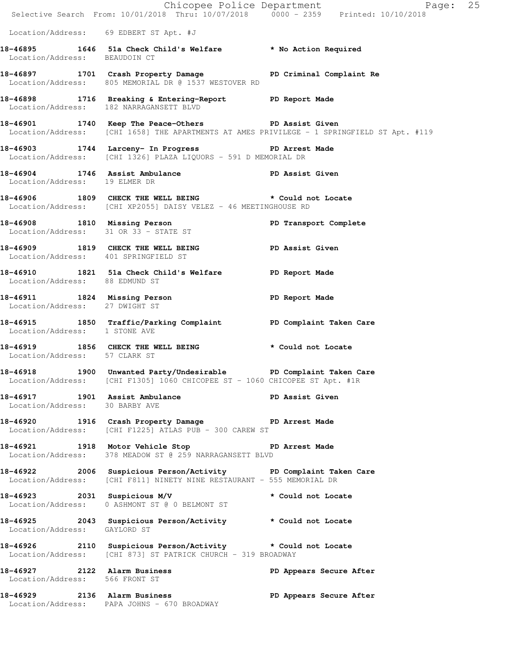|                                        | E Chicopee Police Department<br>Selective Search From: 10/01/2018 Thru: 10/07/2018 0000 - 2359 Printed: 10/10/2018                             | Page: 25                                                                                   |  |
|----------------------------------------|------------------------------------------------------------------------------------------------------------------------------------------------|--------------------------------------------------------------------------------------------|--|
| Location/Address: 69 EDBERT ST Apt. #J |                                                                                                                                                |                                                                                            |  |
| Location/Address: BEAUDOIN CT          | 18-46895 1646 51a Check Child's Welfare * No Action Required                                                                                   |                                                                                            |  |
|                                        | 18-46897 1701 Crash Property Damage PD Criminal Complaint Re<br>Location/Address: 805 MEMORIAL DR @ 1537 WESTOVER RD                           |                                                                                            |  |
|                                        | 18-46898 1716 Breaking & Entering-Report PD Report Made<br>Location/Address: 182 NARRAGANSETT BLVD                                             |                                                                                            |  |
|                                        | 18-46901 1740 Keep The Peace-Others PD Assist Given                                                                                            | Location/Address: [CHI 1658] THE APARTMENTS AT AMES PRIVILEGE - 1 SPRINGFIELD ST Apt. #119 |  |
|                                        | 18-46903 1744 Larceny- In Progress 5 PD Arrest Made<br>Location/Address: [CHI 1326] PLAZA LIQUORS - 591 D MEMORIAL DR                          |                                                                                            |  |
| Location/Address: 19 ELMER DR          | 18-46904 1746 Assist Ambulance No PD Assist Given                                                                                              |                                                                                            |  |
|                                        | 18-46906 1809 CHECK THE WELL BEING * Could not Locate<br>Location/Address: [CHI XP2055] DAISY VELEZ - 46 MEETINGHOUSE RD                       |                                                                                            |  |
|                                        | 18-46908 1810 Missing Person PD Transport Complete<br>Location/Address: 31 OR 33 - STATE ST                                                    |                                                                                            |  |
| Location/Address: 401 SPRINGFIELD ST   | 18-46909 1819 CHECK THE WELL BEING PD Assist Given                                                                                             |                                                                                            |  |
| Location/Address: 88 EDMUND ST         | 18-46910 1821 51a Check Child's Welfare PD Report Made                                                                                         |                                                                                            |  |
| Location/Address: 27 DWIGHT ST         | 18-46911 1824 Missing Person Neport Made                                                                                                       |                                                                                            |  |
| Location/Address: 1 STONE AVE          | 18-46915 1850 Traffic/Parking Complaint PD Complaint Taken Care                                                                                |                                                                                            |  |
| Location/Address: 57 CLARK ST          | 18-46919 1856 CHECK THE WELL BEING * Could not Locate                                                                                          |                                                                                            |  |
|                                        | 18-46918 1900 Unwanted Party/Undesirable PD Complaint Taken Care<br>Location/Address: [CHI F1305] 1060 CHICOPEE ST - 1060 CHICOPEE ST Apt. #1R |                                                                                            |  |
| Location/Address: 30 BARBY AVE         | 18-46917 1901 Assist Ambulance New PD Assist Given                                                                                             |                                                                                            |  |
|                                        | 18-46920 1916 Crash Property Damage PD Arrest Made Location/Address: [CHI F1225] ATLAS PUB - 300 CAREW ST                                      |                                                                                            |  |
|                                        | 18-46921 1918 Motor Vehicle Stop 50 PD Arrest Made<br>Location/Address: 378 MEADOW ST @ 259 NARRAGANSETT BLVD                                  |                                                                                            |  |
|                                        | 18-46922 2006 Suspicious Person/Activity PD Complaint Taken Care<br>Location/Address: [CHI F811] NINETY NINE RESTAURANT - 555 MEMORIAL DR      |                                                                                            |  |
|                                        | 18-46923 2031 Suspicious M/V * Could not Locate<br>Location/Address: 0 ASHMONT ST @ 0 BELMONT ST                                               |                                                                                            |  |
| Location/Address: GAYLORD ST           | 18-46925 2043 Suspicious Person/Activity * Could not Locate                                                                                    |                                                                                            |  |
|                                        | 18-46926 2110 Suspicious Person/Activity * Could not Locate<br>Location/Address: [CHI 873] ST PATRICK CHURCH - 319 BROADWAY                    |                                                                                            |  |
| Location/Address: 566 FRONT ST         | 18-46927 2122 Alarm Business                                                                                                                   | PD Appears Secure After                                                                    |  |
|                                        | 18-46929 2136 Alarm Business<br>Location/Address: PAPA JOHNS - 670 BROADWAY                                                                    | PD Appears Secure After                                                                    |  |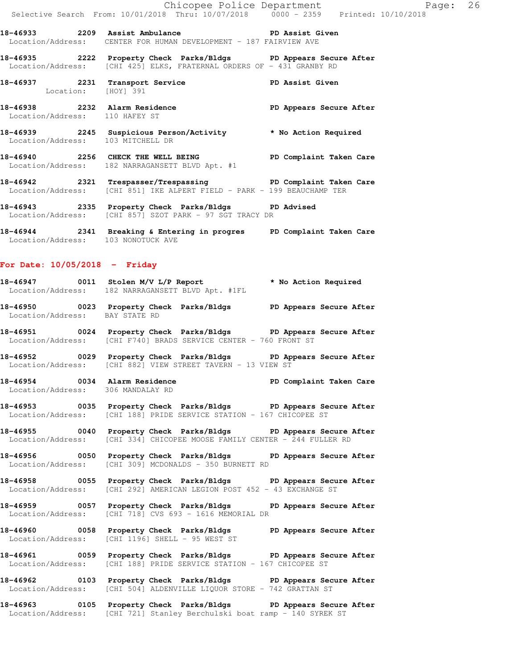**18-46933 2209 Assist Ambulance PD Assist Given**  Location/Address: CENTER FOR HUMAN DEVELOPMENT - 187 FAIRVIEW AVE

**18-46935 2222 Property Check Parks/Bldgs PD Appears Secure After**  Location/Address: [CHI 425] ELKS, FRATERNAL ORDERS OF - 431 GRANBY RD

**18-46937 2231 Transport Service PD Assist Given**  Location: [HOY] 391

**18-46938 2232 Alarm Residence PD Appears Secure After**  Location/Address: 110 HAFEY ST

**18-46939 2245 Suspicious Person/Activity \* No Action Required**  Location/Address: 103 MITCHELL DR

**18-46940 2256 CHECK THE WELL BEING PD Complaint Taken Care**  Location/Address: 182 NARRAGANSETT BLVD Apt. #1

**18-46942 2321 Trespasser/Trespassing PD Complaint Taken Care**  Location/Address: [CHI 851] IKE ALPERT FIELD - PARK - 199 BEAUCHAMP TER

**18-46943 2335 Property Check Parks/Bldgs PD Advised**  Location/Address: [CHI 857] SZOT PARK - 97 SGT TRACY DR

**18-46944 2341 Breaking & Entering in progres PD Complaint Taken Care**  Location/Address: 103 NONOTUCK AVE

### **For Date: 10/05/2018 - Friday**

**18-46947 0011 Stolen M/V L/P Report \* No Action Required**  Location/Address: 182 NARRAGANSETT BLVD Apt. #1FL

**18-46950 0023 Property Check Parks/Bldgs PD Appears Secure After**  Location/Address: BAY STATE RD

**18-46951 0024 Property Check Parks/Bldgs PD Appears Secure After**  Location/Address: [CHI F740] BRADS SERVICE CENTER - 760 FRONT ST

**18-46952 0029 Property Check Parks/Bldgs PD Appears Secure After**  Location/Address: [CHI 882] VIEW STREET TAVERN - 13 VIEW ST

**18-46954 0034 Alarm Residence PD Complaint Taken Care**  Location/Address: 306 MANDALAY RD

**18-46953 0035 Property Check Parks/Bldgs PD Appears Secure After**  Location/Address: [CHI 188] PRIDE SERVICE STATION - 167 CHICOPEE ST

**18-46955 0040 Property Check Parks/Bldgs PD Appears Secure After**  Location/Address: [CHI 334] CHICOPEE MOOSE FAMILY CENTER - 244 FULLER RD

**18-46956 0050 Property Check Parks/Bldgs PD Appears Secure After**  Location/Address: [CHI 309] MCDONALDS - 350 BURNETT RD

**18-46958 0055 Property Check Parks/Bldgs PD Appears Secure After**  Location/Address: [CHI 292] AMERICAN LEGION POST 452 - 43 EXCHANGE ST

**18-46959 0057 Property Check Parks/Bldgs PD Appears Secure After**  Location/Address: [CHI 718] CVS 693 - 1616 MEMORIAL DR

**18-46960 0058 Property Check Parks/Bldgs PD Appears Secure After**  Location/Address: [CHI 1196] SHELL - 95 WEST ST

**18-46961 0059 Property Check Parks/Bldgs PD Appears Secure After**  Location/Address: [CHI 188] PRIDE SERVICE STATION - 167 CHICOPEE ST

**18-46962 0103 Property Check Parks/Bldgs PD Appears Secure After**  Location/Address: [CHI 504] ALDENVILLE LIQUOR STORE - 742 GRATTAN ST

**18-46963 0105 Property Check Parks/Bldgs PD Appears Secure After**  Location/Address: [CHI 721] Stanley Berchulski boat ramp - 140 SYREK ST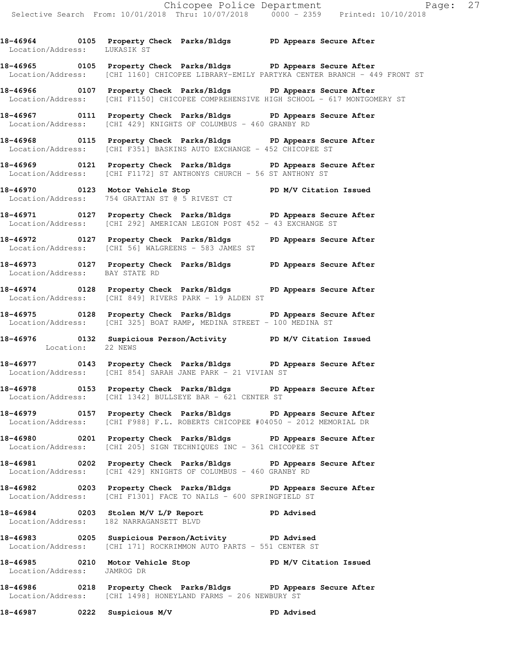**18-46964 0105 Property Check Parks/Bldgs PD Appears Secure After**  Location/Address: LUKASIK ST **18-46965 0105 Property Check Parks/Bldgs PD Appears Secure After** 

Location/Address: [CHI 1160] CHICOPEE LIBRARY-EMILY PARTYKA CENTER BRANCH - 449 FRONT ST

**18-46966 0107 Property Check Parks/Bldgs PD Appears Secure After**  Location/Address: [CHI F1150] CHICOPEE COMPREHENSIVE HIGH SCHOOL - 617 MONTGOMERY ST

**18-46967 0111 Property Check Parks/Bldgs PD Appears Secure After**  Location/Address: [CHI 429] KNIGHTS OF COLUMBUS - 460 GRANBY RD

**18-46968 0115 Property Check Parks/Bldgs PD Appears Secure After**  Location/Address: [CHI F351] BASKINS AUTO EXCHANGE - 452 CHICOPEE ST

**18-46969 0121 Property Check Parks/Bldgs PD Appears Secure After**  Location/Address: [CHI F1172] ST ANTHONYS CHURCH - 56 ST ANTHONY ST

**18-46970 0123 Motor Vehicle Stop PD M/V Citation Issued**  Location/Address: 754 GRATTAN ST @ 5 RIVEST CT

**18-46971 0127 Property Check Parks/Bldgs PD Appears Secure After**  Location/Address: [CHI 292] AMERICAN LEGION POST 452 - 43 EXCHANGE ST

**18-46972 0127 Property Check Parks/Bldgs PD Appears Secure After**  Location/Address: [CHI 56] WALGREENS - 583 JAMES ST

**18-46973 0127 Property Check Parks/Bldgs PD Appears Secure After**  Location/Address: BAY STATE RD

**18-46974 0128 Property Check Parks/Bldgs PD Appears Secure After**  Location/Address: [CHI 849] RIVERS PARK - 19 ALDEN ST

**18-46975 0128 Property Check Parks/Bldgs PD Appears Secure After**  Location/Address: [CHI 325] BOAT RAMP, MEDINA STREET - 100 MEDINA ST

**18-46976 0132 Suspicious Person/Activity PD M/V Citation Issued**  Location: 22 NEWS

**18-46977 0143 Property Check Parks/Bldgs PD Appears Secure After**  Location/Address: [CHI 854] SARAH JANE PARK - 21 VIVIAN ST

**18-46978 0153 Property Check Parks/Bldgs PD Appears Secure After**  Location/Address: [CHI 1342] BULLSEYE BAR - 621 CENTER ST

**18-46979 0157 Property Check Parks/Bldgs PD Appears Secure After**  Location/Address: [CHI F988] F.L. ROBERTS CHICOPEE #04050 - 2012 MEMORIAL DR

**18-46980 0201 Property Check Parks/Bldgs PD Appears Secure After**  Location/Address: [CHI 205] SIGN TECHNIQUES INC - 361 CHICOPEE ST

**18-46981 0202 Property Check Parks/Bldgs PD Appears Secure After**  Location/Address: [CHI 429] KNIGHTS OF COLUMBUS - 460 GRANBY RD

**18-46982 0203 Property Check Parks/Bldgs PD Appears Secure After**  Location/Address: [CHI F1301] FACE TO NAILS - 600 SPRINGFIELD ST

**18-46984 0203 Stolen M/V L/P Report PD Advised**  Location/Address: 182 NARRAGANSETT BLVD

**18-46983 0205 Suspicious Person/Activity PD Advised**  Location/Address: [CHI 171] ROCKRIMMON AUTO PARTS - 551 CENTER ST

**18-46985 0210 Motor Vehicle Stop PD M/V Citation Issued**  Location/Address: JAMROG DR

**18-46986 0218 Property Check Parks/Bldgs PD Appears Secure After**  Location/Address: [CHI 1498] HONEYLAND FARMS - 206 NEWBURY ST

**18-46987 0222 Suspicious M/V PD Advised**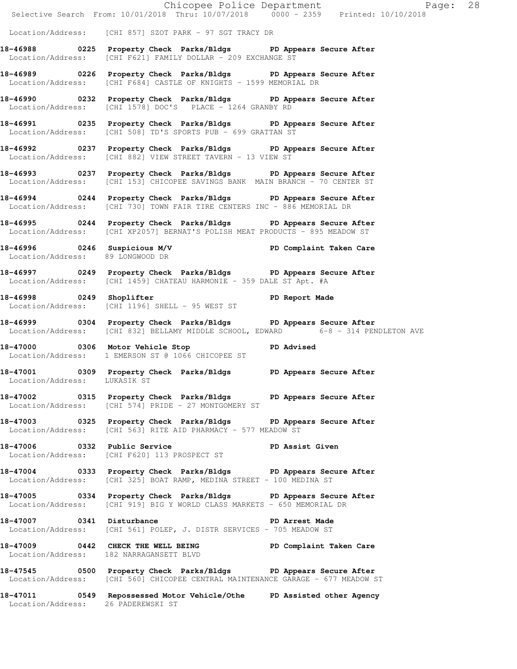|                                                   |                                                                                                                                                     | Chicopee Police Department<br>Selective Search From: 10/01/2018 Thru: 10/07/2018 0000 - 2359 Printed: 10/10/2018 |  |
|---------------------------------------------------|-----------------------------------------------------------------------------------------------------------------------------------------------------|------------------------------------------------------------------------------------------------------------------|--|
|                                                   | Location/Address: [CHI 857] SZOT PARK - 97 SGT TRACY DR                                                                                             |                                                                                                                  |  |
|                                                   | 18-46988 0225 Property Check Parks/Bldgs PD Appears Secure After<br>Location/Address: [CHI F621] FAMILY DOLLAR - 209 EXCHANGE ST                    |                                                                                                                  |  |
|                                                   | 18-46989 0226 Property Check Parks/Bldgs PD Appears Secure After<br>Location/Address: [CHI F684] CASTLE OF KNIGHTS - 1599 MEMORIAL DR               |                                                                                                                  |  |
|                                                   | 18-46990 0232 Property Check Parks/Bldgs PD Appears Secure After<br>Location/Address: [CHI 1578] DOC'S PLACE - 1264 GRANBY RD                       |                                                                                                                  |  |
|                                                   | 18-46991 0235 Property Check Parks/Bldgs PD Appears Secure After<br>Location/Address: [CHI 508] TD'S SPORTS PUB - 699 GRATTAN ST                    |                                                                                                                  |  |
|                                                   | 18-46992 0237 Property Check Parks/Bldgs PD Appears Secure After<br>Location/Address: [CHI 882] VIEW STREET TAVERN - 13 VIEW ST                     |                                                                                                                  |  |
|                                                   | 18-46993 0237 Property Check Parks/Bldgs PD Appears Secure After<br>Location/Address: [CHI 153] CHICOPEE SAVINGS BANK MAIN BRANCH - 70 CENTER ST    |                                                                                                                  |  |
|                                                   | 18-46994 0244 Property Check Parks/Bldgs PD Appears Secure After<br>Location/Address: [CHI 730] TOWN FAIR TIRE CENTERS INC - 886 MEMORIAL DR        |                                                                                                                  |  |
|                                                   | 18-46995 0244 Property Check Parks/Bldgs PD Appears Secure After<br>Location/Address: [CHI XP2057] BERNAT'S POLISH MEAT PRODUCTS - 895 MEADOW ST    |                                                                                                                  |  |
| Location/Address: 89 LONGWOOD DR                  | 18-46996 0246 Suspicious M/V PD Complaint Taken Care                                                                                                |                                                                                                                  |  |
|                                                   | 18-46997 0249 Property Check Parks/Bldgs PD Appears Secure After<br>Location/Address: [CHI 1459] CHATEAU HARMONIE - 359 DALE ST Apt. #A             |                                                                                                                  |  |
| Location/Address: [CHI 1196] SHELL - 95 WEST ST   | 18-46998 0249 Shoplifter 200 PD Report Made                                                                                                         |                                                                                                                  |  |
|                                                   | 18-46999 0304 Property Check Parks/Bldgs PD Appears Secure After                                                                                    | Location/Address: [CHI 832] BELLAMY MIDDLE SCHOOL, EDWARD 6-8 - 314 PENDLETON AVE                                |  |
| Location/Address: 1 EMERSON ST @ 1066 CHICOPEE ST | 18-47000 0306 Motor Vehicle Stop 50 PD Advised                                                                                                      |                                                                                                                  |  |
| Location/Address: LUKASIK ST                      | 18-47001 0309 Property Check Parks/Bldgs PD Appears Secure After                                                                                    |                                                                                                                  |  |
|                                                   | 18-47002 0315 Property Check Parks/Bldgs PD Appears Secure After<br>Location/Address: [CHI 574] PRIDE - 27 MONTGOMERY ST                            |                                                                                                                  |  |
|                                                   | 18-47003 0325 Property Check Parks/Bldgs PD Appears Secure After<br>Location/Address: [CHI 563] RITE AID PHARMACY - 577 MEADOW ST                   |                                                                                                                  |  |
| Location/Address: [CHI F620] 113 PROSPECT ST      | 18-47006 0332 Public Service New PD Assist Given                                                                                                    |                                                                                                                  |  |
|                                                   | 18-47004 0333 Property Check Parks/Bldgs PD Appears Secure After<br>Location/Address: [CHI 325] BOAT RAMP, MEDINA STREET - 100 MEDINA ST            |                                                                                                                  |  |
|                                                   | 18-47005 0334 Property Check Parks/Bldgs PD Appears Secure After<br>Location/Address: [CHI 919] BIG Y WORLD CLASS MARKETS - 650 MEMORIAL DR         |                                                                                                                  |  |
|                                                   | 18-47007 0341 Disturbance <b>18-47007</b> PD Arrest Made<br>Location/Address: [CHI 561] POLEP, J. DISTR SERVICES - 705 MEADOW ST                    |                                                                                                                  |  |
|                                                   | 18-47009 0442 CHECK THE WELL BEING PD Complaint Taken Care<br>Location/Address: 182 NARRAGANSETT BLVD                                               |                                                                                                                  |  |
|                                                   | 18-47545 0500 Property Check Parks/Bldgs PD Appears Secure After<br>Location/Address: [CHI 560] CHICOPEE CENTRAL MAINTENANCE GARAGE - 677 MEADOW ST |                                                                                                                  |  |
| Location/Address: 26 PADEREWSKI ST                | 18-47011 0549 Repossessed Motor Vehicle/Othe PD Assisted other Agency                                                                               |                                                                                                                  |  |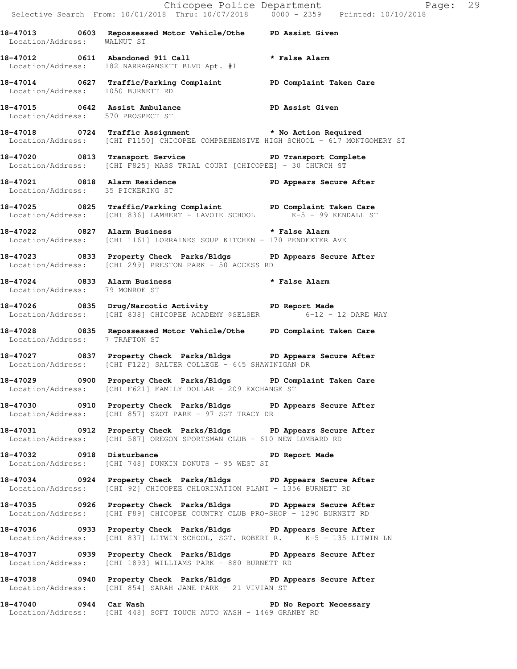|                                   |                                                                                                                                                   | Chicopee Police Department<br>Selective Search From: 10/01/2018 Thru: 10/07/2018 0000 - 2359 Printed: 10/10/2018 |
|-----------------------------------|---------------------------------------------------------------------------------------------------------------------------------------------------|------------------------------------------------------------------------------------------------------------------|
| Location/Address: WALNUT ST       | 18-47013 0603 Repossessed Motor Vehicle/Othe PD Assist Given                                                                                      |                                                                                                                  |
|                                   | 18-47012 0611 Abandoned 911 Call <b>the Call of the State Alarm</b><br>Location/Address: 182 NARRAGANSETT BLVD Apt. #1                            |                                                                                                                  |
|                                   | 18-47014 0627 Traffic/Parking Complaint PD Complaint Taken Care<br>Location/Address: 1050 BURNETT RD                                              |                                                                                                                  |
| Location/Address: 570 PROSPECT ST | 18-47015 0642 Assist Ambulance PD Assist Given                                                                                                    |                                                                                                                  |
|                                   | 18-47018 0724 Traffic Assignment * No Action Required<br>Location/Address: [CHI F1150] CHICOPEE COMPREHENSIVE HIGH SCHOOL - 617 MONTGOMERY ST     |                                                                                                                  |
|                                   | 18-47020 0813 Transport Service <b>18-47020</b> PD Transport Complete<br>Location/Address: [CHI F825] MASS TRIAL COURT [CHICOPEE] - 30 CHURCH ST  |                                                                                                                  |
|                                   | 18-47021 0818 Alarm Residence <b>18 PD Appears Secure After</b> Location/Address: 35 PICKERING ST                                                 |                                                                                                                  |
|                                   | 18-47025 0825 Traffic/Parking Complaint PD Complaint Taken Care<br>Location/Address: [CHI 836] LAMBERT - LAVOIE SCHOOL K-5 - 99 KENDALL ST        |                                                                                                                  |
|                                   | 18-47022 0827 Alarm Business <b>18-47022 http://www.francellarm</b><br>Location/Address: [CHI 1161] LORRAINES SOUP KITCHEN - 170 PENDEXTER AVE    |                                                                                                                  |
|                                   | 18-47023 0833 Property Check Parks/Bldgs PD Appears Secure After<br>Location/Address: [CHI 299] PRESTON PARK - 50 ACCESS RD                       |                                                                                                                  |
| Location/Address: 79 MONROE ST    | 18-47024 0833 Alarm Business                                                                                                                      | * False Alarm                                                                                                    |
|                                   | 18-47026 0835 Drug/Narcotic Activity TD Report Made<br>Location/Address: [CHI 838] CHICOPEE ACADEMY @SELSER 6-12 - 12 DARE WAY                    |                                                                                                                  |
| Location/Address: 7 TRAFTON ST    | 18-47028 0835 Repossessed Motor Vehicle/Othe PD Complaint Taken Care                                                                              |                                                                                                                  |
|                                   | 18-47027 0837 Property Check Parks/Bldgs PD Appears Secure After<br>Location/Address: [CHI F122] SALTER COLLEGE - 645 SHAWINIGAN DR               |                                                                                                                  |
|                                   | 18-47029 0900 Property Check Parks/Bldgs PD Complaint Taken Care<br>Location/Address: [CHI F621] FAMILY DOLLAR - 209 EXCHANGE ST                  |                                                                                                                  |
|                                   | 18-47030 0910 Property Check Parks/Bldgs PD Appears Secure After<br>Location/Address: [CHI 857] SZOT PARK - 97 SGT TRACY DR                       |                                                                                                                  |
|                                   | 18-47031 0912 Property Check Parks/Bldgs PD Appears Secure After<br>Location/Address: [CHI 587] OREGON SPORTSMAN CLUB - 610 NEW LOMBARD RD        |                                                                                                                  |
|                                   | 18-47032 0918 Disturbance <b>18-18 PD</b> Report Made<br>Location/Address: [CHI 748] DUNKIN DONUTS - 95 WEST ST                                   |                                                                                                                  |
|                                   | 18-47034 0924 Property Check Parks/Bldgs PD Appears Secure After<br>Location/Address: [CHI 92] CHICOPEE CHLORINATION PLANT - 1356 BURNETT RD      |                                                                                                                  |
|                                   | 18-47035 0926 Property Check Parks/Bldgs PD Appears Secure After<br>Location/Address: [CHI F89] CHICOPEE COUNTRY CLUB PRO-SHOP - 1290 BURNETT RD  |                                                                                                                  |
|                                   | 18-47036 0933 Property Check Parks/Bldgs PD Appears Secure After<br>Location/Address: [CHI 837] LITWIN SCHOOL, SGT. ROBERT R. K-5 - 135 LITWIN LN |                                                                                                                  |
|                                   | 18-47037 0939 Property Check Parks/Bldgs PD Appears Secure After<br>Location/Address: [CHI 1893] WILLIAMS PARK - 880 BURNETT RD                   |                                                                                                                  |
|                                   | 18-47038 0940 Property Check Parks/Bldgs PD Appears Secure After<br>Location/Address: [CHI 854] SARAH JANE PARK - 21 VIVIAN ST                    |                                                                                                                  |
|                                   | Location/Address: [CHI 448] SOFT TOUCH AUTO WASH - 1469 GRANBY RD                                                                                 |                                                                                                                  |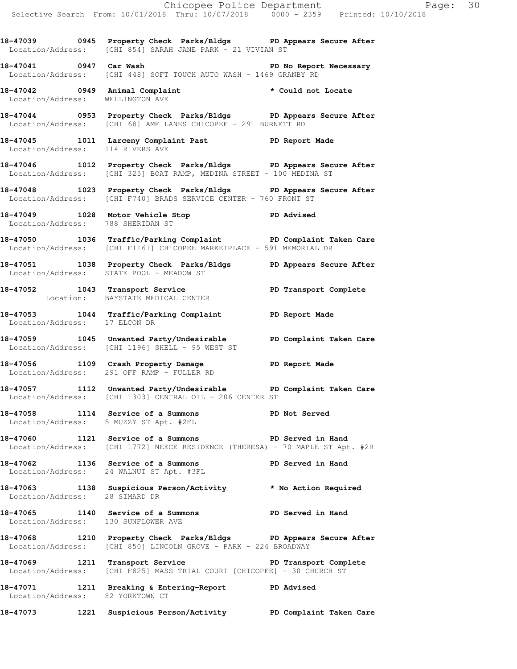**18-47039 0945 Property Check Parks/Bldgs PD Appears Secure After**  Location/Address: [CHI 854] SARAH JANE PARK - 21 VIVIAN ST

**18-47041 0947 Car Wash PD No Report Necessary**  Location/Address: [CHI 448] SOFT TOUCH AUTO WASH - 1469 GRANBY RD

**18-47042 0949 Animal Complaint \* Could not Locate**  Location/Address: WELLINGTON AVE

**18-47044 0953 Property Check Parks/Bldgs PD Appears Secure After**  Location/Address: [CHI 68] AMF LANES CHICOPEE - 291 BURNETT RD

**18-47045 1011 Larceny Complaint Past PD Report Made**  Location/Address: 114 RIVERS AVE

**18-47046 1012 Property Check Parks/Bldgs PD Appears Secure After**  Location/Address: [CHI 325] BOAT RAMP, MEDINA STREET - 100 MEDINA ST

**18-47048 1023 Property Check Parks/Bldgs PD Appears Secure After**  Location/Address: [CHI F740] BRADS SERVICE CENTER - 760 FRONT ST

**18-47049 1028 Motor Vehicle Stop PD Advised**  Location/Address: 788 SHERIDAN ST

**18-47050 1036 Traffic/Parking Complaint PD Complaint Taken Care**  Location/Address: [CHI F1161] CHICOPEE MARKETPLACE - 591 MEMORIAL DR

**18-47051 1038 Property Check Parks/Bldgs PD Appears Secure After**  Location/Address: STATE POOL - MEADOW ST

**18-47052 1043 Transport Service PD Transport Complete**  Location: BAYSTATE MEDICAL CENTER

**18-47053 1044 Traffic/Parking Complaint PD Report Made**  Location/Address: 17 ELCON DR

**18-47059 1045 Unwanted Party/Undesirable PD Complaint Taken Care**  Location/Address: [CHI 1196] SHELL - 95 WEST ST

**18-47056 1109 Crash Property Damage PD Report Made**  Location/Address: 291 OFF RAMP - FULLER RD

**18-47057 1112 Unwanted Party/Undesirable PD Complaint Taken Care**  Location/Address: [CHI 1303] CENTRAL OIL - 206 CENTER ST

**18-47058 1114 Service of a Summons PD Not Served**  Location/Address: 5 MUZZY ST Apt. #2FL

**18-47060 1121 Service of a Summons PD Served in Hand**  Location/Address: [CHI 1772] NEECE RESIDENCE (THERESA) - 70 MAPLE ST Apt. #2R

**18-47062 1136 Service of a Summons PD Served in Hand**  Location/Address: 24 WALNUT ST Apt. #3FL

**18-47063 1138 Suspicious Person/Activity \* No Action Required**  Location/Address: 28 SIMARD DR

**18-47065 1140 Service of a Summons PD Served in Hand**  Location/Address: 130 SUNFLOWER AVE

**18-47068 1210 Property Check Parks/Bldgs PD Appears Secure After**  Location/Address: [CHI 850] LINCOLN GROVE - PARK - 224 BROADWAY

18-47069 1211 Transport Service **PED PERS** PD Transport Complete Location/Address: [CHI F825] MASS TRIAL COURT [CHICOPEE] - 30 CHURCH ST

**18-47071 1211 Breaking & Entering-Report PD Advised**  Location/Address: 82 YORKTOWN CT

**18-47073 1221 Suspicious Person/Activity PD Complaint Taken Care**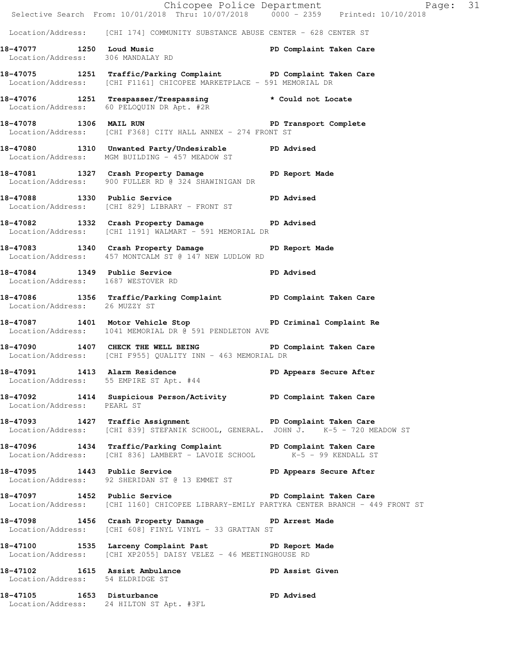|                                    | E Chicopee Police Department<br>Selective Search From: 10/01/2018 Thru: 10/07/2018 0000 - 2359 Printed: 10/10/2018                                  | Page: 31                |
|------------------------------------|-----------------------------------------------------------------------------------------------------------------------------------------------------|-------------------------|
|                                    | Location/Address: [CHI 174] COMMUNITY SUBSTANCE ABUSE CENTER - 628 CENTER ST                                                                        |                         |
|                                    | 18-47077 1250 Loud Music PD Complaint Taken Care<br>Location/Address: 306 MANDALAY RD                                                               |                         |
|                                    | 18-47075 1251 Traffic/Parking Complaint PD Complaint Taken Care<br>Location/Address: [CHI F1161] CHICOPEE MARKETPLACE - 591 MEMORIAL DR             |                         |
|                                    | 18-47076 1251 Trespasser/Trespassing * Could not Locate<br>Location/Address: 60 PELOQUIN DR Apt. #2R                                                |                         |
|                                    | 18-47078 1306 MAIL RUN 2008 2010 PD Transport Complete<br>Location/Address: [CHI F368] CITY HALL ANNEX - 274 FRONT ST                               |                         |
|                                    | 18-47080 1310 Unwanted Party/Undesirable PD Advised<br>Location/Address: MGM BUILDING - 457 MEADOW ST                                               |                         |
|                                    | 18-47081 1327 Crash Property Damage PD Report Made Location/Address: 900 FULLER RD @ 324 SHAWINIGAN DR                                              |                         |
|                                    | 18-47088 1330 Public Service <b>18-47088</b> PD Advised<br>Location/Address: [CHI 829] LIBRARY - FRONT ST                                           |                         |
|                                    | 18-47082 1332 Crash Property Damage PD Advised<br>Location/Address: [CHI 1191] WALMART - 591 MEMORIAL DR                                            |                         |
|                                    | 18-47083 1340 Crash Property Damage PD Report Made<br>Location/Address: 457 MONTCALM ST @ 147 NEW LUDLOW RD                                         |                         |
| Location/Address: 1687 WESTOVER RD | 18-47084 1349 Public Service 20 PD Advised                                                                                                          |                         |
| Location/Address: 26 MUZZY ST      | 18-47086 1356 Traffic/Parking Complaint PD Complaint Taken Care                                                                                     |                         |
|                                    | 18-47087 1401 Motor Vehicle Stop North PD Criminal Complaint Re<br>Location/Address: 1041 MEMORIAL DR @ 591 PENDLETON AVE                           |                         |
|                                    | 18-47090 1407 CHECK THE WELL BEING PD Complaint Taken Care<br>Location/Address: [CHI F955] QUALITY INN - 463 MEMORIAL DR                            |                         |
| 18-47091 1413 Alarm Residence      | Location/Address: 55 EMPIRE ST Apt. #44                                                                                                             | PD Appears Secure After |
| Location/Address: PEARL ST         | 18-47092 1414 Suspicious Person/Activity PD Complaint Taken Care                                                                                    |                         |
|                                    | 18-47093 1427 Traffic Assignment<br>Location/Address: [CHI 839] STEFANIK SCHOOL, GENERAL. JOHN J. K-5 - 720 MEADOW ST                               |                         |
|                                    | 18-47096 1434 Traffic/Parking Complaint PD Complaint Taken Care<br>Location/Address: [CHI 836] LAMBERT - LAVOIE SCHOOL K-5 - 99 KENDALL ST          |                         |
|                                    | 18-47095 1443 Public Service<br>Location/Address: 92 SHERIDAN ST @ 13 EMMET ST                                                                      | PD Appears Secure After |
|                                    | 18-47097 1452 Public Service 20 PD Complaint Taken Care<br>Location/Address: [CHI 1160] CHICOPEE LIBRARY-EMILY PARTYKA CENTER BRANCH - 449 FRONT ST |                         |
|                                    | 18-47098 1456 Crash Property Damage PD Arrest Made<br>Location/Address: [CHI 608] FINYL VINYL - 33 GRATTAN ST                                       |                         |
|                                    | 18-47100 1535 Larceny Complaint Past PD Report Made<br>Location/Address: [CHI XP2055] DAISY VELEZ - 46 MEETINGHOUSE RD                              |                         |
| Location/Address: 54 ELDRIDGE ST   | 18-47102 1615 Assist Ambulance                                                                                                                      | PD Assist Given         |
|                                    | 18-47105 1653 Disturbance<br>Location/Address: 24 HILTON ST Apt. #3FL                                                                               | <b>PD Advised</b>       |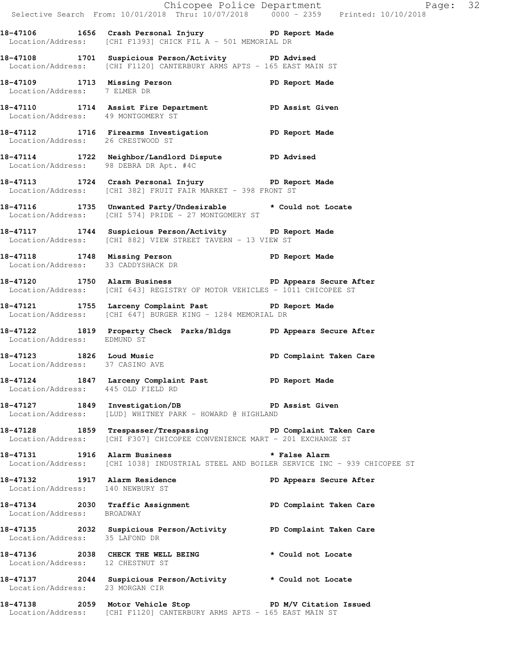|                                    |                                                                                                                                                 | Chicopee Police Department<br>Selective Search From: 10/01/2018 Thru: 10/07/2018 0000 - 2359 Printed: 10/10/2018 |  |
|------------------------------------|-------------------------------------------------------------------------------------------------------------------------------------------------|------------------------------------------------------------------------------------------------------------------|--|
|                                    | 18-47106 1656 Crash Personal Injury 18-47106 PD Report Made<br>Location/Address: [CHI F1393] CHICK FIL A - 501 MEMORIAL DR                      |                                                                                                                  |  |
|                                    | 18-47108 1701 Suspicious Person/Activity PD Advised<br>Location/Address: [CHI F1120] CANTERBURY ARMS APTS - 165 EAST MAIN ST                    |                                                                                                                  |  |
| Location/Address: 7 ELMER DR       | 18-47109 1713 Missing Person Neport Made                                                                                                        |                                                                                                                  |  |
|                                    | 18-47110 1714 Assist Fire Department PD Assist Given<br>Location/Address: 49 MONTGOMERY ST                                                      |                                                                                                                  |  |
|                                    | 18-47112 1716 Firearms Investigation PD Report Made<br>Location/Address: 26 CRESTWOOD ST                                                        |                                                                                                                  |  |
|                                    | 18-47114 1722 Neighbor/Landlord Dispute PD Advised<br>Location/Address: 98 DEBRA DR Apt. #4C                                                    |                                                                                                                  |  |
|                                    | 18-47113 1724 Crash Personal Injury 18-47113<br>Location/Address: [CHI 382] FRUIT FAIR MARKET - 398 FRONT ST                                    |                                                                                                                  |  |
|                                    | 18-47116 1735 Unwanted Party/Undesirable * Could not Locate<br>Location/Address: [CHI 574] PRIDE - 27 MONTGOMERY ST                             |                                                                                                                  |  |
|                                    | 18-47117 1744 Suspicious Person/Activity PD Report Made<br>Location/Address: [CHI 882] VIEW STREET TAVERN - 13 VIEW ST                          |                                                                                                                  |  |
| Location/Address: 33 CADDYSHACK DR | 18-47118 1748 Missing Person Neport Made                                                                                                        |                                                                                                                  |  |
|                                    | 18-47120 1750 Alarm Business 200 PD Appears Secure After<br>Location/Address: [CHI 643] REGISTRY OF MOTOR VEHICLES - 1011 CHICOPEE ST           |                                                                                                                  |  |
|                                    | 18-47121 1755 Larceny Complaint Past PD Report Made<br>Location/Address: [CHI 647] BURGER KING - 1284 MEMORIAL DR                               |                                                                                                                  |  |
| Location/Address: EDMUND ST        | 18-47122 1819 Property Check Parks/Bldgs PD Appears Secure After                                                                                |                                                                                                                  |  |
| Location/Address: 37 CASINO AVE    | 18-47123 1826 Loud Music <b>1898</b> PD Complaint Taken Care                                                                                    |                                                                                                                  |  |
| Location/Address: 445 OLD FIELD RD | 18-47124 1847 Larceny Complaint Past PD Report Made                                                                                             |                                                                                                                  |  |
|                                    | 18-47127 1849 Investigation/DB PD Assist Given<br>Location/Address: [LUD] WHITNEY PARK - HOWARD @ HIGHLAND                                      |                                                                                                                  |  |
|                                    | 18-47128 1859 Trespasser/Trespassing PD Complaint Taken Care<br>Location/Address: [CHI F307] CHICOPEE CONVENIENCE MART - 201 EXCHANGE ST        |                                                                                                                  |  |
|                                    | 18-47131 1916 Alarm Business <b>18-47131 18-47131</b><br>Location/Address: [CHI 1038] INDUSTRIAL STEEL AND BOILER SERVICE INC - 939 CHICOPEE ST |                                                                                                                  |  |
| Location/Address: 140 NEWBURY ST   | 18-47132 1917 Alarm Residence                                                                                                                   | PD Appears Secure After                                                                                          |  |
| Location/Address: BROADWAY         | 18-47134 2030 Traffic Assignment PD Complaint Taken Care                                                                                        |                                                                                                                  |  |
| Location/Address: 35 LAFOND DR     | 18-47135 2032 Suspicious Person/Activity PD Complaint Taken Care                                                                                |                                                                                                                  |  |
| Location/Address: 12 CHESTNUT ST   | 18-47136 2038 CHECK THE WELL BEING                                                                                                              | * Could not Locate                                                                                               |  |
| Location/Address: 23 MORGAN CIR    | 18-47137 1044 Suspicious Person/Activity * Could not Locate                                                                                     |                                                                                                                  |  |
|                                    | 18-47138 2059 Motor Vehicle Stop North PD M/V Citation Issued                                                                                   |                                                                                                                  |  |

Location/Address: [CHI F1120] CANTERBURY ARMS APTS - 165 EAST MAIN ST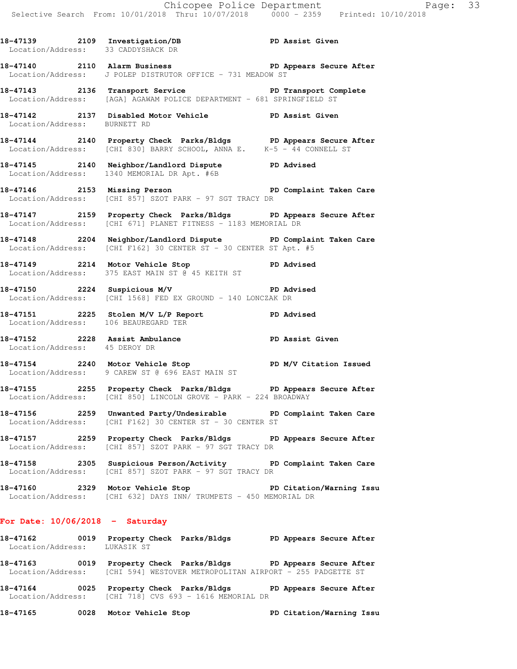18-47139 2109 Investigation/DB PD Assist Given Location/Address: 33 CADDYSHACK DR **18-47140 2110 Alarm Business PD Appears Secure After**  Location/Address: J POLEP DISTRUTOR OFFICE - 731 MEADOW ST 18-47143 **2136** Transport Service **PED PERS** PD Transport Complete Location/Address: [AGA] AGAWAM POLICE DEPARTMENT - 681 SPRINGFIELD ST **18-47142 2137 Disabled Motor Vehicle PD Assist Given**  Location/Address: BURNETT RD **18-47144 2140 Property Check Parks/Bldgs PD Appears Secure After**  Location/Address: [CHI 830] BARRY SCHOOL, ANNA E. K-5 - 44 CONNELL ST **18-47145 2140 Neighbor/Landlord Dispute PD Advised**  Location/Address: 1340 MEMORIAL DR Apt. #6B 18-47146 **2153** Missing Person **PED Complaint Taken Care** Location/Address: [CHI 857] SZOT PARK - 97 SGT TRACY DR **18-47147 2159 Property Check Parks/Bldgs PD Appears Secure After**  Location/Address: [CHI 671] PLANET FITNESS - 1183 MEMORIAL DR **18-47148 2204 Neighbor/Landlord Dispute PD Complaint Taken Care**  Location/Address: [CHI F162] 30 CENTER ST - 30 CENTER ST Apt. #5 **18-47149 2214 Motor Vehicle Stop PD Advised**  Location/Address: 375 EAST MAIN ST @ 45 KEITH ST **18-47150 2224 Suspicious M/V PD Advised**  Location/Address: [CHI 1568] FED EX GROUND - 140 LONCZAK DR **18-47151 2225 Stolen M/V L/P Report PD Advised**  Location/Address: 106 BEAUREGARD TER **18-47152 2228 Assist Ambulance PD Assist Given**  Location/Address: 45 DEROY DR **18-47154 2240 Motor Vehicle Stop PD M/V Citation Issued**  Location/Address: 9 CAREW ST @ 696 EAST MAIN ST **18-47155 2255 Property Check Parks/Bldgs PD Appears Secure After**  Location/Address: [CHI 850] LINCOLN GROVE - PARK - 224 BROADWAY **18-47156 2259 Unwanted Party/Undesirable PD Complaint Taken Care**  Location/Address: [CHI F162] 30 CENTER ST - 30 CENTER ST **18-47157 2259 Property Check Parks/Bldgs PD Appears Secure After**  Location/Address: [CHI 857] SZOT PARK - 97 SGT TRACY DR **18-47158 2305 Suspicious Person/Activity PD Complaint Taken Care**  Location/Address: [CHI 857] SZOT PARK - 97 SGT TRACY DR **18-47160 2329 Motor Vehicle Stop PD Citation/Warning Issu**  Location/Address: [CHI 632] DAYS INN/ TRUMPETS - 450 MEMORIAL DR

#### **For Date: 10/06/2018 - Saturday**

**18-47162 0019 Property Check Parks/Bldgs PD Appears Secure After**  Location/Address: LUKASIK ST

**18-47163 0019 Property Check Parks/Bldgs PD Appears Secure After**  Location/Address: [CHI 594] WESTOVER METROPOLITAN AIRPORT - 255 PADGETTE ST

**18-47164 0025 Property Check Parks/Bldgs PD Appears Secure After**  Location/Address: [CHI 718] CVS 693 - 1616 MEMORIAL DR

**18-47165 0028 Motor Vehicle Stop PD Citation/Warning Issu**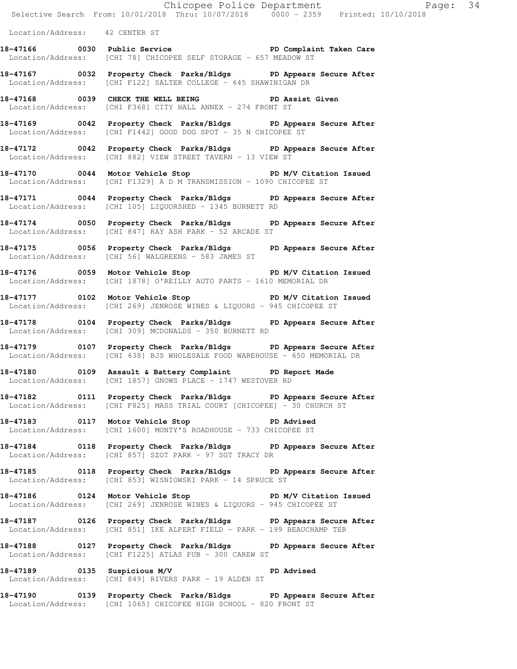Location/Address: 42 CENTER ST

- **18-47166 0030 Public Service PD Complaint Taken Care**  Location/Address: [CHI 78] CHICOPEE SELF STORAGE - 657 MEADOW ST
- **18-47167 0032 Property Check Parks/Bldgs PD Appears Secure After**  Location/Address: [CHI F122] SALTER COLLEGE - 645 SHAWINIGAN DR
- 18-47168 **0039** CHECK THE WELL BEING **PD** Assist Given Location/Address: [CHI F368] CITY HALL ANNEX - 274 FRONT ST
- **18-47169 0042 Property Check Parks/Bldgs PD Appears Secure After**  Location/Address: [CHI F1442] GOOD DOG SPOT - 35 N CHICOPEE ST
- **18-47172 0042 Property Check Parks/Bldgs PD Appears Secure After**  Location/Address: [CHI 882] VIEW STREET TAVERN - 13 VIEW ST
- **18-47170 0044 Motor Vehicle Stop PD M/V Citation Issued**  Location/Address: [CHI F1329] A D M TRANSMISSION - 1090 CHICOPEE ST
- **18-47171 0044 Property Check Parks/Bldgs PD Appears Secure After**  Location/Address: [CHI 105] LIQUORSHED - 1345 BURNETT RD
- **18-47174 0050 Property Check Parks/Bldgs PD Appears Secure After**  Location/Address: [CHI 847] RAY ASH PARK - 52 ARCADE ST
- **18-47175 0056 Property Check Parks/Bldgs PD Appears Secure After**  Location/Address: [CHI 56] WALGREENS - 583 JAMES ST
- 18-47176 **0059** Motor Vehicle Stop **PD M/V Citation Issued** Location/Address: [CHI 1878] O'REILLY AUTO PARTS - 1610 MEMORIAL DR
- **18-47177 0102 Motor Vehicle Stop PD M/V Citation Issued**  Location/Address: [CHI 269] JENROSE WINES & LIQUORS - 945 CHICOPEE ST
- **18-47178 0104 Property Check Parks/Bldgs PD Appears Secure After**  Location/Address: [CHI 309] MCDONALDS - 350 BURNETT RD
- **18-47179 0107 Property Check Parks/Bldgs PD Appears Secure After**  Location/Address: [CHI 638] BJS WHOLESALE FOOD WAREHOUSE - 650 MEMORIAL DR
- **18-47180 0109 Assault & Battery Complaint PD Report Made**  Location/Address: [CHI 1857] GNOWS PLACE - 1747 WESTOVER RD
- **18-47182 0111 Property Check Parks/Bldgs PD Appears Secure After**  Location/Address: [CHI F825] MASS TRIAL COURT [CHICOPEE] - 30 CHURCH ST
- **18-47183 0117 Motor Vehicle Stop PD Advised**  Location/Address: [CHI 1600] MONTY'S ROADHOUSE - 733 CHICOPEE ST
- **18-47184 0118 Property Check Parks/Bldgs PD Appears Secure After**  Location/Address: [CHI 857] SZOT PARK - 97 SGT TRACY DR
- **18-47185 0118 Property Check Parks/Bldgs PD Appears Secure After**  Location/Address: [CHI 853] WISNIOWSKI PARK - 14 SPRUCE ST
- **18-47186 0124 Motor Vehicle Stop PD M/V Citation Issued**  Location/Address: [CHI 269] JENROSE WINES & LIQUORS - 945 CHICOPEE ST
- **18-47187 0126 Property Check Parks/Bldgs PD Appears Secure After**  Location/Address: [CHI 851] IKE ALPERT FIELD - PARK - 199 BEAUCHAMP TER
- **18-47188 0127 Property Check Parks/Bldgs PD Appears Secure After**  Location/Address: [CHI F1225] ATLAS PUB - 300 CAREW ST
- **18-47189 0135 Suspicious M/V PD Advised**  Location/Address: [CHI 849] RIVERS PARK - 19 ALDEN ST
- **18-47190 0139 Property Check Parks/Bldgs PD Appears Secure After**  Location/Address: [CHI 1065] CHICOPEE HIGH SCHOOL - 820 FRONT ST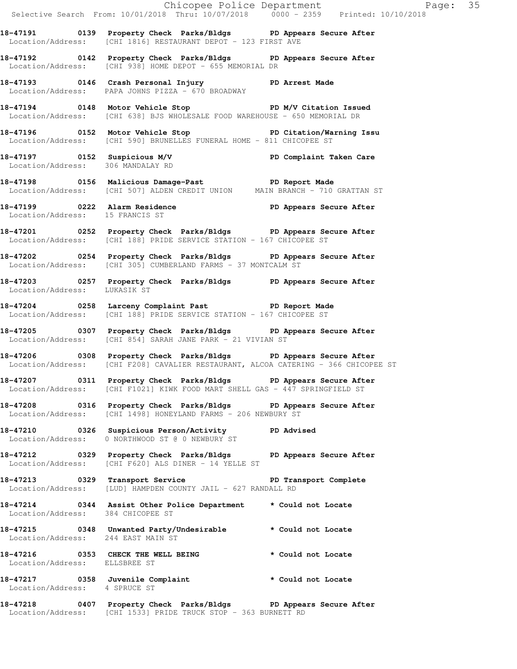|                                    | Selective Search From: 10/01/2018 Thru: 10/07/2018 0000 - 2359 Printed: 10/10/2018                                                                     | Chicopee Police Department Page: 35 |
|------------------------------------|--------------------------------------------------------------------------------------------------------------------------------------------------------|-------------------------------------|
|                                    | 18-47191 		 0139 Property Check Parks/Bldgs 		 PD Appears Secure After<br>Location/Address: [CHI 1816] RESTAURANT DEPOT - 123 FIRST AVE                |                                     |
|                                    | 18-47192 18-47192 Droperty Check Parks/Bldgs PD Appears Secure After<br>Location/Address: [CHI 938] HOME DEPOT - 655 MEMORIAL DR                       |                                     |
|                                    | 18-47193 18-47193 0146 Crash Personal Injury 19 PD Arrest Made<br>Location/Address: PAPA JOHNS PIZZA - 670 BROADWAY                                    |                                     |
|                                    | 18-47194 0148 Motor Vehicle Stop PD M/V Citation Issued<br>Location/Address: [CHI 638] BJS WHOLESALE FOOD WAREHOUSE - 650 MEMORIAL DR                  |                                     |
|                                    | 18-47196 0152 Motor Vehicle Stop PD Citation/Warning Issu<br>Location/Address: [CHI 590] BRUNELLES FUNERAL HOME - 811 CHICOPEE ST                      |                                     |
|                                    |                                                                                                                                                        |                                     |
|                                    |                                                                                                                                                        |                                     |
| Location/Address: 15 FRANCIS ST    | 18-47199 0222 Alarm Residence <b>18 Community</b> PD Appears Secure After                                                                              |                                     |
|                                    | 18-47201 0252 Property Check Parks/Bldgs PD Appears Secure After<br>Location/Address: [CHI 188] PRIDE SERVICE STATION - 167 CHICOPEE ST                |                                     |
|                                    | 18-47202 0254 Property Check Parks/Bldgs PD Appears Secure After<br>Location/Address: [CHI 305] CUMBERLAND FARMS - 37 MONTCALM ST                      |                                     |
| Location/Address: LUKASIK ST       | 18-47203 0257 Property Check Parks/Bldgs PD Appears Secure After                                                                                       |                                     |
|                                    | 18-47204 0258 Larceny Complaint Past PD Report Made<br>Location/Address: [CHI 188] PRIDE SERVICE STATION - 167 CHICOPEE ST                             |                                     |
|                                    | 18-47205 0307 Property Check Parks/Bldgs PD Appears Secure After<br>Location/Address: [CHI 854] SARAH JANE PARK - 21 VIVIAN ST                         |                                     |
|                                    | 18-47206 0308 Property Check Parks/Bldgs PD Appears Secure After<br>Location/Address: [CHI F208] CAVALIER RESTAURANT, ALCOA CATERING - 366 CHICOPEE ST |                                     |
|                                    | 18-47207 0311 Property Check Parks/Bldgs PD Appears Secure After<br>Location/Address: [CHI F1021] KIWK FOOD MART SHELL GAS - 447 SPRINGFIELD ST        |                                     |
|                                    | 18-47208 0316 Property Check Parks/Bldgs PD Appears Secure After<br>Location/Address: [CHI 1498] HONEYLAND FARMS - 206 NEWBURY ST                      |                                     |
|                                    | 18-47210 0326 Suspicious Person/Activity PD Advised<br>Location/Address: 0 NORTHWOOD ST @ 0 NEWBURY ST                                                 |                                     |
|                                    | 18-47212 		 0329 Property Check Parks/Bldgs 		 PD Appears Secure After<br>Location/Address: [CHI F620] ALS DINER - 14 YELLE ST                         |                                     |
|                                    | 18-47213 0329 Transport Service <b>18 PD</b> Transport Complete<br>Location/Address: [LUD] HAMPDEN COUNTY JAIL - 627 RANDALL RD                        |                                     |
| Location/Address: 384 CHICOPEE ST  | 18-47214 0344 Assist Other Police Department * Could not Locate                                                                                        |                                     |
| Location/Address: 244 EAST MAIN ST | 18-47215 0348 Unwanted Party/Undesirable * Could not Locate                                                                                            |                                     |
| Location/Address: ELLSBREE ST      | 18-47216 0353 CHECK THE WELL BEING                                                                                                                     | * Could not Locate                  |
| Location/Address: 4 SPRUCE ST      | 18-47217 0358 Juvenile Complaint * Could not Locate                                                                                                    |                                     |
|                                    | 18-47218 0407 Property Check Parks/Bldgs PD Appears Secure After<br>Location/Address: [CHI 1533] PRIDE TRUCK STOP - 363 BURNETT RD                     |                                     |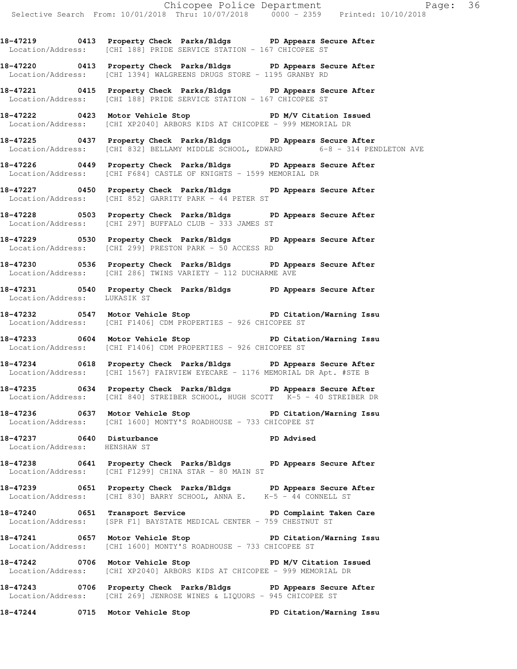**18-47219 0413 Property Check Parks/Bldgs PD Appears Secure After**  Location/Address: [CHI 188] PRIDE SERVICE STATION - 167 CHICOPEE ST

**18-47220 0413 Property Check Parks/Bldgs PD Appears Secure After**  Location/Address: [CHI 1394] WALGREENS DRUGS STORE - 1195 GRANBY RD

**18-47221 0415 Property Check Parks/Bldgs PD Appears Secure After**  Location/Address: [CHI 188] PRIDE SERVICE STATION - 167 CHICOPEE ST

**18-47222 0423 Motor Vehicle Stop PD M/V Citation Issued**  Location/Address: [CHI XP2040] ARBORS KIDS AT CHICOPEE - 999 MEMORIAL DR

**18-47225 0437 Property Check Parks/Bldgs PD Appears Secure After**  Location/Address: [CHI 832] BELLAMY MIDDLE SCHOOL, EDWARD 6-8 - 314 PENDLETON AVE

**18-47226 0449 Property Check Parks/Bldgs PD Appears Secure After**  Location/Address: [CHI F684] CASTLE OF KNIGHTS - 1599 MEMORIAL DR

**18-47227 0450 Property Check Parks/Bldgs PD Appears Secure After**  Location/Address: [CHI 852] GARRITY PARK - 44 PETER ST

**18-47228 0503 Property Check Parks/Bldgs PD Appears Secure After**  Location/Address: [CHI 297] BUFFALO CLUB - 333 JAMES ST

**18-47229 0530 Property Check Parks/Bldgs PD Appears Secure After**  Location/Address: [CHI 299] PRESTON PARK - 50 ACCESS RD

**18-47230 0536 Property Check Parks/Bldgs PD Appears Secure After**  Location/Address: [CHI 286] TWINS VARIETY - 112 DUCHARME AVE

**18-47231 0540 Property Check Parks/Bldgs PD Appears Secure After**  Location/Address: LUKASIK ST

**18-47232 0547 Motor Vehicle Stop PD Citation/Warning Issu**  Location/Address: [CHI F1406] CDM PROPERTIES - 926 CHICOPEE ST

**18-47233 0604 Motor Vehicle Stop PD Citation/Warning Issu**  Location/Address: [CHI F1406] CDM PROPERTIES - 926 CHICOPEE ST

**18-47234 0618 Property Check Parks/Bldgs PD Appears Secure After**  Location/Address: [CHI 1567] FAIRVIEW EYECARE - 1176 MEMORIAL DR Apt. #STE B

**18-47235 0634 Property Check Parks/Bldgs PD Appears Secure After**  Location/Address: [CHI 840] STREIBER SCHOOL, HUGH SCOTT K-5 - 40 STREIBER DR

**18-47236 0637 Motor Vehicle Stop PD Citation/Warning Issu**  Location/Address: [CHI 1600] MONTY'S ROADHOUSE - 733 CHICOPEE ST

18-47237 0640 Disturbance **PD** Advised Location/Address: HENSHAW ST

**18-47238 0641 Property Check Parks/Bldgs PD Appears Secure After**  Location/Address: [CHI F1299] CHINA STAR - 80 MAIN ST

**18-47239 0651 Property Check Parks/Bldgs PD Appears Secure After**  Location/Address: [CHI 830] BARRY SCHOOL, ANNA E. K-5 - 44 CONNELL ST

**18-47240 0651 Transport Service PD Complaint Taken Care**  Location/Address: [SPR F1] BAYSTATE MEDICAL CENTER - 759 CHESTNUT ST

**18-47241 0657 Motor Vehicle Stop PD Citation/Warning Issu**  Location/Address: [CHI 1600] MONTY'S ROADHOUSE - 733 CHICOPEE ST

18-47242 0706 Motor Vehicle Stop **PD M/V Citation Issued** Location/Address: [CHI XP2040] ARBORS KIDS AT CHICOPEE - 999 MEMORIAL DR

**18-47243 0706 Property Check Parks/Bldgs PD Appears Secure After**  Location/Address: [CHI 269] JENROSE WINES & LIQUORS - 945 CHICOPEE ST

**18-47244 0715 Motor Vehicle Stop PD Citation/Warning Issu**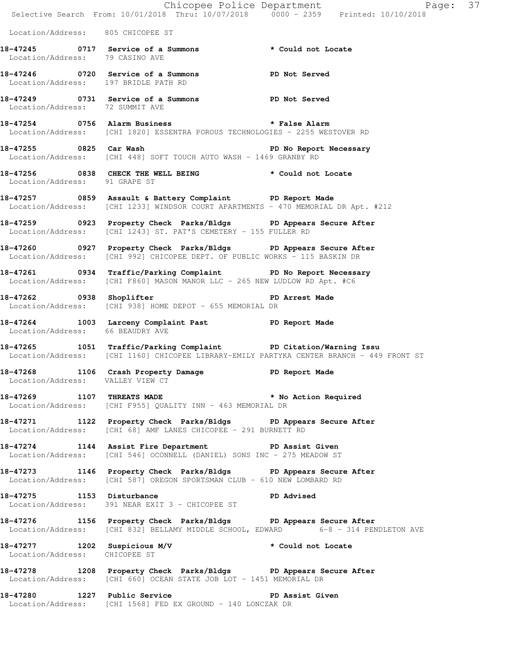|                                      | E Chicopee Police Department<br>Selective Search From: 10/01/2018 Thru: 10/07/2018 0000 - 2359 Printed: 10/10/2018                                           | Page: 37       |
|--------------------------------------|--------------------------------------------------------------------------------------------------------------------------------------------------------------|----------------|
| Location/Address: 805 CHICOPEE ST    |                                                                                                                                                              |                |
| Location/Address: 79 CASINO AVE      | 18-47245 0717 Service of a Summons * Could not Locate                                                                                                        |                |
| Location/Address: 197 BRIDLE PATH RD | 18-47246 0720 Service of a Summons PD Not Served                                                                                                             |                |
| Location/Address: 72 SUMMIT AVE      | 18-47249 0731 Service of a Summons PD Not Served                                                                                                             |                |
|                                      | 18-47254 18-47254 0756 Alarm Business 1987 18-47254 2012<br>Location/Address: [CHI 1820] ESSENTRA POROUS TECHNOLOGIES - 2255 WESTOVER RD                     |                |
|                                      | 18-47255 0825 Car Wash 18-47255<br>Location/Address: [CHI 448] SOFT TOUCH AUTO WASH - 1469 GRANBY RD                                                         |                |
| Location/Address: 91 GRAPE ST        | 18-47256 0838 CHECK THE WELL BEING * Could not Locate                                                                                                        |                |
|                                      | 18-47257 0859 Assault & Battery Complaint PD Report Made<br>Location/Address: [CHI 1233] WINDSOR COURT APARTMENTS - 470 MEMORIAL DR Apt. #212                |                |
|                                      | 18-47259 0923 Property Check Parks/Bldgs PD Appears Secure After<br>Location/Address: [CHI 1243] ST. PAT'S CEMETERY - 155 FULLER RD                          |                |
|                                      | 18-47260 0927 Property Check Parks/Bldgs PD Appears Secure After<br>Location/Address: [CHI 992] CHICOPEE DEPT. OF PUBLIC WORKS - 115 BASKIN DR               |                |
|                                      | 18-47261 0934 Traffic/Parking Complaint PD No Report Necessary<br>Location/Address: [CHI F860] MASON MANOR LLC - 265 NEW LUDLOW RD Apt. #C6                  |                |
|                                      | 18-47262 0938 Shoplifter<br>Location/Address: [CHI 938] HOME DEPOT - 655 MEMORIAL DR                                                                         | PD Arrest Made |
| Location/Address: 66 BEAUDRY AVE     | 18-47264 1003 Larceny Complaint Past PD Report Made                                                                                                          |                |
|                                      | 18-47265 1051 Traffic/Parking Complaint PD Citation/Warning Issu<br>Location/Address: [CHI 1160] CHICOPEE LIBRARY-EMILY PARTYKA CENTER BRANCH - 449 FRONT ST |                |
|                                      | 18-47268 1106 Crash Property Damage PD Report Made<br>Location/Address: VALLEY VIEW CT                                                                       |                |
|                                      | 18-47269 1107 THREATS MADE * No Action Required<br>Location/Address: [CHI F955] QUALITY INN - 463 MEMORIAL DR                                                |                |
|                                      | 18-47271 1122 Property Check Parks/Bldgs PD Appears Secure After<br>Location/Address: [CHI 68] AMF LANES CHICOPEE - 291 BURNETT RD                           |                |
|                                      | 18-47274 1144 Assist Fire Department PD Assist Given<br>Location/Address: [CHI 546] OCONNELL (DANIEL) SONS INC - 275 MEADOW ST                               |                |
|                                      | 18-47273 1146 Property Check Parks/Bldgs PD Appears Secure After<br>Location/Address: [CHI 587] OREGON SPORTSMAN CLUB - 610 NEW LOMBARD RD                   |                |
|                                      | Location/Address: 391 NEAR EXIT 3 - CHICOPEE ST                                                                                                              |                |
|                                      | 18-47276 1156 Property Check Parks/Bldgs PD Appears Secure After<br>Location/Address: [CHI 832] BELLAMY MIDDLE SCHOOL, EDWARD 6-8 - 314 PENDLETON AVE        |                |
| Location/Address: CHICOPEE ST        | 18-47277 1202 Suspicious M/V * Could not Locate                                                                                                              |                |
|                                      | 18-47278 1208 Property Check Parks/Bldgs PD Appears Secure After<br>Location/Address: [CHI 660] OCEAN STATE JOB LOT - 1451 MEMORIAL DR                       |                |
|                                      | 18-47280 1227 Public Service New PD Assist Given<br>Location/Address: [CHI 1568] FED EX GROUND - 140 LONCZAK DR                                              |                |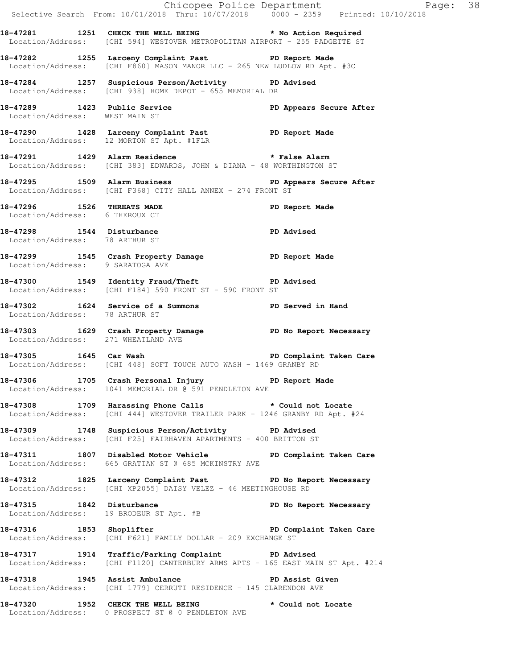|                                                                |                                                                                                                                        | Chicopee Police Department<br>Selective Search From: 10/01/2018 Thru: 10/07/2018 0000 - 2359 Printed: 10/10/2018 |
|----------------------------------------------------------------|----------------------------------------------------------------------------------------------------------------------------------------|------------------------------------------------------------------------------------------------------------------|
|                                                                | 18-47281 1251 CHECK THE WELL BEING * No Action Required<br>Location/Address: [CHI 594] WESTOVER METROPOLITAN AIRPORT - 255 PADGETTE ST |                                                                                                                  |
|                                                                | 18-47282 1255 Larceny Complaint Past PD Report Made<br>Location/Address: [CHI F860] MASON MANOR LLC - 265 NEW LUDLOW RD Apt. #3C       |                                                                                                                  |
|                                                                | 18-47284 1257 Suspicious Person/Activity PD Advised<br>Location/Address: [CHI 938] HOME DEPOT - 655 MEMORIAL DR                        |                                                                                                                  |
| 18-47289 1423 Public Service<br>Location/Address: WEST MAIN ST |                                                                                                                                        | PD Appears Secure After                                                                                          |
|                                                                | 18-47290 1428 Larceny Complaint Past PD Report Made<br>Location/Address: 12 MORTON ST Apt. #1FLR                                       |                                                                                                                  |
|                                                                | 18-47291 1429 Alarm Residence * * False Alarm<br>Location/Address: [CHI 383] EDWARDS, JOHN & DIANA - 48 WORTHINGTON ST                 |                                                                                                                  |
|                                                                | 18-47295 1509 Alarm Business 1998 PD Appears Secure After<br>Location/Address: [CHI F368] CITY HALL ANNEX - 274 FRONT ST               |                                                                                                                  |
| Location/Address: 6 THEROUX CT                                 | 18-47296 1526 THREATS MADE                                                                                                             | PD Report Made                                                                                                   |
| Location/Address: 78 ARTHUR ST                                 | 18-47298 1544 Disturbance                                                                                                              | PD Advised                                                                                                       |
| Location/Address: 9 SARATOGA AVE                               | 18-47299 1545 Crash Property Damage PD Report Made                                                                                     |                                                                                                                  |
|                                                                | 18-47300 1549 Identity Fraud/Theft National PD Advised<br>Location/Address: [CHI F184] 590 FRONT ST - 590 FRONT ST                     |                                                                                                                  |
| Location/Address: 78 ARTHUR ST                                 | 18-47302 1624 Service of a Summons PD Served in Hand                                                                                   |                                                                                                                  |
|                                                                | 18-47303 1629 Crash Property Damage PD No Report Necessary<br>Location/Address: 271 WHEATLAND AVE                                      |                                                                                                                  |
|                                                                | 18-47305 1645 Car Wash 18-47305 200 PD Complaint Taken Care<br>Location/Address: [CHI 448] SOFT TOUCH AUTO WASH - 1469 GRANBY RD       |                                                                                                                  |
|                                                                | 18-47306 1705 Crash Personal Injury 18-47306<br>Location/Address: 1041 MEMORIAL DR @ 591 PENDLETON AVE                                 |                                                                                                                  |
|                                                                | 18-47308 1709 Harassing Phone Calls * Could not Locate<br>Location/Address: [CHI 444] WESTOVER TRAILER PARK - 1246 GRANBY RD Apt. #24  |                                                                                                                  |
|                                                                | 18-47309 1748 Suspicious Person/Activity PD Advised<br>Location/Address: [CHI F25] FAIRHAVEN APARTMENTS - 400 BRITTON ST               |                                                                                                                  |
|                                                                | 18-47311 1807 Disabled Motor Vehicle PD Complaint Taken Care<br>Location/Address: 665 GRATTAN ST @ 685 MCKINSTRY AVE                   |                                                                                                                  |
|                                                                | 18-47312 1825 Larceny Complaint Past PD No Report Necessary<br>Location/Address: [CHI XP2055] DAISY VELEZ - 46 MEETINGHOUSE RD         |                                                                                                                  |
|                                                                | 18-47315 1842 Disturbance <b>1848</b> PD No Report Necessary<br>Location/Address: 19 BRODEUR ST Apt. #B                                |                                                                                                                  |
| 18-47316 1853 Shoplifter                                       | Location/Address: [CHI F621] FAMILY DOLLAR - 209 EXCHANGE ST                                                                           | PD Complaint Taken Care                                                                                          |
|                                                                | 18-47317 1914 Traffic/Parking Complaint PD Advised<br>Location/Address: [CHI F1120] CANTERBURY ARMS APTS - 165 EAST MAIN ST Apt. #214  |                                                                                                                  |
|                                                                | 18-47318 1945 Assist Ambulance No PD Assist Given<br>Location/Address: [CHI 1779] CERRUTI RESIDENCE - 145 CLARENDON AVE                |                                                                                                                  |
|                                                                | 18-47320 1952 CHECK THE WELL BEING * Could not Locate<br>Location/Address: 0 PROSPECT ST @ 0 PENDLETON AVE                             |                                                                                                                  |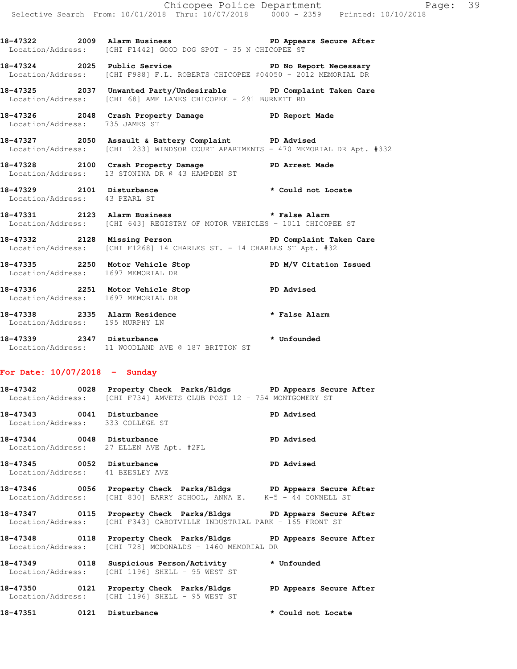**18-47322 2009 Alarm Business PD Appears Secure After**  Location/Address: [CHI F1442] GOOD DOG SPOT - 35 N CHICOPEE ST

**18-47324 2025 Public Service PD No Report Necessary**  Location/Address: [CHI F988] F.L. ROBERTS CHICOPEE #04050 - 2012 MEMORIAL DR

**18-47325 2037 Unwanted Party/Undesirable PD Complaint Taken Care**  Location/Address: [CHI 68] AMF LANES CHICOPEE - 291 BURNETT RD

**18-47326 2048 Crash Property Damage PD Report Made**  Location/Address: 735 JAMES ST

**18-47327 2050 Assault & Battery Complaint PD Advised**  Location/Address: [CHI 1233] WINDSOR COURT APARTMENTS - 470 MEMORIAL DR Apt. #332

**18-47328 2100 Crash Property Damage PD Arrest Made**  Location/Address: 13 STONINA DR @ 43 HAMPDEN ST

**18-47329 2101 Disturbance \* Could not Locate**  Location/Address: 43 PEARL ST

**18-47331 2123 Alarm Business \* False Alarm**  Location/Address: [CHI 643] REGISTRY OF MOTOR VEHICLES - 1011 CHICOPEE ST

**18-47332 2128 Missing Person PD Complaint Taken Care**  Location/Address: [CHI F1268] 14 CHARLES ST. - 14 CHARLES ST Apt. #32

18-47335 2250 Motor Vehicle Stop **PD M/V Citation Issued** Location/Address: 1697 MEMORIAL DR

**18-47336 2251 Motor Vehicle Stop PD Advised**  Location/Address: 1697 MEMORIAL DR

**18-47338 2335 Alarm Residence \* False Alarm**  Location/Address: 195 MURPHY LN

**18-47339 2347 Disturbance \* Unfounded**  Location/Address: 11 WOODLAND AVE @ 187 BRITTON ST

**For Date: 10/07/2018 - Sunday**

**18-47342 0028 Property Check Parks/Bldgs PD Appears Secure After**  Location/Address: [CHI F734] AMVETS CLUB POST 12 - 754 MONTGOMERY ST

**18-47343 0041 Disturbance PD Advised**  Location/Address: 333 COLLEGE ST

**18-47344 0048 Disturbance PD Advised**  Location/Address: 27 ELLEN AVE Apt. #2FL

18-47345 0052 Disturbance **PD** Advised Location/Address: 41 BEESLEY AVE

**18-47346 0056 Property Check Parks/Bldgs PD Appears Secure After**  Location/Address: [CHI 830] BARRY SCHOOL, ANNA E. K-5 - 44 CONNELL ST

**18-47347 0115 Property Check Parks/Bldgs PD Appears Secure After**  Location/Address: [CHI F343] CABOTVILLE INDUSTRIAL PARK - 165 FRONT ST

**18-47348 0118 Property Check Parks/Bldgs PD Appears Secure After**  Location/Address: [CHI 728] MCDONALDS - 1460 MEMORIAL DR

**18-47349 0118 Suspicious Person/Activity \* Unfounded**  Location/Address: [CHI 1196] SHELL - 95 WEST ST

**18-47350 0121 Property Check Parks/Bldgs PD Appears Secure After**  Location/Address: [CHI 1196] SHELL - 95 WEST ST

**18-47351 0121 Disturbance \* Could not Locate**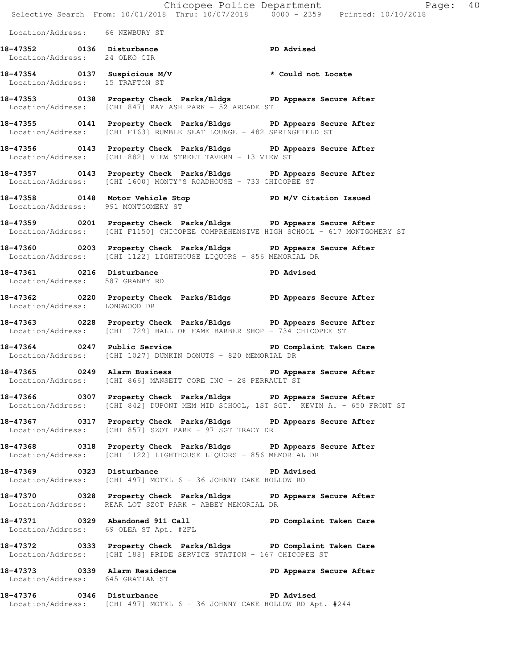|                                                            | E<br>Chicopee Police Department<br>Selective Search From: 10/01/2018 Thru: 10/07/2018 0000 - 2359 Printed: 10/10/2018                                    | Page: 40                |
|------------------------------------------------------------|----------------------------------------------------------------------------------------------------------------------------------------------------------|-------------------------|
|                                                            |                                                                                                                                                          |                         |
| Location/Address: 66 NEWBURY ST                            |                                                                                                                                                          |                         |
| 18-47352 0136 Disturbance<br>Location/Address: 24 OLKO CIR |                                                                                                                                                          | PD Advised              |
| Location/Address: 15 TRAFTON ST                            | 18-47354 0137 Suspicious M/V * Could not Locate                                                                                                          |                         |
|                                                            | 18-47353 0138 Property Check Parks/Bldgs PD Appears Secure After<br>Location/Address: [CHI 847] RAY ASH PARK - 52 ARCADE ST                              |                         |
|                                                            | 18-47355 0141 Property Check Parks/Bldgs PD Appears Secure After<br>Location/Address: [CHI F163] RUMBLE SEAT LOUNGE - 482 SPRINGFIELD ST                 |                         |
|                                                            | 18-47356 0143 Property Check Parks/Bldgs PD Appears Secure After<br>Location/Address: [CHI 882] VIEW STREET TAVERN - 13 VIEW ST                          |                         |
|                                                            | 18-47357 0143 Property Check Parks/Bldgs PD Appears Secure After<br>Location/Address: [CHI 1600] MONTY'S ROADHOUSE - 733 CHICOPEE ST                     |                         |
| Location/Address: 991 MONTGOMERY ST                        | 18-47358 0148 Motor Vehicle Stop N/V Citation Issued                                                                                                     |                         |
|                                                            | 18-47359 0201 Property Check Parks/Bldgs PD Appears Secure After<br>Location/Address: [CHI F1150] CHICOPEE COMPREHENSIVE HIGH SCHOOL - 617 MONTGOMERY ST |                         |
|                                                            | 18-47360 0203 Property Check Parks/Bldgs PD Appears Secure After<br>Location/Address: [CHI 1122] LIGHTHOUSE LIQUORS - 856 MEMORIAL DR                    |                         |
| Location/Address: 587 GRANBY RD                            | 18-47361 0216 Disturbance <b>18-47361</b> PD Advised                                                                                                     |                         |
| Location/Address: LONGWOOD DR                              | 18-47362 		 0220 Property Check Parks/Bldgs 		 PD Appears Secure After                                                                                   |                         |
|                                                            | 18-47363 0228 Property Check Parks/Bldgs PD Appears Secure After<br>Location/Address: [CHI 1729] HALL OF FAME BARBER SHOP - 734 CHICOPEE ST              |                         |
|                                                            | 18-47364 0247 Public Service<br>Location/Address: [CHI 1027] DUNKIN DONUTS - 820 MEMORIAL DR                                                             | PD Complaint Taken Care |
|                                                            | 18-47365 0249 Alarm Business<br>Location/Address: [CHI 866] MANSETT CORE INC - 28 PERRAULT ST                                                            | PD Appears Secure After |
|                                                            | 18-47366 60307 Property Check Parks/Bldgs PD Appears Secure After<br>Location/Address: [CHI 842] DUPONT MEM MID SCHOOL, 1ST SGT. KEVIN A. - 650 FRONT ST |                         |
|                                                            | 18-47367 0317 Property Check Parks/Bldgs PD Appears Secure After<br>Location/Address: [CHI 857] SZOT PARK - 97 SGT TRACY DR                              |                         |
|                                                            | 18-47368 0318 Property Check Parks/Bldgs PD Appears Secure After<br>Location/Address: [CHI 1122] LIGHTHOUSE LIQUORS - 856 MEMORIAL DR                    |                         |
|                                                            | 18-47369 0323 Disturbance<br>Location/Address: [CHI 497] MOTEL 6 - 36 JOHNNY CAKE HOLLOW RD                                                              | <b>PD Advised</b>       |
|                                                            | 18-47370 0328 Property Check Parks/Bldgs PD Appears Secure After<br>Location/Address: REAR LOT SZOT PARK - ABBEY MEMORIAL DR                             |                         |
|                                                            | 18-47371 0329 Abandoned 911 Call PD Complaint Taken Care<br>Location/Address: 69 OLEA ST Apt. #2FL                                                       |                         |
|                                                            | 18-47372 		 0333 Property Check Parks/Bldgs 		 PD Complaint Taken Care<br>Location/Address: [CHI 188] PRIDE SERVICE STATION - 167 CHICOPEE ST            |                         |
| Location/Address: 645 GRATTAN ST                           | 18-47373 		 0339 Alarm Residence 		 PD Appears Secure After                                                                                              |                         |
| 18-47376 0346 Disturbance                                  |                                                                                                                                                          | <b>PD Advised</b>       |

Location/Address: [CHI 497] MOTEL 6 - 36 JOHNNY CAKE HOLLOW RD Apt. #244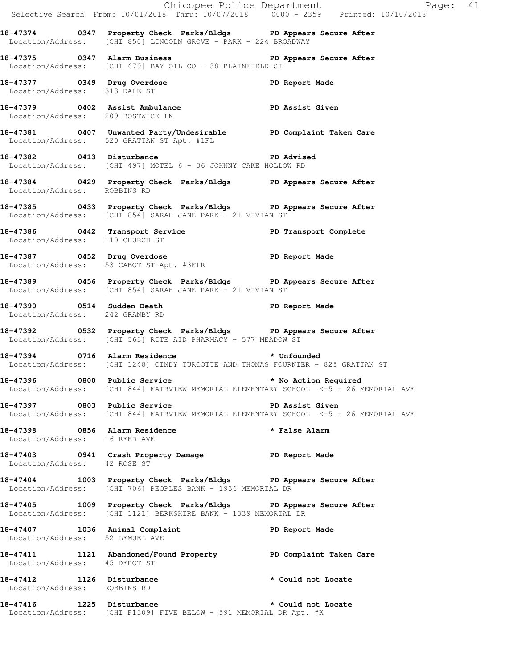|                                                           |                                                                                                                                                                                                | Chicopee Police Department<br>Selective Search From: 10/01/2018 Thru: 10/07/2018 0000 - 2359 Printed: 10/10/2018 |  |
|-----------------------------------------------------------|------------------------------------------------------------------------------------------------------------------------------------------------------------------------------------------------|------------------------------------------------------------------------------------------------------------------|--|
|                                                           | 18-47374 0347 Property Check Parks/Bldgs PD Appears Secure After<br>Location/Address: [CHI 850] LINCOLN GROVE - PARK - 224 BROADWAY                                                            |                                                                                                                  |  |
|                                                           | 18-47375 0347 Alarm Business <b>18-47375</b> PD Appears Secure After<br>Location/Address: [CHI 679] BAY OIL CO - 38 PLAINFIELD ST                                                              |                                                                                                                  |  |
|                                                           |                                                                                                                                                                                                |                                                                                                                  |  |
| Location/Address: 209 BOSTWICK LN                         |                                                                                                                                                                                                |                                                                                                                  |  |
|                                                           | 18-47381 0407 Unwanted Party/Undesirable PD Complaint Taken Care<br>Location/Address: 520 GRATTAN ST Apt. #1FL                                                                                 |                                                                                                                  |  |
|                                                           | 18-47382 0413 Disturbance<br>Location/Address: [CHI 497] MOTEL 6 - 36 JOHNNY CAKE HOLLOW RD                                                                                                    | <b>PD Advised</b>                                                                                                |  |
| Location/Address: ROBBINS RD                              | 18-47384 0429 Property Check Parks/Bldgs PD Appears Secure After                                                                                                                               |                                                                                                                  |  |
|                                                           | 18-47385 0433 Property Check Parks/Bldgs PD Appears Secure After<br>Location/Address: [CHI 854] SARAH JANE PARK - 21 VIVIAN ST                                                                 |                                                                                                                  |  |
| Location/Address: 110 CHURCH ST                           | 18-47386 0442 Transport Service PD Transport Complete PD Transport Complete                                                                                                                    |                                                                                                                  |  |
|                                                           | 18-47387 0452 Drug Overdose 1988 Communication PD Report Made<br>Location/Address: 53 CABOT ST Apt. #3FLR                                                                                      |                                                                                                                  |  |
|                                                           | 18-47389 0456 Property Check Parks/Bldgs PD Appears Secure After<br>Location/Address: [CHI 854] SARAH JANE PARK - 21 VIVIAN ST                                                                 |                                                                                                                  |  |
| Location/Address: 242 GRANBY RD                           | 18-47390 0514 Sudden Death <b>18-47390 PD</b> Report Made                                                                                                                                      |                                                                                                                  |  |
|                                                           | 18-47392 		 0532 Property Check Parks/Bldgs 		 PD Appears Secure After<br>Location/Address: [CHI 563] RITE AID PHARMACY - 577 MEADOW ST                                                        |                                                                                                                  |  |
|                                                           | 18-47394 0716 Alarm Residence <b>the absolute of the Second Alarm Residence</b> the state of the Unfounded<br>Location/Address: [CHI 1248] CINDY TURCOTTE AND THOMAS FOURNIER - 825 GRATTAN ST |                                                                                                                  |  |
|                                                           |                                                                                                                                                                                                | Location/Address: [CHI 844] FAIRVIEW MEMORIAL ELEMENTARY SCHOOL K-5 - 26 MEMORIAL AVE                            |  |
|                                                           | 18-47397 0803 Public Service New PD Assist Given                                                                                                                                               | Location/Address: [CHI 844] FAIRVIEW MEMORIAL ELEMENTARY SCHOOL K-5 - 26 MEMORIAL AVE                            |  |
| Location/Address: 16 REED AVE                             | 18-47398 0856 Alarm Residence                                                                                                                                                                  | * False Alarm                                                                                                    |  |
| Location/Address: 42 ROSE ST                              | 18-47403 0941 Crash Property Damage The PD Report Made                                                                                                                                         |                                                                                                                  |  |
|                                                           | 18-47404 1003 Property Check Parks/Bldgs PD Appears Secure After<br>Location/Address: [CHI 706] PEOPLES BANK - 1936 MEMORIAL DR                                                                |                                                                                                                  |  |
|                                                           | 18-47405 1009 Property Check Parks/Bldgs PD Appears Secure After<br>Location/Address: [CHI 1121] BERKSHIRE BANK - 1339 MEMORIAL DR                                                             |                                                                                                                  |  |
| Location/Address: 52 LEMUEL AVE                           | 18-47407 1036 Animal Complaint 18-47407 PD Report Made                                                                                                                                         |                                                                                                                  |  |
| Location/Address: 45 DEPOT ST                             | 18-47411 1121 Abandoned/Found Property PD Complaint Taken Care                                                                                                                                 |                                                                                                                  |  |
| 18-47412 1126 Disturbance<br>Location/Address: ROBBINS RD |                                                                                                                                                                                                | * Could not Locate                                                                                               |  |
|                                                           | 18-47416 1225 Disturbance <b>18-47416</b> * Could not Locate<br>Location/Address: [CHI F1309] FIVE BELOW - 591 MEMORIAL DR Apt. #K                                                             |                                                                                                                  |  |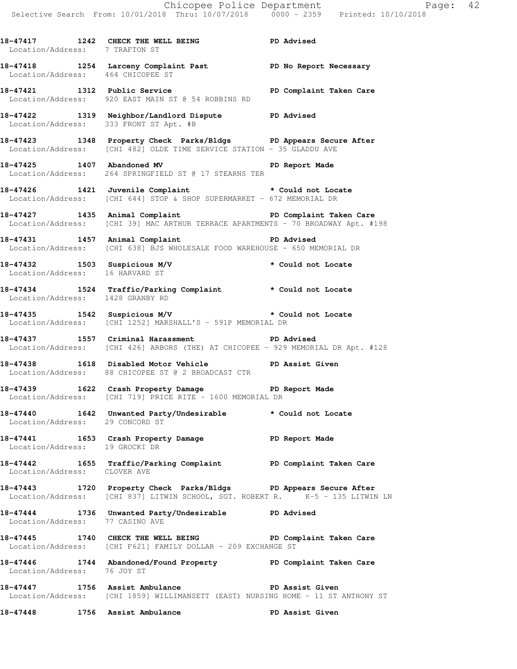**18-47417 1242 CHECK THE WELL BEING PD Advised**  Location/Address: 7 TRAFTON ST

**18-47418 1254 Larceny Complaint Past PD No Report Necessary**  Location/Address: 464 CHICOPEE ST

**18-47421 1312 Public Service PD Complaint Taken Care**  Location/Address: 920 EAST MAIN ST @ 54 ROBBINS RD

**18-47422 1319 Neighbor/Landlord Dispute PD Advised**  Location/Address: 333 FRONT ST Apt. #B

**18-47423 1348 Property Check Parks/Bldgs PD Appears Secure After**  Location/Address: [CHI 482] OLDE TIME SERVICE STATION - 35 GLADDU AVE

**18-47425 1407 Abandoned MV PD Report Made**  Location/Address: 264 SPRINGFIELD ST @ 17 STEARNS TER

**18-47426 1421 Juvenile Complaint \* Could not Locate**  Location/Address: [CHI 644] STOP & SHOP SUPERMARKET - 672 MEMORIAL DR

18-47427 1435 Animal Complaint **PD Complaint Taken Care** Location/Address: [CHI 39] MAC ARTHUR TERRACE APARTMENTS - 70 BROADWAY Apt. #198

**18-47431 1457 Animal Complaint PD Advised**  Location/Address: [CHI 638] BJS WHOLESALE FOOD WAREHOUSE - 650 MEMORIAL DR

**18-47432 1503 Suspicious M/V \* Could not Locate**  Location/Address: 16 HARVARD ST

**18-47434 1524 Traffic/Parking Complaint \* Could not Locate**  Location/Address: 1428 GRANBY RD

**18-47435 1542 Suspicious M/V \* Could not Locate**  Location/Address: [CHI 1252] MARSHALL'S - 591P MEMORIAL DR

**18-47437 1557 Criminal Harassment PD Advised**  Location/Address: [CHI 426] ARBORS (THE) AT CHICOPEE - 929 MEMORIAL DR Apt. #128

**18-47438 1618 Disabled Motor Vehicle PD Assist Given**  Location/Address: 88 CHICOPEE ST @ 2 BROADCAST CTR

**18-47439 1622 Crash Property Damage PD Report Made**  Location/Address: [CHI 719] PRICE RITE - 1600 MEMORIAL DR

**18-47440 1642 Unwanted Party/Undesirable \* Could not Locate**  Location/Address: 29 CONCORD ST

**18-47441 1653 Crash Property Damage PD Report Made**  Location/Address: 19 GROCKI DR

**18-47442 1655 Traffic/Parking Complaint PD Complaint Taken Care**  Location/Address: CLOVER AVE

**18-47443 1720 Property Check Parks/Bldgs PD Appears Secure After**  Location/Address: [CHI 837] LITWIN SCHOOL, SGT. ROBERT R. K-5 - 135 LITWIN LN

**18-47444 1736 Unwanted Party/Undesirable PD Advised**  Location/Address: 77 CASINO AVE

**18-47445 1740 CHECK THE WELL BEING PD Complaint Taken Care**  Location/Address: [CHI F621] FAMILY DOLLAR - 209 EXCHANGE ST

**18-47446 1744 Abandoned/Found Property PD Complaint Taken Care**  Location/Address: 76 JOY ST

**18-47447 1756 Assist Ambulance PD Assist Given**  Location/Address: [CHI 1859] WILLIMANSETT (EAST) NURSING HOME - 11 ST ANTHONY ST

**18-47448 1756 Assist Ambulance PD Assist Given**